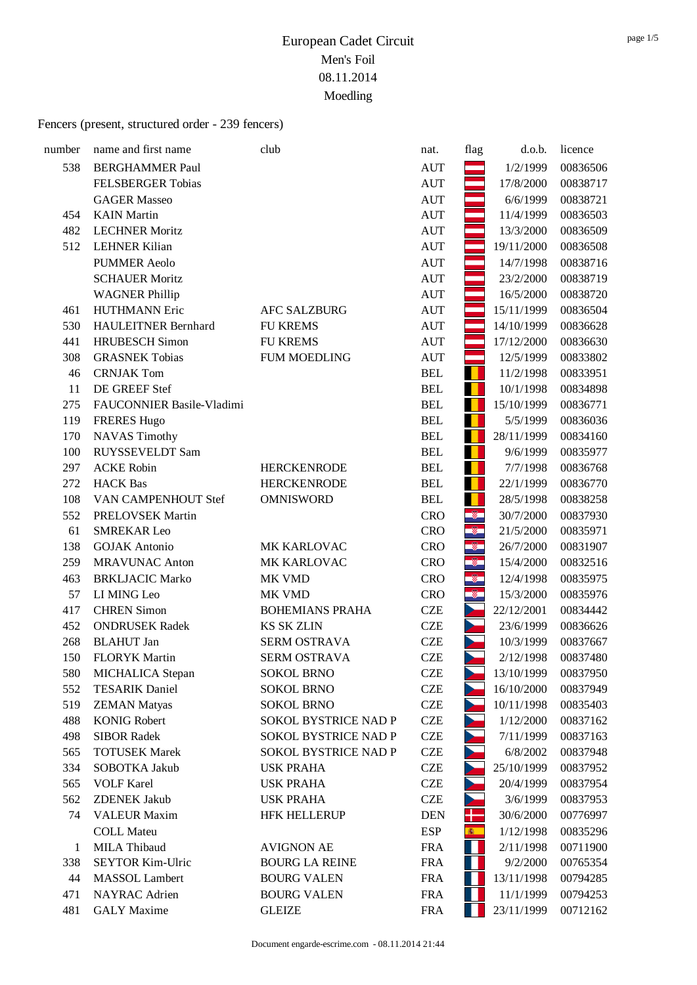| number | name and first name        | club                        | nat.       | flag                     | d.o.b.     | licence  |
|--------|----------------------------|-----------------------------|------------|--------------------------|------------|----------|
| 538    | <b>BERGHAMMER Paul</b>     |                             | <b>AUT</b> |                          | 1/2/1999   | 00836506 |
|        | <b>FELSBERGER Tobias</b>   |                             | <b>AUT</b> |                          | 17/8/2000  | 00838717 |
|        | <b>GAGER Masseo</b>        |                             | <b>AUT</b> |                          | 6/6/1999   | 00838721 |
| 454    | <b>KAIN</b> Martin         |                             | <b>AUT</b> |                          | 11/4/1999  | 00836503 |
| 482    | <b>LECHNER Moritz</b>      |                             | <b>AUT</b> |                          | 13/3/2000  | 00836509 |
| 512    | <b>LEHNER Kilian</b>       |                             | <b>AUT</b> |                          | 19/11/2000 | 00836508 |
|        | <b>PUMMER Aeolo</b>        |                             | <b>AUT</b> |                          | 14/7/1998  | 00838716 |
|        | <b>SCHAUER Moritz</b>      |                             | <b>AUT</b> |                          | 23/2/2000  | 00838719 |
|        | <b>WAGNER Phillip</b>      |                             | <b>AUT</b> |                          | 16/5/2000  | 00838720 |
| 461    | <b>HUTHMANN Eric</b>       | <b>AFC SALZBURG</b>         | <b>AUT</b> |                          | 15/11/1999 | 00836504 |
| 530    | <b>HAULEITNER Bernhard</b> | <b>FU KREMS</b>             | <b>AUT</b> |                          | 14/10/1999 | 00836628 |
| 441    | <b>HRUBESCH</b> Simon      | <b>FU KREMS</b>             | <b>AUT</b> |                          | 17/12/2000 | 00836630 |
| 308    | <b>GRASNEK Tobias</b>      | <b>FUM MOEDLING</b>         | <b>AUT</b> |                          | 12/5/1999  | 00833802 |
| 46     | <b>CRNJAK Tom</b>          |                             | <b>BEL</b> | ш                        | 11/2/1998  | 00833951 |
| 11     | DE GREEF Stef              |                             | <b>BEL</b> |                          | 10/1/1998  | 00834898 |
| 275    | FAUCONNIER Basile-Vladimi  |                             | <b>BEL</b> |                          | 15/10/1999 | 00836771 |
| 119    | <b>FRERES Hugo</b>         |                             | <b>BEL</b> |                          | 5/5/1999   | 00836036 |
| 170    | <b>NAVAS Timothy</b>       |                             | <b>BEL</b> | . .                      | 28/11/1999 | 00834160 |
| 100    | <b>RUYSSEVELDT Sam</b>     |                             | <b>BEL</b> |                          | 9/6/1999   | 00835977 |
| 297    | <b>ACKE Robin</b>          | <b>HERCKENRODE</b>          | <b>BEL</b> |                          | 7/7/1998   | 00836768 |
| 272    | <b>HACK</b> Bas            | <b>HERCKENRODE</b>          | <b>BEL</b> |                          | 22/1/1999  | 00836770 |
| 108    | VAN CAMPENHOUT Stef        | <b>OMNISWORD</b>            | <b>BEL</b> | ш                        | 28/5/1998  | 00838258 |
| 552    | PRELOVSEK Martin           |                             | <b>CRO</b> | $\circledast$            | 30/7/2000  | 00837930 |
| 61     | <b>SMREKAR Leo</b>         |                             | <b>CRO</b> | ¢                        | 21/5/2000  | 00835971 |
| 138    | <b>GOJAK</b> Antonio       | MK KARLOVAC                 | <b>CRO</b> | $^{\circ}$               | 26/7/2000  | 00831907 |
| 259    | <b>MRAVUNAC Anton</b>      | MK KARLOVAC                 | <b>CRO</b> | Ø.                       | 15/4/2000  | 00832516 |
| 463    | <b>BRKLJACIC Marko</b>     | MK VMD                      | <b>CRO</b> | $\widehat{\mathbf{v}}$   | 12/4/1998  | 00835975 |
| 57     | LI MING Leo                | MK VMD                      | <b>CRO</b> | $\overline{\mathscr{C}}$ | 15/3/2000  | 00835976 |
| 417    | <b>CHREN Simon</b>         | <b>BOHEMIANS PRAHA</b>      | <b>CZE</b> |                          | 22/12/2001 | 00834442 |
| 452    | <b>ONDRUSEK Radek</b>      | <b>KS SK ZLIN</b>           | <b>CZE</b> |                          | 23/6/1999  | 00836626 |
| 268    | <b>BLAHUT</b> Jan          | <b>SERM OSTRAVA</b>         | <b>CZE</b> |                          | 10/3/1999  | 00837667 |
| 150    | <b>FLORYK Martin</b>       | SERM OSTRAVA                | <b>CZE</b> |                          | 2/12/1998  | 00837480 |
| 580    | MICHALICA Stepan           | <b>SOKOL BRNO</b>           | <b>CZE</b> |                          | 13/10/1999 | 00837950 |
| 552    | <b>TESARIK Daniel</b>      | <b>SOKOL BRNO</b>           | <b>CZE</b> |                          | 16/10/2000 | 00837949 |
| 519    | <b>ZEMAN Matyas</b>        | <b>SOKOL BRNO</b>           | <b>CZE</b> |                          | 10/11/1998 | 00835403 |
| 488    | <b>KONIG Robert</b>        | <b>SOKOL BYSTRICE NAD P</b> | <b>CZE</b> |                          | 1/12/2000  | 00837162 |
| 498    | <b>SIBOR Radek</b>         | SOKOL BYSTRICE NAD P        | <b>CZE</b> |                          | 7/11/1999  | 00837163 |
| 565    | <b>TOTUSEK Marek</b>       | SOKOL BYSTRICE NAD P        | <b>CZE</b> |                          | 6/8/2002   | 00837948 |
| 334    | SOBOTKA Jakub              | <b>USK PRAHA</b>            | <b>CZE</b> |                          | 25/10/1999 | 00837952 |
| 565    | <b>VOLF Karel</b>          | <b>USK PRAHA</b>            | <b>CZE</b> |                          | 20/4/1999  | 00837954 |
| 562    | <b>ZDENEK Jakub</b>        | <b>USK PRAHA</b>            | <b>CZE</b> |                          | 3/6/1999   | 00837953 |
| 74     | <b>VALEUR Maxim</b>        | <b>HFK HELLERUP</b>         | <b>DEN</b> | ╉═                       | 30/6/2000  | 00776997 |
|        | <b>COLL Mateu</b>          |                             | <b>ESP</b> | 6                        | 1/12/1998  | 00835296 |
| 1      | MILA Thibaud               | <b>AVIGNON AE</b>           | <b>FRA</b> | П                        | 2/11/1998  | 00711900 |
| 338    | <b>SEYTOR Kim-Ulric</b>    | <b>BOURG LA REINE</b>       | <b>FRA</b> | Ш                        | 9/2/2000   | 00765354 |
| 44     | MASSOL Lambert             | <b>BOURG VALEN</b>          | <b>FRA</b> | Н                        | 13/11/1998 | 00794285 |
| 471    | <b>NAYRAC</b> Adrien       | <b>BOURG VALEN</b>          | <b>FRA</b> |                          | 11/1/1999  | 00794253 |
| 481    | <b>GALY</b> Maxime         | <b>GLEIZE</b>               | <b>FRA</b> |                          | 23/11/1999 | 00712162 |
|        |                            |                             |            |                          |            |          |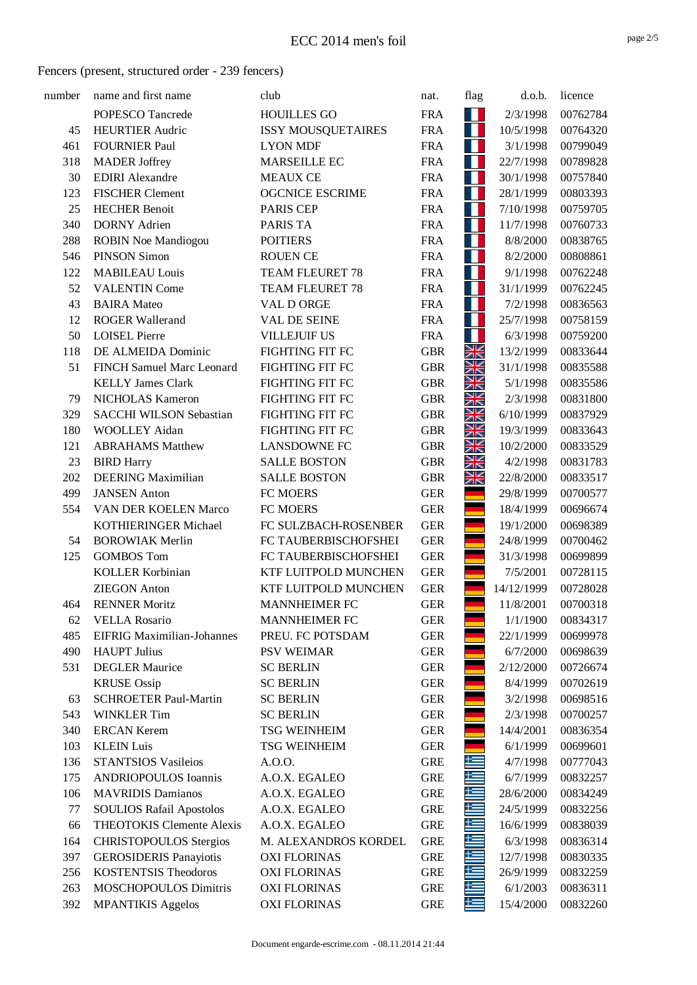| number | name and first name               | club                      | nat.       | flag           | d.o.b.     | licence  |
|--------|-----------------------------------|---------------------------|------------|----------------|------------|----------|
|        | POPESCO Tancrede                  | <b>HOUILLES GO</b>        | <b>FRA</b> | 11             | 2/3/1998   | 00762784 |
| 45     | <b>HEURTIER Audric</b>            | <b>ISSY MOUSQUETAIRES</b> | <b>FRA</b> | H              | 10/5/1998  | 00764320 |
| 461    | <b>FOURNIER Paul</b>              | <b>LYON MDF</b>           | <b>FRA</b> | Ш              | 3/1/1998   | 00799049 |
| 318    | <b>MADER Joffrey</b>              | <b>MARSEILLE EC</b>       | <b>FRA</b> | Н              | 22/7/1998  | 00789828 |
| 30     | <b>EDIRI</b> Alexandre            | <b>MEAUX CE</b>           | <b>FRA</b> | Н              | 30/1/1998  | 00757840 |
| 123    | <b>FISCHER Clement</b>            | <b>OGCNICE ESCRIME</b>    | <b>FRA</b> | П              | 28/1/1999  | 00803393 |
| 25     | <b>HECHER Benoit</b>              | PARIS CEP                 | <b>FRA</b> | Ш              | 7/10/1998  | 00759705 |
| 340    | <b>DORNY</b> Adrien               | PARIS TA                  | <b>FRA</b> | Н              | 11/7/1998  | 00760733 |
| 288    | <b>ROBIN Noe Mandiogou</b>        | <b>POITIERS</b>           | <b>FRA</b> | Ш              | 8/8/2000   | 00838765 |
| 546    | <b>PINSON Simon</b>               | <b>ROUEN CE</b>           | <b>FRA</b> | Н              | 8/2/2000   | 00808861 |
| 122    | <b>MABILEAU Louis</b>             | TEAM FLEURET 78           | <b>FRA</b> | П              | 9/1/1998   | 00762248 |
| 52     | <b>VALENTIN Come</b>              | TEAM FLEURET 78           | <b>FRA</b> | Н              | 31/1/1999  | 00762245 |
| 43     | <b>BAIRA</b> Mateo                | VAL D ORGE                | <b>FRA</b> | Н              | 7/2/1998   | 00836563 |
| 12     | <b>ROGER Wallerand</b>            | <b>VAL DE SEINE</b>       | <b>FRA</b> | П              | 25/7/1998  | 00758159 |
| 50     | <b>LOISEL Pierre</b>              | <b>VILLEJUIF US</b>       | <b>FRA</b> | Н              | 6/3/1998   | 00759200 |
| 118    | DE ALMEIDA Dominic                | <b>FIGHTING FIT FC</b>    | <b>GBR</b> | XK             | 13/2/1999  | 00833644 |
| 51     | FINCH Samuel Marc Leonard         | <b>FIGHTING FIT FC</b>    | <b>GBR</b> | ∐∠<br>ZN       | 31/1/1998  | 00835588 |
|        | <b>KELLY James Clark</b>          | <b>FIGHTING FIT FC</b>    | <b>GBR</b> | NZ<br>$\times$ | 5/1/1998   | 00835586 |
| 79     | <b>NICHOLAS Kameron</b>           | FIGHTING FIT FC           | <b>GBR</b> | ∐∠<br>ZN       | 2/3/1998   | 00831800 |
| 329    | <b>SACCHI WILSON Sebastian</b>    | <b>FIGHTING FIT FC</b>    | <b>GBR</b> | XK             | 6/10/1999  | 00837929 |
| 180    | <b>WOOLLEY Aidan</b>              | <b>FIGHTING FIT FC</b>    | <b>GBR</b> | ∐∠<br>ZN       | 19/3/1999  | 00833643 |
| 121    | <b>ABRAHAMS</b> Matthew           | <b>LANSDOWNE FC</b>       | <b>GBR</b> | VZ<br>$\times$ | 10/2/2000  | 00833529 |
| 23     | <b>BIRD Harry</b>                 | <b>SALLE BOSTON</b>       | <b>GBR</b> | NZ             | 4/2/1998   | 00831783 |
| 202    | <b>DEERING</b> Maximilian         | <b>SALLE BOSTON</b>       | <b>GBR</b> | ZN<br>XK       | 22/8/2000  | 00833517 |
| 499    | <b>JANSEN</b> Anton               | FC MOERS                  | <b>GER</b> |                | 29/8/1999  | 00700577 |
| 554    | VAN DER KOELEN Marco              | FC MOERS                  | <b>GER</b> |                | 18/4/1999  | 00696674 |
|        | KOTHIERINGER Michael              | FC SULZBACH-ROSENBER      | <b>GER</b> |                | 19/1/2000  | 00698389 |
| 54     | <b>BOROWIAK Merlin</b>            | FC TAUBERBISCHOFSHEI      | <b>GER</b> |                | 24/8/1999  | 00700462 |
| 125    | <b>GOMBOS Tom</b>                 | FC TAUBERBISCHOFSHEI      | <b>GER</b> |                | 31/3/1998  | 00699899 |
|        | <b>KOLLER Korbinian</b>           | KTF LUITPOLD MUNCHEN      | <b>GER</b> |                | 7/5/2001   | 00728115 |
|        | <b>ZIEGON</b> Anton               | KTF LUITPOLD MUNCHEN      | <b>GER</b> |                | 14/12/1999 | 00728028 |
| 464    | <b>RENNER Moritz</b>              | <b>MANNHEIMER FC</b>      | <b>GER</b> |                | 11/8/2001  | 00700318 |
| 62     | <b>VELLA Rosario</b>              | <b>MANNHEIMER FC</b>      | <b>GER</b> |                | 1/1/1900   | 00834317 |
| 485    | <b>EIFRIG Maximilian-Johannes</b> | PREU. FC POTSDAM          | <b>GER</b> |                | 22/1/1999  | 00699978 |
| 490    | <b>HAUPT</b> Julius               | <b>PSV WEIMAR</b>         | <b>GER</b> |                | 6/7/2000   | 00698639 |
| 531    | <b>DEGLER Maurice</b>             | <b>SC BERLIN</b>          | <b>GER</b> |                | 2/12/2000  | 00726674 |
|        | <b>KRUSE</b> Ossip                | <b>SC BERLIN</b>          | <b>GER</b> |                | 8/4/1999   | 00702619 |
| 63     | <b>SCHROETER Paul-Martin</b>      | <b>SC BERLIN</b>          | <b>GER</b> |                | 3/2/1998   | 00698516 |
| 543    | <b>WINKLER Tim</b>                | <b>SC BERLIN</b>          | <b>GER</b> |                | 2/3/1998   | 00700257 |
| 340    | <b>ERCAN Kerem</b>                | <b>TSG WEINHEIM</b>       | <b>GER</b> |                | 14/4/2001  | 00836354 |
| 103    | <b>KLEIN Luis</b>                 | <b>TSG WEINHEIM</b>       | <b>GER</b> |                | 6/1/1999   | 00699601 |
| 136    | <b>STANTSIOS Vasileios</b>        | A.O.O.                    | <b>GRE</b> | 뜨              | 4/7/1998   | 00777043 |
| 175    | <b>ANDRIOPOULOS Ioannis</b>       | A.O.X. EGALEO             | <b>GRE</b> | æ              | 6/7/1999   | 00832257 |
| 106    | <b>MAVRIDIS Damianos</b>          | A.O.X. EGALEO             | <b>GRE</b> | ╄═             | 28/6/2000  | 00834249 |
| 77     | <b>SOULIOS Rafail Apostolos</b>   | A.O.X. EGALEO             | <b>GRE</b> | E              | 24/5/1999  | 00832256 |
| 66     | <b>THEOTOKIS Clemente Alexis</b>  | A.O.X. EGALEO             | <b>GRE</b> | €              | 16/6/1999  | 00838039 |
| 164    | <b>CHRISTOPOULOS Stergios</b>     | M. ALEXANDROS KORDEL      | <b>GRE</b> | 上              | 6/3/1998   | 00836314 |
| 397    | <b>GEROSIDERIS Panayiotis</b>     | <b>OXI FLORINAS</b>       | <b>GRE</b> | كا             | 12/7/1998  | 00830335 |
| 256    | <b>KOSTENTSIS Theodoros</b>       | <b>OXI FLORINAS</b>       | <b>GRE</b> | Æ              | 26/9/1999  | 00832259 |
| 263    | MOSCHOPOULOS Dimitris             | <b>OXI FLORINAS</b>       | <b>GRE</b> | 똑              | 6/1/2003   | 00836311 |
| 392    | <b>MPANTIKIS Aggelos</b>          | <b>OXI FLORINAS</b>       | <b>GRE</b> | كا             | 15/4/2000  | 00832260 |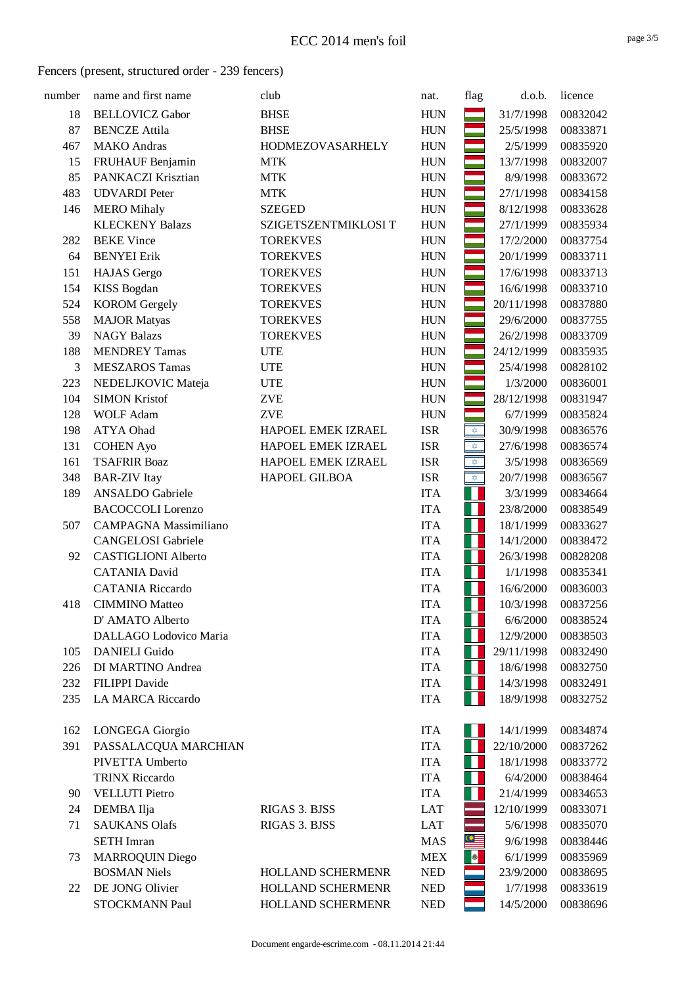| number | name and first name          | club                 | nat.       | flag                             | d.o.b.     | licence  |
|--------|------------------------------|----------------------|------------|----------------------------------|------------|----------|
| 18     | <b>BELLOVICZ Gabor</b>       | <b>BHSE</b>          | <b>HUN</b> |                                  | 31/7/1998  | 00832042 |
| 87     | <b>BENCZE Attila</b>         | <b>BHSE</b>          | <b>HUN</b> |                                  | 25/5/1998  | 00833871 |
| 467    | <b>MAKO</b> Andras           | HODMEZOVASARHELY     | <b>HUN</b> |                                  | 2/5/1999   | 00835920 |
| 15     | FRUHAUF Benjamin             | <b>MTK</b>           | <b>HUN</b> |                                  | 13/7/1998  | 00832007 |
| 85     | PANKACZI Krisztian           | <b>MTK</b>           | <b>HUN</b> |                                  | 8/9/1998   | 00833672 |
| 483    | <b>UDVARDI</b> Peter         | <b>MTK</b>           | <b>HUN</b> |                                  | 27/1/1998  | 00834158 |
| 146    | <b>MERO</b> Mihaly           | <b>SZEGED</b>        | <b>HUN</b> |                                  | 8/12/1998  | 00833628 |
|        | <b>KLECKENY Balazs</b>       | SZIGETSZENTMIKLOSI T | <b>HUN</b> |                                  | 27/1/1999  | 00835934 |
| 282    | <b>BEKE</b> Vince            | <b>TOREKVES</b>      | <b>HUN</b> |                                  | 17/2/2000  | 00837754 |
| 64     | <b>BENYEI Erik</b>           | <b>TOREKVES</b>      | <b>HUN</b> |                                  | 20/1/1999  | 00833711 |
| 151    | <b>HAJAS</b> Gergo           | <b>TOREKVES</b>      | <b>HUN</b> |                                  | 17/6/1998  | 00833713 |
| 154    | <b>KISS Bogdan</b>           | <b>TOREKVES</b>      | <b>HUN</b> |                                  | 16/6/1998  | 00833710 |
| 524    | <b>KOROM</b> Gergely         | <b>TOREKVES</b>      | <b>HUN</b> |                                  | 20/11/1998 | 00837880 |
| 558    | <b>MAJOR Matyas</b>          | <b>TOREKVES</b>      | <b>HUN</b> |                                  | 29/6/2000  | 00837755 |
| 39     | <b>NAGY Balazs</b>           | <b>TOREKVES</b>      | <b>HUN</b> |                                  | 26/2/1998  | 00833709 |
| 188    | <b>MENDREY Tamas</b>         | <b>UTE</b>           | <b>HUN</b> |                                  | 24/12/1999 | 00835935 |
| 3      | <b>MESZAROS Tamas</b>        | <b>UTE</b>           | <b>HUN</b> |                                  | 25/4/1998  | 00828102 |
| 223    | NEDELJKOVIC Mateja           | <b>UTE</b>           | <b>HUN</b> |                                  | 1/3/2000   | 00836001 |
| 104    | <b>SIMON Kristof</b>         | <b>ZVE</b>           | <b>HUN</b> |                                  | 28/12/1998 | 00831947 |
| 128    | <b>WOLF Adam</b>             | <b>ZVE</b>           | <b>HUN</b> |                                  | 6/7/1999   | 00835824 |
| 198    | ATYA Ohad                    | HAPOEL EMEK IZRAEL   | <b>ISR</b> | $\overline{\mathfrak{D}}$        | 30/9/1998  | 00836576 |
| 131    | <b>COHEN Ayo</b>             | HAPOEL EMEK IZRAEL   | <b>ISR</b> | $\stackrel{\rightarrow}{\nabla}$ | 27/6/1998  | 00836574 |
| 161    | <b>TSAFRIR Boaz</b>          | HAPOEL EMEK IZRAEL   | <b>ISR</b> | $\triangle$                      | 3/5/1998   | 00836569 |
| 348    | <b>BAR-ZIV</b> Itay          | HAPOEL GILBOA        | <b>ISR</b> | $\frac{1}{2}$                    | 20/7/1998  | 00836567 |
| 189    | <b>ANSALDO</b> Gabriele      |                      | <b>ITA</b> | Н                                | 3/3/1999   | 00834664 |
|        | <b>BACOCCOLI</b> Lorenzo     |                      | <b>ITA</b> | Н                                | 23/8/2000  | 00838549 |
| 507    | <b>CAMPAGNA Massimiliano</b> |                      | <b>ITA</b> | Ш                                | 18/1/1999  | 00833627 |
|        | <b>CANGELOSI</b> Gabriele    |                      | <b>ITA</b> | Н                                | 14/1/2000  | 00838472 |
| 92     | <b>CASTIGLIONI Alberto</b>   |                      | <b>ITA</b> | Ш                                | 26/3/1998  | 00828208 |
|        | <b>CATANIA David</b>         |                      | <b>ITA</b> | Н                                | 1/1/1998   | 00835341 |
|        | <b>CATANIA Riccardo</b>      |                      | <b>ITA</b> | Ш                                | 16/6/2000  | 00836003 |
| 418    | <b>CIMMINO</b> Matteo        |                      | <b>ITA</b> |                                  | 10/3/1998  | 00837256 |
|        | D' AMATO Alberto             |                      | <b>ITA</b> |                                  | 6/6/2000   | 00838524 |
|        | DALLAGO Lodovico Maria       |                      | <b>ITA</b> |                                  | 12/9/2000  | 00838503 |
| 105    | <b>DANIELI</b> Guido         |                      | <b>ITA</b> |                                  | 29/11/1998 | 00832490 |
| 226    | DI MARTINO Andrea            |                      | <b>ITA</b> |                                  | 18/6/1998  | 00832750 |
| 232    | <b>FILIPPI</b> Davide        |                      | <b>ITA</b> |                                  | 14/3/1998  | 00832491 |
| 235    | <b>LA MARCA Riccardo</b>     |                      | <b>ITA</b> |                                  | 18/9/1998  | 00832752 |
| 162    | LONGEGA Giorgio              |                      | <b>ITA</b> |                                  | 14/1/1999  | 00834874 |
| 391    | PASSALACQUA MARCHIAN         |                      | <b>ITA</b> |                                  | 22/10/2000 | 00837262 |
|        | PIVETTA Umberto              |                      | <b>ITA</b> |                                  | 18/1/1998  | 00833772 |
|        | <b>TRINX Riccardo</b>        |                      | <b>ITA</b> |                                  | 6/4/2000   | 00838464 |
| 90     | <b>VELLUTI</b> Pietro        |                      | <b>ITA</b> |                                  | 21/4/1999  | 00834653 |
| 24     | DEMBA Ilja                   | RIGAS 3. BJSS        | <b>LAT</b> |                                  | 12/10/1999 | 00833071 |
| 71     | <b>SAUKANS Olafs</b>         | RIGAS 3. BJSS        | LAT        |                                  | 5/6/1998   | 00835070 |
|        | <b>SETH</b> Imran            |                      | <b>MAS</b> | $\cong$                          | 9/6/1998   | 00838446 |
| 73     | <b>MARROQUIN Diego</b>       |                      | <b>MEX</b> | $\left  \bullet \right $         | 6/1/1999   | 00835969 |
|        | <b>BOSMAN Niels</b>          | HOLLAND SCHERMENR    | <b>NED</b> |                                  | 23/9/2000  | 00838695 |
| 22     | DE JONG Olivier              | HOLLAND SCHERMENR    | <b>NED</b> |                                  | 1/7/1998   | 00833619 |
|        | STOCKMANN Paul               | HOLLAND SCHERMENR    | <b>NED</b> |                                  | 14/5/2000  | 00838696 |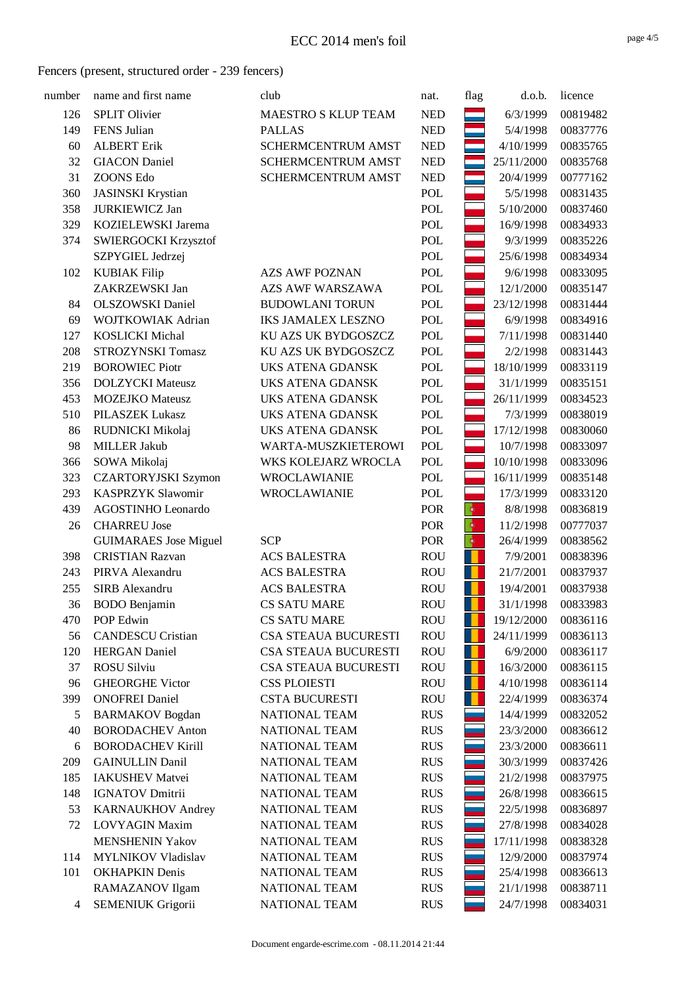| number | name and first name          | club                        | nat.       | flag             | d.o.b.     | licence  |
|--------|------------------------------|-----------------------------|------------|------------------|------------|----------|
| 126    | <b>SPLIT Olivier</b>         | MAESTRO S KLUP TEAM         | <b>NED</b> |                  | 6/3/1999   | 00819482 |
| 149    | FENS Julian                  | <b>PALLAS</b>               | <b>NED</b> |                  | 5/4/1998   | 00837776 |
| 60     | <b>ALBERT Erik</b>           | SCHERMCENTRUM AMST          | <b>NED</b> |                  | 4/10/1999  | 00835765 |
| 32     | <b>GIACON</b> Daniel         | SCHERMCENTRUM AMST          | <b>NED</b> |                  | 25/11/2000 | 00835768 |
| 31     | <b>ZOONS Edo</b>             | SCHERMCENTRUM AMST          | <b>NED</b> |                  | 20/4/1999  | 00777162 |
| 360    | <b>JASINSKI</b> Krystian     |                             | POL        |                  | 5/5/1998   | 00831435 |
| 358    | <b>JURKIEWICZ Jan</b>        |                             | POL        |                  | 5/10/2000  | 00837460 |
| 329    | KOZIELEWSKI Jarema           |                             | POL        |                  | 16/9/1998  | 00834933 |
| 374    | SWIERGOCKI Krzysztof         |                             | POL        |                  | 9/3/1999   | 00835226 |
|        | SZPYGIEL Jedrzej             |                             | POL        |                  | 25/6/1998  | 00834934 |
| 102    | <b>KUBIAK Filip</b>          | <b>AZS AWF POZNAN</b>       | POL        |                  | 9/6/1998   | 00833095 |
|        | ZAKRZEWSKI Jan               | <b>AZS AWF WARSZAWA</b>     | POL        |                  | 12/1/2000  | 00835147 |
| 84     | <b>OLSZOWSKI</b> Daniel      | <b>BUDOWLANI TORUN</b>      | POL        |                  | 23/12/1998 | 00831444 |
| 69     | WOJTKOWIAK Adrian            | <b>IKS JAMALEX LESZNO</b>   | POL        |                  | 6/9/1998   | 00834916 |
| 127    | <b>KOSLICKI</b> Michal       | KU AZS UK BYDGOSZCZ         | POL        |                  | 7/11/1998  | 00831440 |
| 208    | STROZYNSKI Tomasz            | KU AZS UK BYDGOSZCZ         | POL        |                  | 2/2/1998   | 00831443 |
| 219    | <b>BOROWIEC Piotr</b>        | <b>UKS ATENA GDANSK</b>     | POL        |                  | 18/10/1999 | 00833119 |
| 356    | <b>DOLZYCKI</b> Mateusz      | <b>UKS ATENA GDANSK</b>     | POL        |                  | 31/1/1999  | 00835151 |
| 453    | <b>MOZEJKO</b> Mateusz       | <b>UKS ATENA GDANSK</b>     | POL        |                  | 26/11/1999 | 00834523 |
| 510    | PILASZEK Lukasz              | <b>UKS ATENA GDANSK</b>     | POL        |                  | 7/3/1999   | 00838019 |
| 86     | RUDNICKI Mikolaj             | <b>UKS ATENA GDANSK</b>     | POL        |                  | 17/12/1998 | 00830060 |
| 98     | <b>MILLER Jakub</b>          | WARTA-MUSZKIETEROWI         | POL        |                  | 10/7/1998  | 00833097 |
| 366    | SOWA Mikolaj                 | WKS KOLEJARZ WROCLA         | POL        |                  | 10/10/1998 | 00833096 |
| 323    | <b>CZARTORYJSKI Szymon</b>   | <b>WROCLAWIANIE</b>         | POL        |                  | 16/11/1999 | 00835148 |
| 293    | <b>KASPRZYK Slawomir</b>     | WROCLAWIANIE                | POL        |                  | 17/3/1999  | 00833120 |
| 439    | AGOSTINHO Leonardo           |                             | POR        | $\ddot{\bullet}$ | 8/8/1998   | 00836819 |
| 26     | <b>CHARREU Jose</b>          |                             | POR        | $\ddot{\bullet}$ | 11/2/1998  | 00777037 |
|        | <b>GUIMARAES</b> Jose Miguel | <b>SCP</b>                  | POR        | $ \Phi\rangle$   | 26/4/1999  | 00838562 |
| 398    | <b>CRISTIAN Razvan</b>       | <b>ACS BALESTRA</b>         | <b>ROU</b> | п                | 7/9/2001   | 00838396 |
| 243    | PIRVA Alexandru              | <b>ACS BALESTRA</b>         | <b>ROU</b> | O                | 21/7/2001  | 00837937 |
| 255    | SIRB Alexandru               | <b>ACS BALESTRA</b>         | <b>ROU</b> | н                | 19/4/2001  | 00837938 |
| 36     | <b>BODO</b> Benjamin         | <b>CS SATU MARE</b>         | <b>ROU</b> |                  | 31/1/1998  | 00833983 |
| 470    | POP Edwin                    | <b>CS SATU MARE</b>         | <b>ROU</b> |                  | 19/12/2000 | 00836116 |
| 56     | <b>CANDESCU</b> Cristian     | CSA STEAUA BUCURESTI        | <b>ROU</b> |                  | 24/11/1999 | 00836113 |
| 120    | <b>HERGAN</b> Daniel         | <b>CSA STEAUA BUCURESTI</b> | <b>ROU</b> | н                | 6/9/2000   | 00836117 |
| 37     | <b>ROSU Silviu</b>           | <b>CSA STEAUA BUCURESTI</b> | <b>ROU</b> | н                | 16/3/2000  | 00836115 |
| 96     | <b>GHEORGHE Victor</b>       | <b>CSS PLOIESTI</b>         | <b>ROU</b> | п                | 4/10/1998  | 00836114 |
| 399    | <b>ONOFREI Daniel</b>        | <b>CSTA BUCURESTI</b>       | <b>ROU</b> | н                | 22/4/1999  | 00836374 |
| 5      | <b>BARMAKOV</b> Bogdan       | NATIONAL TEAM               | <b>RUS</b> |                  | 14/4/1999  | 00832052 |
| 40     | <b>BORODACHEV Anton</b>      | NATIONAL TEAM               | <b>RUS</b> |                  | 23/3/2000  | 00836612 |
| 6      | <b>BORODACHEV Kirill</b>     | NATIONAL TEAM               | <b>RUS</b> |                  | 23/3/2000  | 00836611 |
| 209    | <b>GAINULLIN Danil</b>       | <b>NATIONAL TEAM</b>        | <b>RUS</b> |                  | 30/3/1999  | 00837426 |
| 185    | <b>IAKUSHEV Matvei</b>       | <b>NATIONAL TEAM</b>        | <b>RUS</b> |                  | 21/2/1998  | 00837975 |
| 148    | <b>IGNATOV Dmitrii</b>       | <b>NATIONAL TEAM</b>        | <b>RUS</b> |                  | 26/8/1998  | 00836615 |
| 53     | KARNAUKHOV Andrey            | NATIONAL TEAM               | <b>RUS</b> |                  | 22/5/1998  | 00836897 |
| 72     | LOVYAGIN Maxim               | NATIONAL TEAM               | <b>RUS</b> |                  | 27/8/1998  | 00834028 |
|        | <b>MENSHENIN Yakov</b>       | NATIONAL TEAM               | <b>RUS</b> |                  | 17/11/1998 | 00838328 |
| 114    | <b>MYLNIKOV Vladislav</b>    | NATIONAL TEAM               | <b>RUS</b> |                  | 12/9/2000  | 00837974 |
| 101    | <b>OKHAPKIN Denis</b>        | NATIONAL TEAM               | <b>RUS</b> |                  | 25/4/1998  | 00836613 |
|        | RAMAZANOV Ilgam              | NATIONAL TEAM               | <b>RUS</b> |                  | 21/1/1998  | 00838711 |
| 4      | SEMENIUK Grigorii            | NATIONAL TEAM               | <b>RUS</b> |                  | 24/7/1998  | 00834031 |
|        |                              |                             |            |                  |            |          |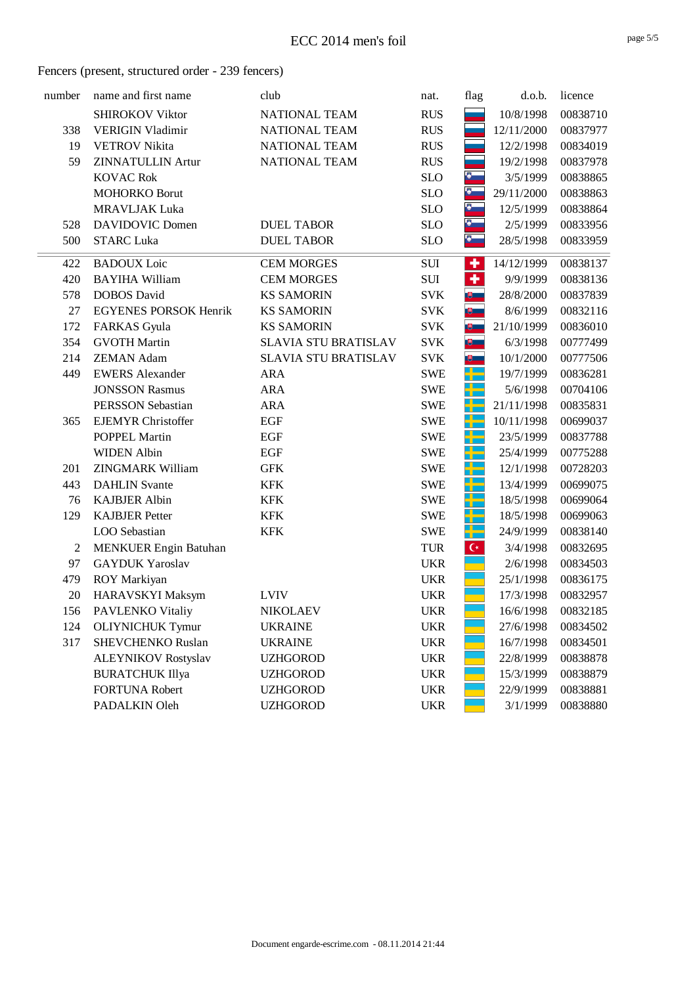| number | name and first name          | club                 | nat.       | flag                 | d.o.b.     | licence  |
|--------|------------------------------|----------------------|------------|----------------------|------------|----------|
|        | <b>SHIROKOV Viktor</b>       | NATIONAL TEAM        | <b>RUS</b> |                      | 10/8/1998  | 00838710 |
| 338    | <b>VERIGIN Vladimir</b>      | NATIONAL TEAM        | <b>RUS</b> |                      | 12/11/2000 | 00837977 |
| 19     | <b>VETROV</b> Nikita         | NATIONAL TEAM        | <b>RUS</b> |                      | 12/2/1998  | 00834019 |
| 59     | <b>ZINNATULLIN Artur</b>     | NATIONAL TEAM        | <b>RUS</b> |                      | 19/2/1998  | 00837978 |
|        | <b>KOVAC Rok</b>             |                      | <b>SLO</b> | $\frac{1}{2}$        | 3/5/1999   | 00838865 |
|        | <b>MOHORKO Borut</b>         |                      | <b>SLO</b> | $\delta$             | 29/11/2000 | 00838863 |
|        | <b>MRAVLJAK Luka</b>         |                      | <b>SLO</b> | $\bullet$            | 12/5/1999  | 00838864 |
| 528    | <b>DAVIDOVIC Domen</b>       | <b>DUEL TABOR</b>    | <b>SLO</b> | $\bullet$            | 2/5/1999   | 00833956 |
| 500    | <b>STARC Luka</b>            | <b>DUEL TABOR</b>    | <b>SLO</b> | $\bullet$            | 28/5/1998  | 00833959 |
| 422    | <b>BADOUX</b> Loic           | <b>CEM MORGES</b>    | SUI        | ٠                    | 14/12/1999 | 00838137 |
| 420    | <b>BAYIHA William</b>        | <b>CEM MORGES</b>    | SUI        | $\ddot{\phantom{1}}$ | 9/9/1999   | 00838136 |
| 578    | <b>DOBOS</b> David           | <b>KS SAMORIN</b>    | <b>SVK</b> | 吧                    | 28/8/2000  | 00837839 |
| 27     | <b>EGYENES PORSOK Henrik</b> | <b>KS SAMORIN</b>    | <b>SVK</b> | $\mathbb{B}$         | 8/6/1999   | 00832116 |
| 172    | <b>FARKAS</b> Gyula          | <b>KS SAMORIN</b>    | <b>SVK</b> | $\mathbb{R}$         | 21/10/1999 | 00836010 |
| 354    | <b>GVOTH Martin</b>          | SLAVIA STU BRATISLAV | <b>SVK</b> | ■■                   | 6/3/1998   | 00777499 |
| 214    | <b>ZEMAN Adam</b>            | SLAVIA STU BRATISLAV | <b>SVK</b> | 吧                    | 10/1/2000  | 00777506 |
| 449    | <b>EWERS Alexander</b>       | <b>ARA</b>           | <b>SWE</b> | ar<br>1              | 19/7/1999  | 00836281 |
|        | <b>JONSSON Rasmus</b>        | <b>ARA</b>           | <b>SWE</b> | ₩                    | 5/6/1998   | 00704106 |
|        | PERSSON Sebastian            | <b>ARA</b>           | <b>SWE</b> | ÷                    | 21/11/1998 | 00835831 |
| 365    | <b>EJEMYR Christoffer</b>    | EGF                  | <b>SWE</b> | ╄                    | 10/11/1998 | 00699037 |
|        | POPPEL Martin                | <b>EGF</b>           | <b>SWE</b> | H                    | 23/5/1999  | 00837788 |
|        | <b>WIDEN Albin</b>           | EGF                  | <b>SWE</b> | ₩                    | 25/4/1999  | 00775288 |
| 201    | <b>ZINGMARK William</b>      | <b>GFK</b>           | <b>SWE</b> | H.                   | 12/1/1998  | 00728203 |
| 443    | <b>DAHLIN</b> Svante         | <b>KFK</b>           | <b>SWE</b> | كاد                  | 13/4/1999  | 00699075 |
| 76     | <b>KAJBJER Albin</b>         | <b>KFK</b>           | <b>SWE</b> | 라는                   | 18/5/1998  | 00699064 |
| 129    | <b>KAJBJER Petter</b>        | <b>KFK</b>           | <b>SWE</b> | مبر<br>سال           | 18/5/1998  | 00699063 |
|        | LOO Sebastian                | <b>KFK</b>           | <b>SWE</b> | كاد                  | 24/9/1999  | 00838140 |
| 2      | MENKUER Engin Batuhan        |                      | <b>TUR</b> | $\mathsf{C}^*$       | 3/4/1998   | 00832695 |
| 97     | <b>GAYDUK Yaroslav</b>       |                      | <b>UKR</b> |                      | 2/6/1998   | 00834503 |
| 479    | ROY Markiyan                 |                      | <b>UKR</b> |                      | 25/1/1998  | 00836175 |
| 20     | HARAVSKYI Maksym             | <b>LVIV</b>          | <b>UKR</b> |                      | 17/3/1998  | 00832957 |
| 156    | PAVLENKO Vitaliy             | <b>NIKOLAEV</b>      | <b>UKR</b> |                      | 16/6/1998  | 00832185 |
| 124    | <b>OLIYNICHUK Tymur</b>      | <b>UKRAINE</b>       | <b>UKR</b> |                      | 27/6/1998  | 00834502 |
| 317    | SHEVCHENKO Ruslan            | <b>UKRAINE</b>       | <b>UKR</b> |                      | 16/7/1998  | 00834501 |
|        | <b>ALEYNIKOV Rostyslav</b>   | <b>UZHGOROD</b>      | <b>UKR</b> |                      | 22/8/1999  | 00838878 |
|        | <b>BURATCHUK Illya</b>       | <b>UZHGOROD</b>      | <b>UKR</b> |                      | 15/3/1999  | 00838879 |
|        | <b>FORTUNA Robert</b>        | <b>UZHGOROD</b>      | <b>UKR</b> |                      | 22/9/1999  | 00838881 |
|        | PADALKIN Oleh                | <b>UZHGOROD</b>      | <b>UKR</b> |                      | 3/1/1999   | 00838880 |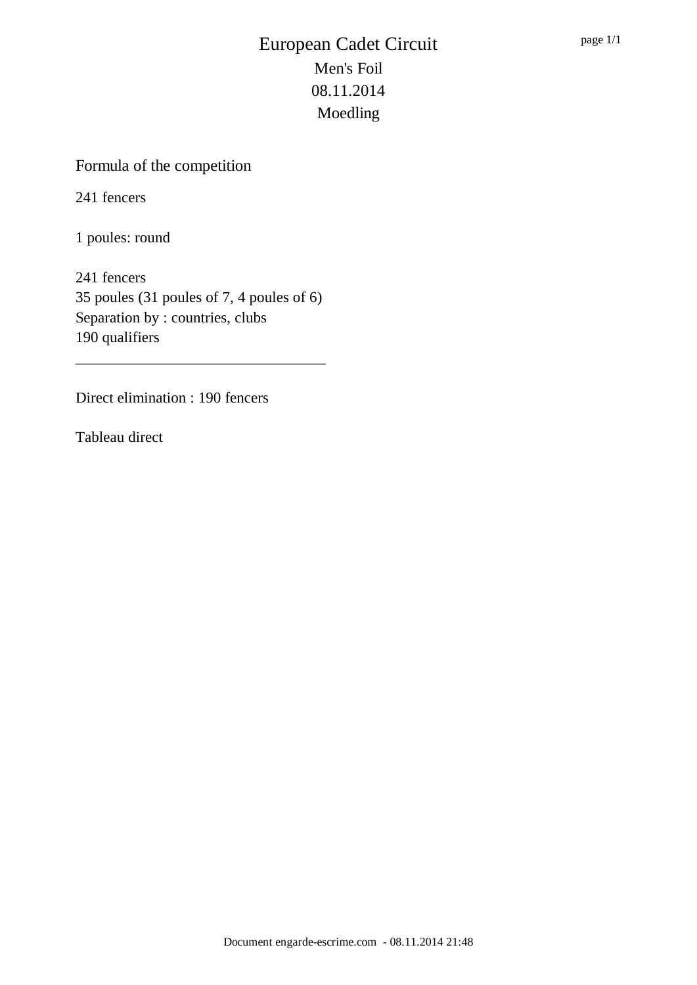# Formula of the competition

241 fencers

1 poules: round

241 fencers 35 poules (31 poules of 7, 4 poules of 6) Separation by : countries, clubs 190 qualifiers

\_\_\_\_\_\_\_\_\_\_\_\_\_\_\_\_\_\_\_\_\_\_\_\_\_\_\_\_\_\_\_\_\_

Direct elimination : 190 fencers

Tableau direct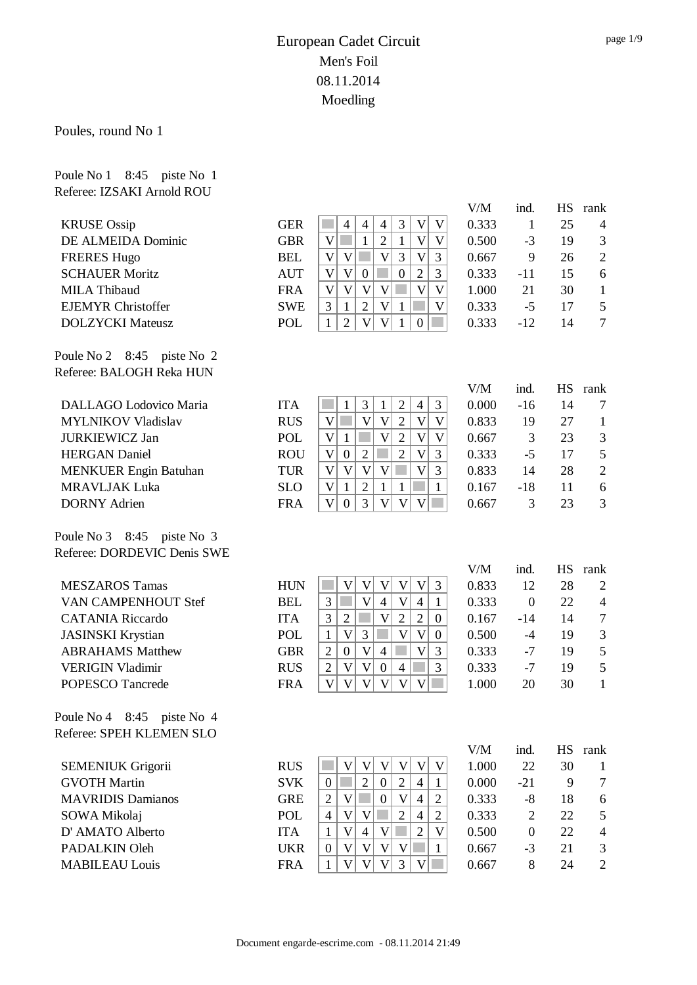Poules, round No 1

Poule No 1 8:45 piste No 1

| Referee: IZSAKI Arnold ROU   |            |                                                                                                                                |              |                |                 |                         |
|------------------------------|------------|--------------------------------------------------------------------------------------------------------------------------------|--------------|----------------|-----------------|-------------------------|
|                              |            |                                                                                                                                | V/M          | ind.           | <b>HS</b>       | rank                    |
| <b>KRUSE</b> Ossip           | <b>GER</b> | $\overline{4}$<br>3<br>$\overline{4}$<br>$\overline{4}$<br>V<br>V                                                              | 0.333        | $\mathbf{1}$   | 25              | 4                       |
| DE ALMEIDA Dominic           | <b>GBR</b> | $\overline{2}$<br>$\overline{\mathsf{V}}$<br>$\mathbf V$<br>$\overline{\mathsf{V}}$<br>$\mathbf{1}$<br>$\mathbf{1}$            | 0.500        | $-3$           | 19              | 3                       |
| <b>FRERES Hugo</b>           | <b>BEL</b> | $\overline{\mathsf{V}}$<br>$\overline{\mathsf{V}}$<br>3<br>$\overline{\mathsf{V}}$<br>3<br>$\mathbf V$                         | 0.667        | 9              | 26              | $\overline{2}$          |
| <b>SCHAUER Moritz</b>        | <b>AUT</b> | $\overline{2}$<br>$\mathbf V$<br>$\mathbf V$<br>$\boldsymbol{0}$<br>3<br>$\boldsymbol{0}$                                      | 0.333        | $-11$          | 15              | 6                       |
| <b>MILA Thibaud</b>          | <b>FRA</b> | $\overline{\mathsf{V}}$<br>$\overline{\mathsf{V}}$<br>$\mathbf V$<br>$\mathbf{V}$<br>$\mathbf V$<br>$\mathbf V$                | 1.000        | 21             | 30              | $\mathbf{1}$            |
| <b>EJEMYR Christoffer</b>    | <b>SWE</b> | $\overline{3}$<br>$\sqrt{2}$<br>$\mathbf{1}$<br>$\mathbf{V}$<br>$\overline{\mathsf{V}}$<br>$\mathbf{1}$                        | 0.333        | $-5$           | 17              | 5                       |
| <b>DOLZYCKI</b> Mateusz      | POL        | $\overline{2}$<br>$\mathbf{V}$<br>$\mathbf V$<br>$\mathbf{1}$<br>$\mathbf{1}$<br>$\boldsymbol{0}$                              | 0.333        | $-12$          | 14              | $\overline{7}$          |
| Poule No 2 8:45 piste No 2   |            |                                                                                                                                |              |                |                 |                         |
| Referee: BALOGH Reka HUN     |            |                                                                                                                                |              |                |                 |                         |
| DALLAGO Lodovico Maria       | <b>ITA</b> | 3<br>$\mathbf{2}$<br>3<br>$\mathbf 1$<br>$\mathbf{1}$<br>4                                                                     | V/M<br>0.000 | ind.<br>$-16$  | <b>HS</b><br>14 | rank<br>7               |
| <b>MYLNIKOV Vladislav</b>    | <b>RUS</b> | $\mathbf V$<br>V<br>$\mathbf V$<br>$\sqrt{2}$<br>$\mathbf V$<br>V                                                              | 0.833        | 19             | 27              | $\mathbf{1}$            |
| <b>JURKIEWICZ Jan</b>        | <b>POL</b> | $\overline{\mathsf{V}}$<br>$\mathbf V$<br>$\overline{\mathsf{V}}$<br>$\overline{2}$<br>$\mathbf{1}$<br>$\overline{\mathsf{V}}$ | 0.667        | 3              | 23              | $\mathfrak{Z}$          |
| <b>HERGAN</b> Daniel         | <b>ROU</b> | $\overline{2}$<br>$\overline{\mathsf{V}}$<br>$\mathbf V$<br>3<br>$\overline{2}$<br>$\boldsymbol{0}$                            | 0.333        | $-5$           | 17              | 5                       |
| <b>MENKUER Engin Batuhan</b> | <b>TUR</b> | $\mathbf V$<br>$\overline{\mathsf{V}}$<br>$\mathbf V$<br>$\mathbf V$<br>$\mathbf V$<br>3                                       | 0.833        | 14             | 28              | $\mathbf{2}$            |
| <b>MRAVLJAK Luka</b>         | <b>SLO</b> | $\overline{2}$<br>$\mathbf V$<br>$\mathbf{1}$<br>$\mathbf{1}$<br>$\mathbf{1}$<br>$\mathbf{1}$                                  | 0.167        | $-18$          | 11              | 6                       |
| <b>DORNY</b> Adrien          | <b>FRA</b> | 3<br>$\mathbf{V}$<br>$\overline{\mathsf{V}}$<br>$\mathbf V$<br>$\boldsymbol{0}$<br>V                                           | 0.667        | 3              | 23              | 3                       |
|                              |            |                                                                                                                                |              |                |                 |                         |
| Poule No 3 8:45 piste No 3   |            |                                                                                                                                |              |                |                 |                         |
| Referee: DORDEVIC Denis SWE  |            |                                                                                                                                |              |                |                 |                         |
|                              |            |                                                                                                                                | V/M          | ind.           | <b>HS</b>       | rank                    |
| <b>MESZAROS Tamas</b>        | <b>HUN</b> | $\mathbf V$<br>$\boldsymbol{\mathrm{V}}$<br>$\mathbf V$<br>$\mathbf V$<br>V<br>3                                               | 0.833        | 12             | 28              | 2                       |
| VAN CAMPENHOUT Stef          | <b>BEL</b> | $\overline{\mathsf{V}}$<br>$\overline{\mathsf{V}}$<br>3<br>$\overline{4}$<br>$\overline{4}$<br>$\mathbf{1}$                    | 0.333        | $\overline{0}$ | 22              | $\overline{4}$          |
| <b>CATANIA Riccardo</b>      | <b>ITA</b> | 3<br>$\overline{\mathsf{V}}$<br>$\overline{2}$<br>$\mathbf{2}$<br>$\sqrt{2}$<br>$\boldsymbol{0}$                               | 0.167        | $-14$          | 14              | $\overline{7}$          |
| <b>JASINSKI</b> Krystian     | POL        | $\mathbf V$<br>$\overline{\mathsf{V}}$<br>3<br>$\mathbf V$<br>$\boldsymbol{0}$<br>$\mathbf{1}$                                 | 0.500        | $-4$           | 19              | $\mathfrak{Z}$          |
| <b>ABRAHAMS Matthew</b>      | <b>GBR</b> | $\overline{\mathsf{V}}$<br>3<br>V<br>$\sqrt{2}$<br>$\boldsymbol{0}$<br>$\overline{4}$                                          | 0.333        | $-7$           | 19              | 5                       |
| <b>VERIGIN Vladimir</b>      | <b>RUS</b> | $\mathbf{2}$<br>$\mathbf V$<br>$\mathbf V$<br>$\boldsymbol{0}$<br>$\overline{4}$<br>3                                          | 0.333        | $-7$           | 19              | 5                       |
| POPESCO Tancrede             | <b>FRA</b> | $\mathbf V$<br>$\boldsymbol{\mathrm{V}}$<br>$\mathbf V$<br>V<br>V<br>V                                                         | 1.000        | 20             | 30              | $\mathbf{1}$            |
| Poule No 4 8:45 piste No 4   |            |                                                                                                                                |              |                |                 |                         |
| Referee: SPEH KLEMEN SLO     |            |                                                                                                                                |              |                |                 |                         |
| <b>SEMENIUK Grigorii</b>     | <b>RUS</b> | $\mathbf V$<br>$\mathbf{V}$<br>$\mathbf V$<br>$\mathbf V$<br>V<br>V                                                            | V/M<br>1.000 | ind.<br>22     | 30              | HS rank<br>$\mathbf{1}$ |
| <b>GVOTH Martin</b>          | <b>SVK</b> | $\overline{2}$<br>$\sqrt{2}$<br>$\overline{4}$<br>$\boldsymbol{0}$<br>$\boldsymbol{0}$<br>$\mathbf{1}$                         | 0.000        | $-21$          | 9               | 7                       |
| <b>MAVRIDIS Damianos</b>     | <b>GRE</b> | $\mathfrak{2}$<br>$\overline{2}$<br>V<br>$\boldsymbol{0}$<br>V<br>$\overline{4}$                                               | 0.333        | $-8$           | 18              | 6                       |
| SOWA Mikolaj                 | <b>POL</b> | $\overline{4}$<br>$\mathbf V$<br>V<br>$\overline{2}$<br>$\overline{4}$<br>$\overline{2}$                                       | 0.333        | $\mathbf{2}$   | 22              | $\mathfrak{S}$          |
| D' AMATO Alberto             | <b>ITA</b> | $\mathbf V$<br>$\overline{2}$<br>$\mathbf V$<br>$\mathbf V$<br>$\mathbf{1}$<br>$\overline{4}$                                  | 0.500        | $\overline{0}$ | 22              | $\overline{4}$          |
| PADALKIN Oleh                | <b>UKR</b> | V<br>$\mathbf V$<br>V<br>V<br>$\boldsymbol{0}$<br>1                                                                            | 0.667        | $-3$           | 21              | 3                       |
| <b>MABILEAU Louis</b>        | <b>FRA</b> | $\mathbf V$<br>V<br>$\overline{3}$<br>$\mathbf V$<br>$\mathbf{V}$<br>$\mathbf{1}$                                              | 0.667        | $\,8\,$        | 24              | $\overline{2}$          |
|                              |            |                                                                                                                                |              |                |                 |                         |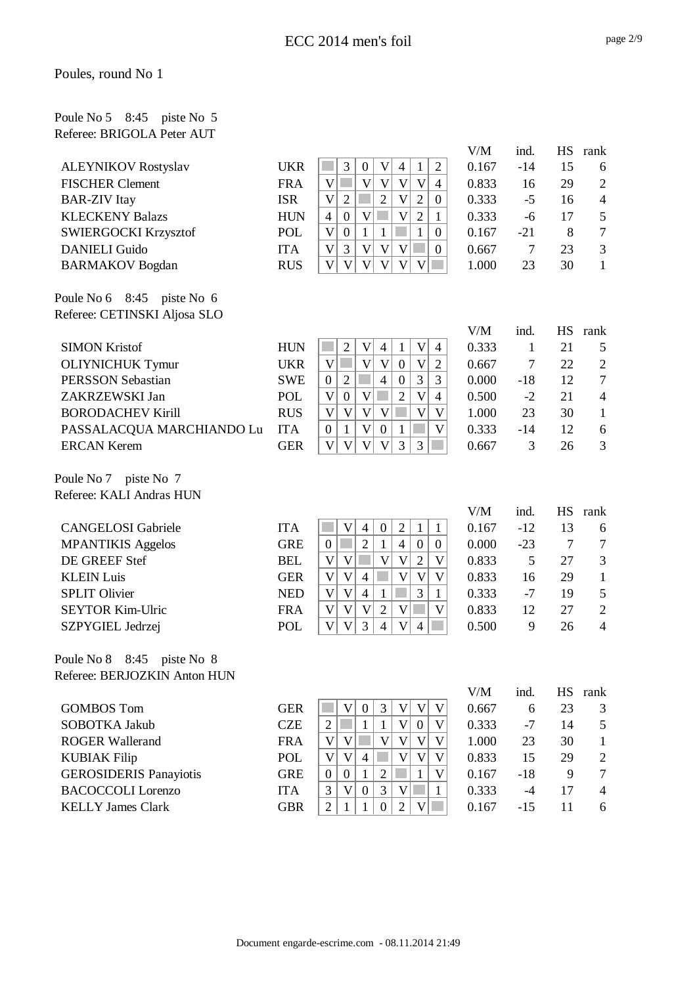#### Poules, round No 1

#### Poule No 5 8:45 piste No 5 Referee: BRIGOLA Peter AUT

|                                  |            |                                                                                                                               | $V\!/\!M$ | ind.   | <b>HS</b> | rank                     |
|----------------------------------|------------|-------------------------------------------------------------------------------------------------------------------------------|-----------|--------|-----------|--------------------------|
| <b>ALEYNIKOV Rostyslav</b>       | <b>UKR</b> | 3<br>$\mathbf V$<br>$\overline{2}$<br>$\boldsymbol{0}$<br>$\overline{4}$<br>$\mathbf{1}$                                      | 0.167     | $-14$  | 15        | 6                        |
| <b>FISCHER Clement</b>           | <b>FRA</b> | $\overline{\mathsf{V}}$<br>$\overline{\mathsf{V}}$<br>$\mathbf V$<br>$\overline{\mathsf{V}}$<br>$\mathbf V$<br>$\overline{4}$ | 0.833     | 16     | 29        | $\mathbf{2}$             |
| <b>BAR-ZIV</b> Itay              | <b>ISR</b> | $\overline{2}$<br>$\overline{2}$<br>$\mathbf V$<br>$\mathbf V$<br>$\mathfrak{2}$<br>$\boldsymbol{0}$                          | 0.333     | $-5$   | 16        | $\overline{\mathcal{A}}$ |
| <b>KLECKENY Balazs</b>           | <b>HUN</b> | $\overline{2}$<br>$\boldsymbol{0}$<br>$\mathbf V$<br>$\mathbf V$<br>$\mathbf{1}$<br>$\overline{4}$                            | 0.333     | $-6$   | 17        | 5                        |
| <b>SWIERGOCKI Krzysztof</b>      | POL        | $\mathbf V$<br>$\boldsymbol{0}$<br>$\mathbf{1}$<br>$\mathbf{1}$<br>$\mathbf{1}$<br>$\boldsymbol{0}$                           | 0.167     | $-21$  | 8         | $\boldsymbol{7}$         |
| <b>DANIELI Guido</b>             | <b>ITA</b> | 3<br>$\mathbf V$<br>$\mathbf V$<br>$\mathbf V$<br>$\mathbf V$<br>$\mathbf{0}$                                                 | 0.667     | $\tau$ | 23        | 3                        |
| <b>BARMAKOV</b> Bogdan           | <b>RUS</b> | $\overline{\mathbf{V}}$<br>$\mathbf V$<br>$\overline{\mathsf{V}}$<br>$\mathbf V$<br>$\mathbf V$<br>V                          | 1.000     | 23     | 30        | $\mathbf{1}$             |
| Poule No 6<br>$8:45$ piste No 6  |            |                                                                                                                               |           |        |           |                          |
| Referee: CETINSKI Aljosa SLO     |            |                                                                                                                               |           |        |           |                          |
|                                  |            |                                                                                                                               | V/M       | ind.   | <b>HS</b> | rank                     |
| <b>SIMON Kristof</b>             | <b>HUN</b> | $\overline{2}$<br>$\mathbf V$<br>V<br>$\overline{4}$<br>$\mathbf{1}$<br>$\overline{4}$                                        | 0.333     | 1      | 21        | 5                        |
| <b>OLIYNICHUK Tymur</b>          | <b>UKR</b> | $\overline{\mathsf{V}}$<br>$\overline{\mathsf{V}}$<br>$\overline{\mathsf{V}}$<br>$\boldsymbol{0}$<br>$\overline{2}$<br>V      | 0.667     | $\tau$ | 22        | $\overline{2}$           |
| <b>PERSSON Sebastian</b>         | <b>SWE</b> | 3<br>3<br>$\overline{2}$<br>$\overline{4}$<br>$\boldsymbol{0}$<br>$\boldsymbol{0}$                                            | 0.000     | $-18$  | 12        | $\tau$                   |
| ZAKRZEWSKI Jan                   | <b>POL</b> | $\mathbf V$<br>$\overline{\mathsf{V}}$<br>$\mathbf V$<br>$\boldsymbol{0}$<br>$\overline{2}$<br>$\overline{4}$                 | 0.500     | $-2$   | 21        | $\overline{\mathcal{L}}$ |
| <b>BORODACHEV Kirill</b>         | <b>RUS</b> | $\overline{\mathsf{V}}$<br>$\overline{\mathsf{V}}$<br>$\mathbf V$<br>V<br>$\mathbf V$<br>V                                    | 1.000     | 23     | 30        | $\mathbf{1}$             |
| PASSALACQUA MARCHIANDO Lu        | <b>ITA</b> | $\mathbf V$<br>$\mathbf{1}$<br>$\boldsymbol{0}$<br>$\mathbf{1}$<br>V<br>$\boldsymbol{0}$                                      | 0.333     | $-14$  | 12        | 6                        |
| <b>ERCAN Kerem</b>               | <b>GER</b> | $\overline{V}$<br>$\overline{\mathsf{V}}$<br>V<br>V<br>3<br>3                                                                 | 0.667     | 3      | 26        | 3                        |
| Poule No 7 piste No 7            |            |                                                                                                                               |           |        |           |                          |
| Referee: KALI Andras HUN         |            |                                                                                                                               |           |        |           |                          |
|                                  |            |                                                                                                                               | V/M       | ind.   | <b>HS</b> | rank                     |
| <b>CANGELOSI</b> Gabriele        | <b>ITA</b> | $\mathbf V$<br>$\mathbf{2}$<br>$\boldsymbol{0}$<br>$\mathbf{1}$<br>$\mathbf{1}$<br>$\overline{4}$                             | 0.167     | $-12$  | 13        | 6                        |
| <b>MPANTIKIS Aggelos</b>         | <b>GRE</b> | $\overline{2}$<br>$\mathbf{1}$<br>$\boldsymbol{0}$<br>$\boldsymbol{0}$<br>$\overline{4}$<br>$\overline{0}$                    | 0.000     | $-23$  | $\tau$    | $\tau$                   |
| DE GREEF Stef                    | <b>BEL</b> | $\overline{2}$<br>$\mathbf V$<br>$\mathbf V$<br>$\mathbf V$<br>$\mathbf V$<br>V                                               | 0.833     | 5      | 27        | 3                        |
| <b>KLEIN Luis</b>                | <b>GER</b> | $\overline{\mathsf{V}}$<br>$\mathbf V$<br>$\overline{4}$<br>$\mathbf V$<br>$\overline{\mathsf{V}}$<br>$\mathbf V$             | 0.833     | 16     | 29        | $\mathbf{1}$             |
| <b>SPLIT Olivier</b>             | <b>NED</b> | $\overline{\mathsf{V}}$<br>3<br>$\mathbf V$<br>$\overline{4}$<br>$\mathbf{1}$<br>$\mathbf{1}$                                 | 0.333     | $-7$   | 19        | 5                        |
| <b>SEYTOR Kim-Ulric</b>          | <b>FRA</b> | $\sqrt{2}$<br>$\mathbf V$<br>V<br>V<br>V<br>$\mathbf V$                                                                       | 0.833     | 12     | 27        | $\mathbf{2}$             |
| SZPYGIEL Jedrzej                 | <b>POL</b> | $\mathbf V$<br>$\mathfrak{Z}$<br>$\overline{4}$<br>$\mathbf V$<br>$\mathbf V$<br>$\overline{4}$                               | 0.500     | 9      | 26        | $\overline{4}$           |
| Poule No 8<br>8:45<br>piste No 8 |            |                                                                                                                               |           |        |           |                          |
| Referee: BERJOZKIN Anton HUN     |            |                                                                                                                               |           |        |           |                          |
|                                  |            |                                                                                                                               | V/M       | ind.   |           | HS rank                  |
| <b>GOMBOS</b> Tom                | <b>GER</b> | 3<br>$\mathbf V$<br>V<br>V<br>$\boldsymbol{0}$<br>V                                                                           | 0.667     | 6      | 23        | 3                        |
| SOBOTKA Jakub                    | <b>CZE</b> | $\overline{2}$<br>$\mathbf V$<br>1<br>$\mathbf{1}$<br>$\boldsymbol{0}$<br>V                                                   | 0.333     | $-7$   | 14        | 5                        |
| <b>ROGER Wallerand</b>           | <b>FRA</b> | $\mathbf V$<br>$\mathbf V$<br>$\mathbf V$<br>$\overline{\mathsf{V}}$<br>V<br>$\mathbf V$                                      | 1.000     | 23     | 30        | $\mathbf{1}$             |
| <b>KUBIAK Filip</b>              | POL        | $\mathbf V$<br>V<br>V<br>$\overline{4}$<br>$\mathbf V$<br>V                                                                   | 0.833     | 15     | 29        | $\overline{c}$           |
| <b>GEROSIDERIS Panayiotis</b>    | <b>GRE</b> | $\mathfrak{2}$<br>$\boldsymbol{0}$<br>$\boldsymbol{0}$<br>$\mathbf{1}$<br>1<br>V                                              | 0.167     | $-18$  | 9         | $\overline{7}$           |
| <b>BACOCCOLI</b> Lorenzo         | <b>ITA</b> | $\mathfrak{Z}$<br>$\mathbf V$<br>3<br>$\boldsymbol{0}$<br>$\mathbf V$<br>$\mathbf{1}$                                         | 0.333     | $-4$   | 17        | 4                        |
| <b>KELLY James Clark</b>         | <b>GBR</b> | $\mathbf V$<br>$\overline{2}$<br>$\boldsymbol{0}$<br>$\overline{2}$<br>$\mathbf{1}$<br>1                                      | 0.167     | $-15$  | 11        | 6                        |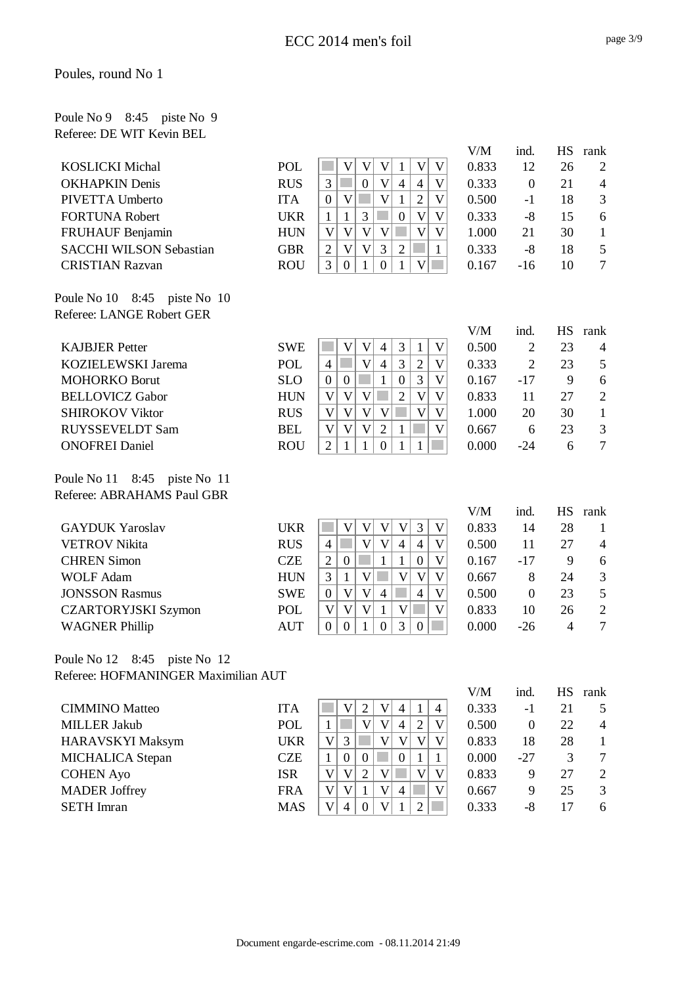| Poule No 9 8:45 piste No 9 |  |  |
|----------------------------|--|--|
| Referee: DE WIT Kevin BEL  |  |  |

|                                        |            |                                                                                                                 | V/M   | ind.             | <b>HS</b>      | rank           |
|----------------------------------------|------------|-----------------------------------------------------------------------------------------------------------------|-------|------------------|----------------|----------------|
| <b>KOSLICKI</b> Michal                 | <b>POL</b> | $\mathbf{V}$<br>$\mathbf V$<br>V<br>V<br>V<br>1                                                                 | 0.833 | 12               | 26             | $\overline{2}$ |
| <b>OKHAPKIN Denis</b>                  | <b>RUS</b> | 3<br>$\mathbf V$<br>$\overline{4}$<br>$\mathbf V$<br>$\boldsymbol{0}$<br>$\overline{4}$                         | 0.333 | $\overline{0}$   | 21             | $\overline{4}$ |
| PIVETTA Umberto                        | <b>ITA</b> | $\overline{2}$<br>$\mathbf V$<br>$\mathbf V$<br>V<br>$\overline{0}$<br>1                                        | 0.500 | $-1$             | 18             | 3              |
| <b>FORTUNA Robert</b>                  | <b>UKR</b> | $\mathbf{1}$<br>3<br>$\mathbf V$<br>$\mathbf{1}$<br>$\boldsymbol{0}$<br>V                                       | 0.333 | $-8$             | 15             | 6              |
| FRUHAUF Benjamin                       | <b>HUN</b> | $\mathbf V$<br>V<br>$\mathbf V$<br>V<br>V<br>V                                                                  | 1.000 | 21               | 30             | $\mathbf{1}$   |
| <b>SACCHI WILSON Sebastian</b>         | <b>GBR</b> | $\mathbf{V}$<br>3<br>$\overline{2}$<br>$\overline{2}$<br>V<br>$\mathbf{1}$                                      | 0.333 | $-8$             | 18             | 5              |
| <b>CRISTIAN Razvan</b>                 | <b>ROU</b> | $\overline{\mathsf{V}}$<br>$\overline{3}$<br>$\boldsymbol{0}$<br>$\boldsymbol{0}$<br>1<br>$\mathbf{1}$          | 0.167 | $-16$            | 10             | $\tau$         |
| Poule No $10 \quad 8:45$ piste No $10$ |            |                                                                                                                 |       |                  |                |                |
| Referee: LANGE Robert GER              |            |                                                                                                                 |       |                  |                |                |
|                                        |            |                                                                                                                 | V/M   | ind.             | HS             | rank           |
| <b>KAJBJER Petter</b>                  | <b>SWE</b> | 3<br>V<br>V<br>$\overline{4}$<br>V<br>$\mathbf{1}$                                                              | 0.500 | $\overline{2}$   | 23             | 4              |
| KOZIELEWSKI Jarema                     | POL        | $\mathbf V$<br>3<br>$\overline{2}$<br>$\overline{4}$<br>$\overline{4}$<br>V                                     | 0.333 | $\overline{2}$   | 23             | 5              |
| <b>MOHORKO Borut</b>                   | <b>SLO</b> | 3<br>$\boldsymbol{0}$<br>$\overline{\mathsf{V}}$<br>$\mathbf{1}$<br>$\overline{0}$<br>$\boldsymbol{0}$          | 0.167 | $-17$            | 9              | 6              |
| <b>BELLOVICZ Gabor</b>                 | <b>HUN</b> | $\overline{2}$<br>V<br>V<br>$\mathbf V$<br>$\overline{\mathsf{V}}$<br>$\mathbf V$                               | 0.833 | 11               | 27             | $\overline{2}$ |
| <b>SHIROKOV Viktor</b>                 | <b>RUS</b> | $\overline{\mathsf{V}}$<br>$\mathbf V$<br>$\overline{V}$<br>$\overline{\mathsf{V}}$<br>V<br>$\mathbf V$         | 1.000 | 20               | 30             | $\mathbf{1}$   |
| RUYSSEVELDT Sam                        | <b>BEL</b> | $\overline{2}$<br>V<br>V<br>$\mathbf{V}$<br>$\overline{\mathsf{V}}$<br>$\mathbf{1}$                             | 0.667 | 6                | 23             | 3              |
| <b>ONOFREI Daniel</b>                  | <b>ROU</b> | $\boldsymbol{0}$<br>2<br>$\mathbf{1}$<br>1<br>1<br>1                                                            | 0.000 | $-24$            | 6              | $\overline{7}$ |
| Poule No 11 8:45 piste No 11           |            |                                                                                                                 |       |                  |                |                |
| Referee: ABRAHAMS Paul GBR             |            |                                                                                                                 |       |                  |                |                |
|                                        |            |                                                                                                                 | V/M   | ind.             | <b>HS</b>      | rank           |
| <b>GAYDUK Yaroslav</b>                 | <b>UKR</b> | 3<br>$\mathbf V$<br>$\mathbf V$<br>$\mathbf V$<br>$\mathbf V$<br>$\mathbf V$                                    | 0.833 | 14               | 28             | 1              |
| <b>VETROV</b> Nikita                   | <b>RUS</b> | $\mathbf V$<br>$\overline{4}$<br>$\mathbf V$<br>$\overline{4}$<br>$\overline{4}$<br>V                           | 0.500 | 11               | 27             | $\overline{4}$ |
| <b>CHREN Simon</b>                     | <b>CZE</b> | $\boldsymbol{0}$<br>V<br>$\overline{2}$<br>$\mathbf{1}$<br>$\mathbf{1}$<br>$\boldsymbol{0}$                     | 0.167 | $-17$            | 9              | 6              |
| <b>WOLF Adam</b>                       | <b>HUN</b> | $\overline{\mathsf{V}}$<br>3<br>$\mathbf{1}$<br>$\mathbf V$<br>$\overline{\mathsf{V}}$<br>$\mathbf V$           | 0.667 | 8                | 24             | $\mathfrak{Z}$ |
| <b>JONSSON Rasmus</b>                  | <b>SWE</b> | $\mathbf V$<br> V <br>$\overline{4}$<br>$\overline{4}$<br>V<br>$\boldsymbol{0}$                                 | 0.500 | $\overline{0}$   | 23             | 5              |
| <b>CZARTORYJSKI Szymon</b>             | POL        | $\mathbf{V}$<br>$\mathbf{1}$<br>$\mathbf V$<br>$\overline{\mathsf{V}}$<br>$\mathbf V$<br>V                      | 0.833 | 10               | 26             | $\mathbf{2}$   |
| <b>WAGNER Phillip</b>                  | <b>AUT</b> | 3<br>$\mathbf{0}$<br>$\boldsymbol{0}$<br>1<br>$\boldsymbol{0}$<br>$\boldsymbol{0}$                              | 0.000 | $-26$            | $\overline{4}$ | $\overline{7}$ |
| 8:45<br>Poule No 12<br>piste No 12     |            |                                                                                                                 |       |                  |                |                |
| Referee: HOFMANINGER Maximilian AUT    |            |                                                                                                                 |       |                  |                |                |
|                                        |            |                                                                                                                 | V/M   | ind.             |                | HS rank        |
| <b>CIMMINO</b> Matteo                  | <b>ITA</b> | V<br>$\sqrt{2}$<br>$\overline{4}$<br>V<br>$\mathbf{1}$<br>$\overline{4}$                                        | 0.333 | $-1$             | 21             | 5              |
| <b>MILLER Jakub</b>                    | POL        | $\mathbf V$<br>$\mathbf V$<br>$\overline{2}$<br>$\mathbf{1}$<br>$\overline{4}$<br>V                             | 0.500 | $\boldsymbol{0}$ | 22             | 4              |
| HARAVSKYI Maksym                       | <b>UKR</b> | $\mathbf V$<br>3<br>$\mathbf V$<br>$\mathbf V$<br>$\boldsymbol{\mathrm{V}}$<br>$\mathbf V$                      | 0.833 | 18               | 28             | $\mathbf{1}$   |
| MICHALICA Stepan                       | <b>CZE</b> | $\boldsymbol{0}$<br>$\boldsymbol{0}$<br>$\boldsymbol{0}$<br>$\mathbf{1}$<br>$\mathbf{1}$<br>$\mathbf{1}$        | 0.000 | $-27$            | 3              | 7              |
| <b>COHEN Ayo</b>                       | <b>ISR</b> | $\overline{2}$<br>V<br>V<br>$\mathbf V$<br>$\mathbf V$<br>$\boldsymbol{\mathrm{V}}$                             | 0.833 | 9                | 27             | $\sqrt{2}$     |
| <b>MADER</b> Joffrey                   | <b>FRA</b> | $\mathbf V$<br>$\mathbf V$<br>$\mathbf V$<br>$\mathbf{1}$<br>$\overline{4}$<br>V                                | 0.667 | 9                | 25             | 3              |
| <b>SETH</b> Imran                      | <b>MAS</b> | $\overline{\mathsf{V}}$<br>$\overline{4}$<br>$\overline{2}$<br>$\mathbf{V}$<br>$\boldsymbol{0}$<br>$\mathbf{1}$ | 0.333 | $-8$             | 17             | 6              |
|                                        |            |                                                                                                                 |       |                  |                |                |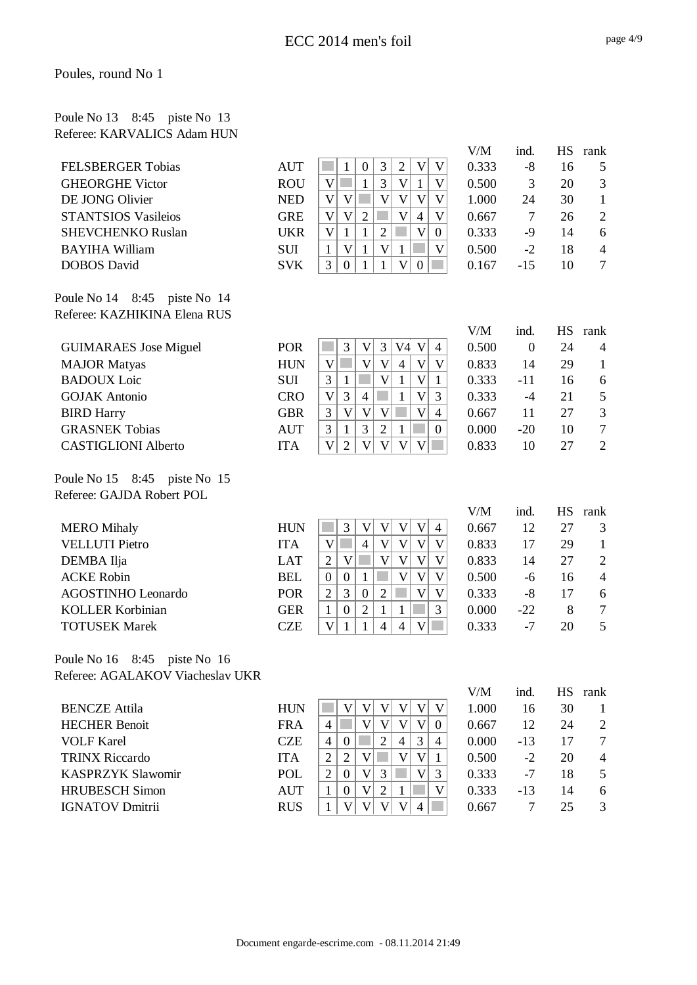### Poule No 13 8:45 piste No 13 Referee: KARVALICS Adam HUN

|                                            |            |                                                                                                                                                   | V/M   | ind.           | <b>HS</b> | rank           |
|--------------------------------------------|------------|---------------------------------------------------------------------------------------------------------------------------------------------------|-------|----------------|-----------|----------------|
| <b>FELSBERGER Tobias</b>                   | <b>AUT</b> | 3<br>$\overline{2}$<br>$\mathbf V$<br>$\mathbf V$<br>$\mathbf{1}$<br>$\boldsymbol{0}$                                                             | 0.333 | $-8$           | 16        | 5              |
| <b>GHEORGHE Victor</b>                     | <b>ROU</b> | 3<br>$\mathbf V$<br>$\mathbf V$<br>$\mathbf{1}$<br>$\mathbf{1}$<br>$\mathbf V$                                                                    | 0.500 | 3              | 20        | 3              |
| DE JONG Olivier                            | <b>NED</b> | $\mathbf V$<br>$\overline{\mathsf{V}}$<br>$\mathbf V$<br>$\mathbf V$<br>V<br>$\mathbf V$                                                          | 1.000 | 24             | 30        | $\mathbf{1}$   |
| <b>STANTSIOS Vasileios</b>                 | <b>GRE</b> | $\overline{\mathsf{V}}$<br>$\mathbf V$<br>$\mathbf V$<br>$\overline{2}$<br>$\overline{4}$<br>$\boldsymbol{\mathrm{V}}$                            | 0.667 | $\overline{7}$ | 26        | $\overline{2}$ |
| <b>SHEVCHENKO Ruslan</b>                   | <b>UKR</b> | $\overline{2}$<br>$\overline{\mathsf{V}}$<br>$\mathbf V$<br>$\mathbf{1}$<br>$\mathbf{1}$<br>$\overline{0}$                                        | 0.333 | $-9$           | 14        | 6              |
| <b>BAYIHA William</b>                      | <b>SUI</b> | $\mathbf V$<br>$\mathbf{1}$<br>$\mathbf V$<br>$\mathbf{1}$<br>V<br>$\mathbf{1}$                                                                   | 0.500 | $-2$           | 18        | $\overline{4}$ |
| <b>DOBOS</b> David                         | <b>SVK</b> | 3<br>$\mathbf V$<br>$\boldsymbol{0}$<br>$\mathbf{1}$<br>$\boldsymbol{0}$<br>$\mathbf{1}$                                                          | 0.167 | $-15$          | 10        | $\overline{7}$ |
| Poule No 14 8:45 piste No 14               |            |                                                                                                                                                   |       |                |           |                |
| Referee: KAZHIKINA Elena RUS               |            |                                                                                                                                                   |       |                |           |                |
|                                            |            |                                                                                                                                                   | V/M   | ind.           | <b>HS</b> | rank           |
| <b>GUIMARAES</b> Jose Miguel               | <b>POR</b> | 3<br>$\mathfrak{Z}$<br>V4<br>V<br>$\mathbf V$<br>$\overline{4}$                                                                                   | 0.500 | $\overline{0}$ | 24        | $\overline{4}$ |
| <b>MAJOR Matyas</b>                        | <b>HUN</b> | $\overline{\mathsf{V}}$<br>$\mathbf V$<br>$\overline{\mathsf{V}}$<br>$\mathbf V$<br>$\overline{4}$<br>$\boldsymbol{\mathrm{V}}$                   | 0.833 | 14             | 29        | $\mathbf{1}$   |
| <b>BADOUX</b> Loic                         | SUI        | $\overline{\mathsf{V}}$<br>$\mathbf V$<br>3<br>$\mathbf{1}$<br>$\mathbf{1}$<br>$\mathbf{1}$                                                       | 0.333 | $-11$          | 16        | 6              |
| <b>GOJAK Antonio</b>                       | <b>CRO</b> | $\overline{\mathsf{V}}$<br>3<br>3<br>$\mathbf V$<br>$\overline{4}$<br>$\mathbf{1}$                                                                | 0.333 | $-4$           | 21        | 5              |
| <b>BIRD Harry</b>                          | <b>GBR</b> | $\overline{\mathsf{V}}$<br>$\overline{\mathsf{V}}$<br>$\overline{\mathsf{V}}$<br>$\overline{\mathsf{V}}$<br>3<br>$\overline{4}$                   | 0.667 | 11             | 27        | 3              |
| <b>GRASNEK Tobias</b>                      | <b>AUT</b> | 3<br>$\overline{2}$<br>$\mathbf{1}$<br>$\mathbf{1}$<br>$\overline{0}$<br>3                                                                        | 0.000 | $-20$          | 10        | $\tau$         |
| <b>CASTIGLIONI Alberto</b>                 | <b>ITA</b> | $\overline{2}$<br>$\mathbf{V}$<br>$\mathbf V$<br>$\mathbf V$<br>$\mathbf{V}$<br>$\mathbf{V}$                                                      | 0.833 | 10             | 27        | $\overline{2}$ |
| Poule No 15 8:45 piste No 15               |            |                                                                                                                                                   |       |                |           |                |
| Referee: GAJDA Robert POL                  |            |                                                                                                                                                   |       |                |           |                |
|                                            |            |                                                                                                                                                   | V/M   | ind.           | <b>HS</b> | rank           |
| <b>MERO</b> Mihaly                         | <b>HUN</b> | 3<br>$\mathbf V$<br>$\mathbf V$<br>$\mathbf V$<br>V<br>$\overline{4}$                                                                             | 0.667 | 12             | 27        | 3              |
| <b>VELLUTI</b> Pietro                      | <b>ITA</b> | $\mathbf V$<br>$\mathbf V$<br>$\mathbf V$<br>$\overline{4}$<br>$\boldsymbol{\mathrm{V}}$<br>V                                                     | 0.833 | 17             | 29        | $\mathbf{1}$   |
| DEMBA Ilja                                 | <b>LAT</b> | $\overline{\mathsf{V}}$<br>$\mathbf V$<br>$\mathbf V$<br>$\mathbf V$<br>$\overline{2}$<br>$\boldsymbol{\mathrm{V}}$                               | 0.833 | 14             | 27        | $\mathbf{2}$   |
| <b>ACKE Robin</b>                          | <b>BEL</b> | $\overline{\mathsf{V}}$<br>$\mathbf{1}$<br>$\mathbf V$<br>$\mathbf V$<br>$\boldsymbol{0}$<br>$\boldsymbol{0}$                                     | 0.500 | $-6$           | 16        | $\overline{4}$ |
| <b>AGOSTINHO Leonardo</b>                  | POR        | $\overline{\mathsf{V}}$<br>3<br>$\overline{2}$<br>$\boldsymbol{0}$<br>$\sqrt{2}$<br>$\boldsymbol{\mathrm{V}}$                                     | 0.333 | $-8$           | 17        | 6              |
| <b>KOLLER Korbinian</b>                    | <b>GER</b> | 3<br>$\boldsymbol{0}$<br>$\overline{2}$<br>$\mathbf{1}$<br>$\mathbf{1}$<br>$\mathbf{1}$                                                           | 0.000 | $-22$          | 8         | $\tau$         |
| <b>TOTUSEK Marek</b>                       | <b>CZE</b> | $\overline{\mathbf{4}}$<br>$\mathbf V$<br>V<br>$\overline{4}$<br>1<br>$\mathbf{1}$                                                                | 0.333 | $-7$           | 20        | 5              |
| Poule No 16 8:45<br>piste No 16            |            |                                                                                                                                                   |       |                |           |                |
| Referee: AGALAKOV Viacheslav UKR           |            |                                                                                                                                                   |       |                |           |                |
|                                            |            |                                                                                                                                                   | V/M   | ind.           |           | HS rank        |
| <b>BENCZE</b> Attila                       | <b>HUN</b> | $\mathbf V$<br>V<br>$\mathbf V$<br>$\boldsymbol{\mathrm{V}}$<br>V<br>$\mathbf V$<br>$\mathbf V$<br>V<br>$\mathbf{V}$<br>$\mathbf V$               | 1.000 | 16             | 30        | $\mathbf{1}$   |
| <b>HECHER Benoit</b>                       | <b>FRA</b> | $\overline{4}$<br>$\boldsymbol{0}$                                                                                                                | 0.667 | 12             | 24        | 2              |
| <b>VOLF Karel</b><br><b>TRINX Riccardo</b> | <b>CZE</b> | 3<br>$\overline{4}$<br>$\boldsymbol{0}$<br>$\overline{2}$<br>$\overline{\mathcal{A}}$<br>4<br>$\overline{2}$<br>$\overline{\mathsf{V}}$<br>V<br>V | 0.000 | $-13$          | 17        | 7              |
| <b>KASPRZYK Slawomir</b>                   | <b>ITA</b> | $\mathbf{2}$<br>1<br>$\sqrt{2}$<br>$\mathbf V$<br>3<br>$\boldsymbol{0}$<br>V<br>3                                                                 | 0.500 | $-2$           | 20        | 4              |
|                                            | POL        |                                                                                                                                                   | 0.333 | $-7$           | 18        | 5              |
| <b>HRUBESCH Simon</b>                      | <b>AUT</b> | $\mathfrak{2}$<br>$\mathbf V$<br>$\mathbf V$<br>$\mathbf{1}$<br>$\overline{0}$<br>$\mathbf{1}$<br>V<br>$\overline{\mathsf{V}}$<br>V               | 0.333 | $-13$          | 14        | 6<br>3         |
| <b>IGNATOV Dmitrii</b>                     | <b>RUS</b> | $\mathbf{1}$<br>V<br>4                                                                                                                            | 0.667 | $\tau$         | 25        |                |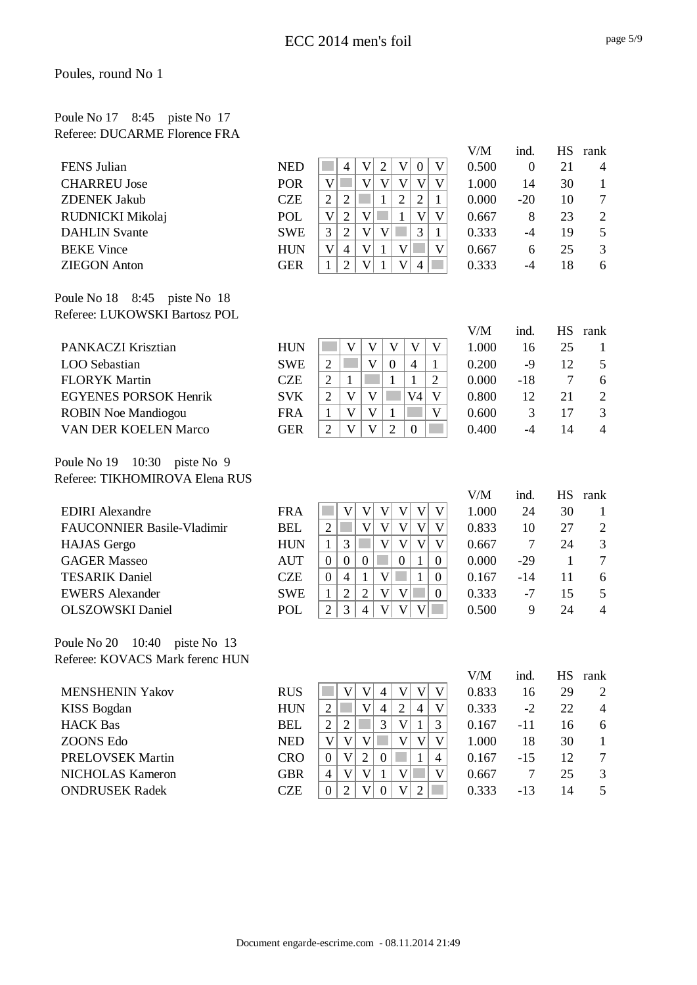### Poule No 17 8:45 piste No 17 Referee: DUCARME Florence FRA

|                                   |            |                                                                                                                     | V/M   | ind.             |              | HS rank                  |
|-----------------------------------|------------|---------------------------------------------------------------------------------------------------------------------|-------|------------------|--------------|--------------------------|
| FENS Julian                       | <b>NED</b> | $\mathbf V$<br>V<br>$\overline{2}$<br>$\mathbf V$<br>$\overline{4}$<br>$\boldsymbol{0}$                             | 0.500 | $\boldsymbol{0}$ | 21           | $\overline{4}$           |
| <b>CHARREU Jose</b>               | <b>POR</b> | $\overline{V}$<br>$\overline{\mathsf{V}}$<br>$\overline{\mathsf{V}}$<br>$\overline{\mathsf{V}}$<br>V<br>$\mathbf V$ | 1.000 | 14               | 30           | $\mathbf{1}$             |
| <b>ZDENEK Jakub</b>               | <b>CZE</b> | $\overline{2}$<br>$\overline{2}$<br>$\overline{2}$<br>$\overline{2}$<br>$\mathbf{1}$<br>1                           | 0.000 | $-20$            | 10           | $\tau$                   |
| RUDNICKI Mikolaj                  | <b>POL</b> | $\overline{2}$<br>$\overline{\mathsf{V}}$<br>$\mathbf V$<br>$\mathbf V$<br>$\overline{\mathsf{V}}$<br>$\mathbf{1}$  | 0.667 | 8                | 23           | $\mathbf{2}$             |
| <b>DAHLIN</b> Svante              | <b>SWE</b> | $\overline{2}$<br>3<br>3<br>$\overline{\mathsf{V}}$<br>$\mathbf{V}$<br>$\mathbf{1}$                                 | 0.333 | $-4$             | 19           | 5                        |
| <b>BEKE Vince</b>                 | <b>HUN</b> | $\mathbf V$<br>$\mathbf V$<br>V<br>$\overline{4}$<br>$\mathbf{1}$<br>$\mathbf{V}$                                   | 0.667 | 6                | 25           | 3                        |
| <b>ZIEGON Anton</b>               | <b>GER</b> | $\overline{2}$<br>V<br>$\mathbf{V}$<br>1<br>$\overline{4}$<br>$\mathbf{1}$                                          | 0.333 | $-4$             | 18           | 6                        |
| Poule No 18 8:45 piste No 18      |            |                                                                                                                     |       |                  |              |                          |
| Referee: LUKOWSKI Bartosz POL     |            |                                                                                                                     |       |                  |              |                          |
|                                   |            |                                                                                                                     | V/M   | ind.             | <b>HS</b>    | rank                     |
| PANKACZI Krisztian                | <b>HUN</b> | V<br>$\mathbf{V}$<br>V<br>V<br>V                                                                                    | 1.000 | 16               | 25           | $\mathbf{1}$             |
| LOO Sebastian                     | <b>SWE</b> | $\mathbf{V}$<br>$\overline{2}$<br>$\boldsymbol{0}$<br>$\overline{4}$<br>$\mathbf{1}$                                | 0.200 | $-9$             | 12           | 5                        |
| <b>FLORYK Martin</b>              | <b>CZE</b> | $\overline{2}$<br>$\overline{2}$<br>1<br>1<br>1                                                                     | 0.000 | $-18$            | 7            | 6                        |
| <b>EGYENES PORSOK Henrik</b>      | <b>SVK</b> | $\overline{2}$<br>V<br>V<br>V4<br>V                                                                                 | 0.800 | 12               | 21           | $\mathbf{2}$             |
| <b>ROBIN Noe Mandiogou</b>        | <b>FRA</b> | $\mathbf V$<br>$\mathbf{V}$<br>$\mathbf{1}$<br>$\mathbf{V}$<br>$\mathbf{1}$                                         | 0.600 | 3                | 17           | 3                        |
| VAN DER KOELEN Marco              | <b>GER</b> | V<br>V<br>$\overline{2}$<br>$\boldsymbol{0}$<br>$\overline{2}$                                                      | 0.400 | $-4$             | 14           | $\overline{4}$           |
| Poule No 19 10:30 piste No 9      |            |                                                                                                                     |       |                  |              |                          |
| Referee: TIKHOMIROVA Elena RUS    |            |                                                                                                                     |       |                  |              |                          |
|                                   |            |                                                                                                                     | V/M   | ind.             | <b>HS</b>    | rank                     |
| <b>EDIRI</b> Alexandre            | <b>FRA</b> | $\mathbf V$<br>$\mathbf V$<br>$\boldsymbol{\mathrm{V}}$<br>$\mathbf V$<br>V<br>V                                    | 1.000 | 24               | 30           | $\mathbf{1}$             |
| <b>FAUCONNIER Basile-Vladimir</b> | <b>BEL</b> | $\overline{\mathsf{V}}$<br>$\overline{\mathsf{V}}$<br>$\overline{V}$<br>$\overline{\mathsf{V}}$<br>$\sqrt{2}$<br>V  | 0.833 | 10               | 27           | $\overline{c}$           |
| <b>HAJAS</b> Gergo                | <b>HUN</b> | $\overline{\mathsf{V}}$<br>$\mathbf V$<br>$\overline{\mathsf{V}}$<br>3<br>$\mathbf{1}$<br>$\boldsymbol{\mathrm{V}}$ | 0.667 | $\overline{7}$   | 24           | 3                        |
| <b>GAGER Masseo</b>               | <b>AUT</b> | $\overline{0}$<br>$\mathbf{1}$<br>$\mathbf{0}$<br>$\boldsymbol{0}$<br>$\boldsymbol{0}$<br>$\boldsymbol{0}$          | 0.000 | $-29$            | $\mathbf{1}$ | $\overline{7}$           |
| <b>TESARIK Daniel</b>             | <b>CZE</b> | $\mathbf{1}$<br>$\overline{4}$<br>$\boldsymbol{\mathrm{V}}$<br>$\mathbf{1}$<br>$\boldsymbol{0}$<br>$\boldsymbol{0}$ | 0.167 | $-14$            | 11           | 6                        |
| <b>EWERS</b> Alexander            | <b>SWE</b> | $\mathbf V$<br>$\overline{2}$<br>$\sqrt{2}$<br>$\mathbf{V}$<br>$\mathbf{1}$<br>$\mathbf{0}$                         | 0.333 | $-7$             | 15           | 5                        |
| <b>OLSZOWSKI</b> Daniel           | POL        | 3<br>$\mathbf V$<br>V<br>$\mathbf V$<br>$\overline{2}$<br>$\overline{4}$                                            | 0.500 | 9                | 24           | $\overline{4}$           |
| Poule No 20 10:40 piste No 13     |            |                                                                                                                     |       |                  |              |                          |
| Referee: KOVACS Mark ferenc HUN   |            |                                                                                                                     |       |                  |              |                          |
|                                   |            |                                                                                                                     | V/M   | ind.             | <b>HS</b>    | rank                     |
| <b>MENSHENIN Yakov</b>            | <b>RUS</b> | $\mathbf V$<br>$\mathbf V$<br>V<br>$\overline{4}$<br>V<br>V                                                         | 0.833 | 16               | 29           | 2                        |
| <b>KISS Bogdan</b>                | <b>HUN</b> | $\mathbf{V}$<br>$\overline{4}$<br>$\overline{2}$<br>$\overline{4}$<br>$\sqrt{2}$<br>$\mathbf V$                     | 0.333 | $-2$             | 22           | $\overline{\mathcal{A}}$ |
| <b>HACK Bas</b>                   | <b>BEL</b> | $\mathbf{2}$<br>$\sqrt{2}$<br>3<br>$\mathbf V$<br>3<br>$\mathbf{1}$                                                 | 0.167 | $-11$            | 16           | 6                        |
| <b>ZOONS Edo</b>                  | <b>NED</b> | $\mathbf V$<br>$\mathbf V$<br>$\mathbf V$<br>$\mathbf V$<br>$\mathbf V$<br>V                                        | 1.000 | 18               | 30           | $\mathbf{1}$             |
| <b>PRELOVSEK Martin</b>           | <b>CRO</b> | V<br>$\overline{2}$<br>$\mathbf{1}$<br>$\boldsymbol{0}$<br>$\boldsymbol{0}$<br>$\overline{4}$                       | 0.167 | $-15$            | 12           | 7                        |
| <b>NICHOLAS Kameron</b>           | <b>GBR</b> | $\mathbf V$<br>$\mathbf{V}$<br>V<br>$\mathbf{V}$<br>$\mathbf{1}$<br>$\overline{4}$                                  | 0.667 | $\tau$           | 25           | 3                        |
| <b>ONDRUSEK Radek</b>             | <b>CZE</b> | $\overline{2}$<br>$\boldsymbol{0}$<br>$\mathbf V$<br>$\boldsymbol{0}$<br>$\mathbf V$<br>$\overline{2}$              | 0.333 | $-13$            | 14           | 5                        |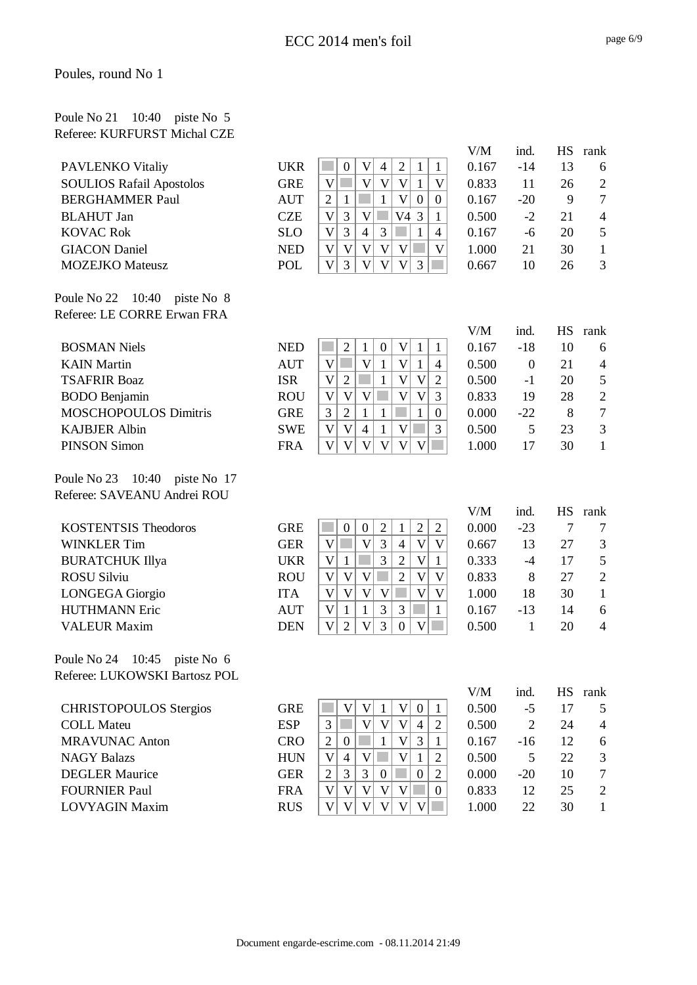#### Poule No 21 10:40 piste No 5 Referee: KURFURST Michal CZE

|                                           |                          |                                                                                                                                                                              | V/M            | ind.         | <b>HS</b>       | rank                                      |
|-------------------------------------------|--------------------------|------------------------------------------------------------------------------------------------------------------------------------------------------------------------------|----------------|--------------|-----------------|-------------------------------------------|
| PAVLENKO Vitaliy                          | <b>UKR</b>               | $\mathbf V$<br>$\sqrt{2}$<br>$\overline{4}$<br>$\boldsymbol{0}$<br>$\mathbf{1}$<br>$\mathbf{1}$                                                                              | 0.167          | $-14$        | 13              | 6                                         |
| <b>SOULIOS Rafail Apostolos</b>           | <b>GRE</b>               | V<br>$\mathbf V$<br>$\mathbf V$<br>$\mathbf V$<br>$\mathbf V$<br>$\mathbf{1}$                                                                                                | 0.833          | 11           | 26              | $\overline{c}$                            |
| <b>BERGHAMMER Paul</b>                    | <b>AUT</b>               | $\overline{2}$<br>$\mathbf{1}$<br>$\mathbf V$<br>$\mathbf{1}$<br>$\boldsymbol{0}$<br>$\overline{0}$                                                                          | 0.167          | $-20$        | 9               | $\tau$                                    |
| <b>BLAHUT</b> Jan                         | <b>CZE</b>               | 3<br>V<br>$\mathbf V$<br>V4 3<br>$\mathbf{1}$                                                                                                                                | 0.500          | $-2$         | 21              | $\overline{4}$                            |
| <b>KOVAC Rok</b>                          | <b>SLO</b>               | 3<br>$\mathbf V$<br>3<br>$\overline{4}$<br>$\mathbf{1}$<br>$\overline{4}$                                                                                                    | 0.167          | $-6$         | 20              | 5                                         |
| <b>GIACON Daniel</b>                      | <b>NED</b>               | $\overline{\mathsf{V}}$<br>$\mathbf V$<br>$\mathbf V$<br>$\mathbf V$<br>$\overline{\mathsf{V}}$<br>$\mathbf V$                                                               | 1.000          | 21           | 30              | $\mathbf{1}$                              |
| <b>MOZEJKO</b> Mateusz                    | <b>POL</b>               | 3<br>V<br>$\mathbf V$<br>V<br>3<br>$\mathbf V$                                                                                                                               | 0.667          | 10           | 26              | 3                                         |
| Poule No $22 \quad 10:40$ piste No 8      |                          |                                                                                                                                                                              |                |              |                 |                                           |
| Referee: LE CORRE Erwan FRA               |                          |                                                                                                                                                                              |                |              |                 |                                           |
|                                           | <b>NED</b>               | $\mathbf V$                                                                                                                                                                  | V/M            | ind.         | <b>HS</b><br>10 | rank                                      |
| <b>BOSMAN Niels</b>                       |                          | $\mathfrak{2}$<br>$\boldsymbol{0}$<br>$\mathbf{1}$<br>$\mathbf{1}$<br>1<br>$\mathbf V$<br>$\overline{\mathsf{V}}$<br>$\overline{\mathsf{V}}$<br>$\mathbf{1}$<br>$\mathbf{1}$ | 0.167          | $-18$        |                 | 6                                         |
| <b>KAIN</b> Martin<br><b>TSAFRIR Boaz</b> | <b>AUT</b><br><b>ISR</b> | $\overline{4}$<br>$\mathbf V$<br>$\overline{2}$<br>V<br>$\overline{2}$<br>$\mathbf{1}$<br>$\mathbf V$                                                                        | 0.500<br>0.500 | $\mathbf{0}$ | 21<br>20        | $\overline{\mathcal{L}}$<br>$\mathfrak s$ |
| <b>BODO</b> Benjamin                      | <b>ROU</b>               | $\overline{\mathsf{V}}$<br>3<br>$\mathbf{V}$<br>V<br>$\overline{\mathsf{V}}$<br>V                                                                                            | 0.833          | $-1$<br>19   | 28              | $\overline{2}$                            |
| <b>MOSCHOPOULOS Dimitris</b>              | <b>GRE</b>               | $\overline{2}$<br>3<br>$\mathbf{1}$<br>$\mathbf{1}$<br>$\mathbf{1}$<br>$\mathbf{0}$                                                                                          | 0.000          | $-22$        | 8               | $\overline{7}$                            |
| <b>KAJBJER Albin</b>                      | <b>SWE</b>               | V<br>3<br>$\overline{4}$<br>$\mathbf{1}$<br>$\mathbf V$<br>V                                                                                                                 | 0.500          | 5            | 23              | 3                                         |
| <b>PINSON Simon</b>                       | <b>FRA</b>               | $\mathbf{V}$<br>V<br>V<br>V<br>V<br>V                                                                                                                                        | 1.000          | 17           | 30              | $\mathbf{1}$                              |
|                                           |                          |                                                                                                                                                                              |                |              |                 |                                           |
| Poule No 23 10:40 piste No 17             |                          |                                                                                                                                                                              |                |              |                 |                                           |
| Referee: SAVEANU Andrei ROU               |                          |                                                                                                                                                                              |                |              |                 |                                           |
|                                           |                          |                                                                                                                                                                              | V/M            | ind.         | <b>HS</b>       | rank                                      |
| <b>KOSTENTSIS Theodoros</b>               | <b>GRE</b>               | $\sqrt{2}$<br>$\mathbf 1$<br>$\boldsymbol{2}$<br>$\mathbf{2}$<br>$\boldsymbol{0}$<br>$\boldsymbol{0}$                                                                        | 0.000          | $-23$        | $\overline{7}$  | 7                                         |
| <b>WINKLER Tim</b>                        | <b>GER</b>               | 3<br>$\mathbf V$<br>V<br>$\mathbf V$<br>$\mathbf V$<br>$\overline{4}$                                                                                                        | 0.667          | 13           | 27              | 3                                         |
| <b>BURATCHUK Illya</b>                    | <b>UKR</b>               | 3<br>$\overline{\mathsf{V}}$<br>V<br>$\overline{2}$<br>$\mathbf{1}$<br>$\mathbf{1}$                                                                                          | 0.333          | $-4$         | 17              | 5                                         |
| <b>ROSU Silviu</b>                        | <b>ROU</b>               | $\overline{2}$<br>$\overline{\mathsf{V}}$<br>V<br>$\mathbf V$<br>$\mathbf V$<br>$\mathbf V$                                                                                  | 0.833          | 8            | 27              | $\overline{2}$                            |
| <b>LONGEGA</b> Giorgio                    | <b>ITA</b>               | $\overline{\mathsf{V}}$<br>$\mathbf V$<br>V<br>$\mathbf V$<br>$\mathbf V$<br>$\mathbf V$                                                                                     | 1.000          | 18           | 30              | $\mathbf{1}$                              |
| <b>HUTHMANN Eric</b>                      | <b>AUT</b>               | 3<br>V<br>$\mathbf{1}$<br>$\mathbf{1}$<br>3<br>$\mathbf{1}$                                                                                                                  | 0.167          | $-13$        | 14              | 6                                         |
| <b>VALEUR Maxim</b>                       | <b>DEN</b>               | 3<br>$\overline{2}$<br>$\mathbf V$<br>V<br>V<br>$\boldsymbol{0}$                                                                                                             | 0.500          | 1            | 20              | $\overline{4}$                            |
| 10:45<br>Poule No 24<br>piste No 6        |                          |                                                                                                                                                                              |                |              |                 |                                           |
| Referee: LUKOWSKI Bartosz POL             |                          |                                                                                                                                                                              |                |              |                 |                                           |
|                                           |                          |                                                                                                                                                                              | V/M            | ind.         |                 | HS rank                                   |
| <b>CHRISTOPOULOS Stergios</b>             | <b>GRE</b>               | $\mathbf V$<br>$\mathbf V$<br>$\mathbf V$<br>$\mathbf{1}$<br>$\boldsymbol{0}$<br>$\mathbf{1}$                                                                                | 0.500          | $-5$         | 17              | 5                                         |
| <b>COLL Mateu</b>                         | <b>ESP</b>               | $\mathfrak{Z}$<br>$\mathbf V$<br>$\overline{2}$<br>$\mathbf{V}$<br>V<br>$\overline{4}$                                                                                       | 0.500          | $\mathbf{2}$ | 24              | $\overline{4}$                            |
| <b>MRAVUNAC Anton</b>                     | <b>CRO</b>               | $\mathfrak{2}$<br>3<br>$\boldsymbol{0}$<br>$\mathbf V$<br>$\mathbf{1}$<br>1                                                                                                  | 0.167          | $-16$        | 12              | 6                                         |
| <b>NAGY Balazs</b>                        | <b>HUN</b>               | $\overline{4}$<br>V<br>$\mathbf V$<br>$\mathbf V$<br>1<br>$\overline{2}$                                                                                                     | 0.500          | 5            | 22              | 3                                         |
| <b>DEGLER Maurice</b>                     | <b>GER</b>               | 3<br>3<br>$\mathfrak{2}$<br>$\sqrt{2}$<br>$\mathbf{0}$<br>$\boldsymbol{0}$                                                                                                   | 0.000          | $-20$        | 10              | $\boldsymbol{7}$                          |
| <b>FOURNIER Paul</b>                      | <b>FRA</b>               | $\mathbf V$<br>V<br>V<br>$\mathbf V$<br>V<br>$\mathbf{0}$                                                                                                                    | 0.833          | 12           | 25              | $\overline{c}$                            |
| <b>LOVYAGIN Maxim</b>                     | <b>RUS</b>               | $\overline{V}$<br>$\overline{\mathsf{V}}$<br>V<br>V<br>$\mathbf{V}$<br>V                                                                                                     | 1.000          | 22           | 30              | $\mathbf{1}$                              |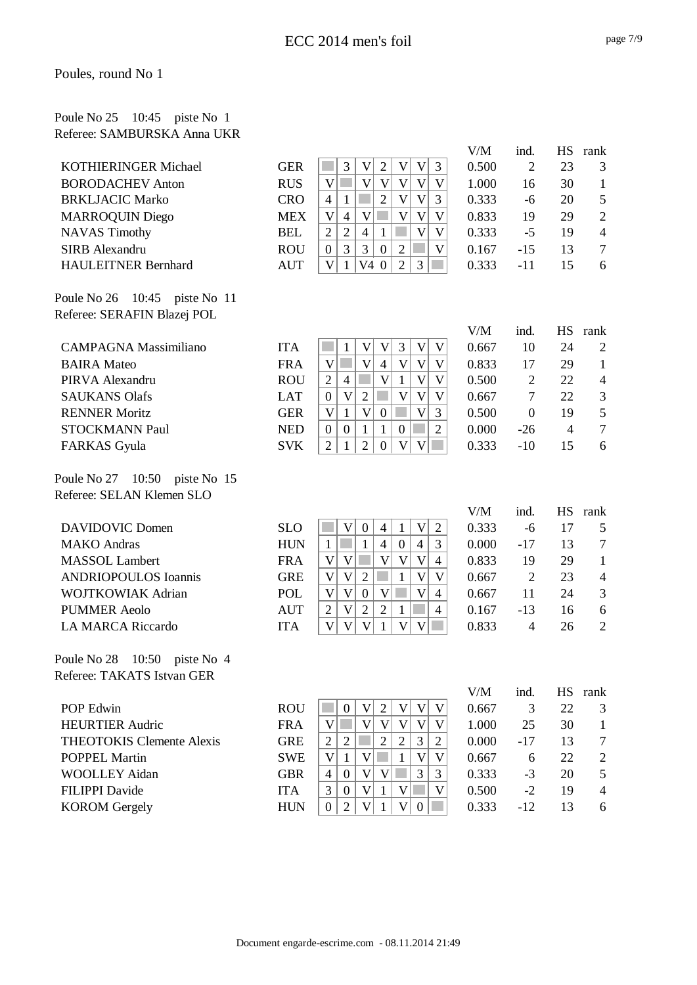#### Poule No 25 10:45 piste No 1 Referee: SAMBURSKA Anna UKR

|                                    |            |                                                                                                              | V/M          | ind.             | <b>HS</b>       | rank                   |
|------------------------------------|------------|--------------------------------------------------------------------------------------------------------------|--------------|------------------|-----------------|------------------------|
| <b>KOTHIERINGER Michael</b>        | <b>GER</b> | 3<br>V<br>$\sqrt{2}$<br>$\mathbf V$<br>$\mathbf V$<br>3                                                      | 0.500        | $\overline{2}$   | 23              | 3                      |
| <b>BORODACHEV Anton</b>            | <b>RUS</b> | $\mathbf V$<br>$\mathbf V$<br>$\overline{\mathsf{V}}$<br>$\mathbf V$<br>$\mathbf V$<br>V                     | 1.000        | 16               | 30              | $\mathbf{1}$           |
| <b>BRKLJACIC Marko</b>             | <b>CRO</b> | $\overline{\mathsf{V}}$<br>$\overline{\mathsf{V}}$<br>$\overline{2}$<br>3<br>$\overline{4}$<br>$\mathbf{1}$  | 0.333        | $-6$             | 20              | $\mathfrak s$          |
| <b>MARROQUIN Diego</b>             | <b>MEX</b> | $\mathbf V$<br>$\overline{4}$<br>$\mathbf V$<br>$\mathbf V$<br>V<br>$\mathbf{V}$                             | 0.833        | 19               | 29              | $\sqrt{2}$             |
| <b>NAVAS Timothy</b>               | <b>BEL</b> | $\overline{2}$<br>$\overline{2}$<br>$\overline{4}$<br>$\overline{V}$<br>$\mathbf{1}$<br>V                    | 0.333        | $-5$             | 19              | $\overline{4}$         |
| <b>SIRB</b> Alexandru              | <b>ROU</b> | 3<br>3<br>$\overline{2}$<br>V<br>$\boldsymbol{0}$<br>$\boldsymbol{0}$                                        | 0.167        | $-15$            | 13              | $\boldsymbol{7}$       |
| <b>HAULEITNER Bernhard</b>         | <b>AUT</b> | $\mathbf V$<br>V4 0<br>$\overline{2}$<br>3<br>$\mathbf{1}$                                                   | 0.333        | $-11$            | 15              | 6                      |
| Poule No 26 10:45 piste No 11      |            |                                                                                                              |              |                  |                 |                        |
| Referee: SERAFIN Blazej POL        |            |                                                                                                              |              |                  |                 |                        |
| <b>CAMPAGNA</b> Massimiliano       | <b>ITA</b> | V<br>V<br>3<br>$\mathbf{1}$<br>V<br>V                                                                        | V/M<br>0.667 | ind.<br>10       | <b>HS</b><br>24 | rank<br>$\overline{2}$ |
| <b>BAIRA</b> Mateo                 | <b>FRA</b> | $\mathbf V$<br>$\overline{\mathsf{V}}$<br>$\overline{\mathsf{V}}$<br>$\overline{4}$<br>V<br>V                | 0.833        | 17               | 29              | $\mathbf{1}$           |
| PIRVA Alexandru                    | <b>ROU</b> | $\mathbf V$<br>$\overline{V}$<br>$\overline{2}$<br>$\overline{4}$<br>V<br>$\mathbf{1}$                       | 0.500        | $\overline{2}$   | 22              | $\overline{4}$         |
| <b>SAUKANS Olafs</b>               | <b>LAT</b> | $\mathbf V$<br>$\sqrt{2}$<br>$\mathbf{V}$<br>$\mathbf{V}$<br>V<br>$\boldsymbol{0}$                           | 0.667        | $\tau$           | 22              | $\mathfrak{Z}$         |
| <b>RENNER Moritz</b>               | <b>GER</b> | $\mathbf V$<br>$\mathbf{1}$<br>$\mathbf{V}$<br>V<br>3<br>$\boldsymbol{0}$                                    | 0.500        | $\boldsymbol{0}$ | 19              | $\mathfrak{S}$         |
| <b>STOCKMANN Paul</b>              | <b>NED</b> | $\overline{0}$<br>$\mathbf{1}$<br>$\mathbf{1}$<br>$\overline{2}$<br>$\mathbf{0}$<br>$\overline{0}$           | 0.000        | $-26$            | $\overline{4}$  | $\tau$                 |
| FARKAS Gyula                       | <b>SVK</b> | $\overline{2}$<br>$\overline{2}$<br>$\mathbf V$<br>V<br>$\mathbf{1}$<br>$\overline{0}$                       | 0.333        | $-10$            | 15              | 6                      |
| Poule No 27 10:50 piste No 15      |            |                                                                                                              |              |                  |                 |                        |
| Referee: SELAN Klemen SLO          |            |                                                                                                              |              |                  |                 |                        |
|                                    |            |                                                                                                              | V/M          | ind.             | <b>HS</b>       | rank                   |
| <b>DAVIDOVIC Domen</b>             | <b>SLO</b> | V<br>$\overline{4}$<br>$\mathbf V$<br>$\mathfrak{2}$<br>$\overline{0}$<br>$\mathbf{1}$                       | 0.333        | $-6$             | 17              | 5                      |
| <b>MAKO</b> Andras                 | <b>HUN</b> | $\mathbf{1}$<br>$\overline{4}$<br>$\overline{4}$<br>3<br>$\mathbf{1}$<br>$\boldsymbol{0}$                    | 0.000        | $-17$            | 13              | $\tau$                 |
| <b>MASSOL</b> Lambert              | <b>FRA</b> | $\overline{V}$<br>$\mathbf V$<br>$\mathbf V$<br>$\mathbf V$<br>V<br>$\overline{4}$                           | 0.833        | 19               | 29              | $\mathbf{1}$           |
| <b>ANDRIOPOULOS Ioannis</b>        | <b>GRE</b> | $\overline{2}$<br>$\mathbf V$<br>$\ensuremath{\mathsf{V}}$<br>$\mathbf{V}$<br>$\mathbf{1}$<br>V              | 0.667        | $\overline{2}$   | 23              | $\overline{4}$         |
| <b>WOJTKOWIAK Adrian</b>           | POL        | $\mathbf V$<br>$\mathbf V$<br>$\boldsymbol{0}$<br>$\mathbf V$<br>$\boldsymbol{\mathrm{V}}$<br>$\overline{4}$ | 0.667        | 11               | 24              | 3                      |
| <b>PUMMER Aeolo</b>                | <b>AUT</b> | $\overline{2}$<br>$\overline{2}$<br>$\overline{2}$<br>$\mathbf V$<br>$\mathbf{1}$<br>$\overline{4}$          | 0.167        | $-13$            | 16              | 6                      |
| <b>LA MARCA Riccardo</b>           | <b>ITA</b> | $\mathbf V$<br>V<br>V<br>$\mathbf{1}$<br>$\mathbf V$<br>V                                                    | 0.833        | $\overline{4}$   | 26              | $\overline{2}$         |
| 10:50<br>Poule No 28<br>piste No 4 |            |                                                                                                              |              |                  |                 |                        |
| Referee: TAKATS Istvan GER         |            |                                                                                                              |              |                  |                 |                        |
| POP Edwin                          | <b>ROU</b> | $\mathbf V$<br>$\sqrt{2}$<br>$\mathbf V$<br>V<br>$\boldsymbol{0}$<br>V                                       | V/M<br>0.667 | ind.<br>3        | HS<br>22        | rank<br>3              |
| <b>HEURTIER Audric</b>             | <b>FRA</b> | $\mathbf V$<br>V<br>$\mathbf{V}$<br>V<br>$\mathbf{V}$<br>V                                                   | 1.000        | 25               | 30              | $\mathbf{1}$           |
| <b>THEOTOKIS Clemente Alexis</b>   | <b>GRE</b> | $\overline{2}$<br>$\mathbf{2}$<br>$\overline{2}$<br>3<br>$\overline{2}$<br>$\overline{2}$                    | 0.000        | $-17$            | 13              | 7                      |
| <b>POPPEL Martin</b>               | <b>SWE</b> | $\mathbf V$<br>$\mathbf{1}$<br>$\mathbf V$<br>$\overline{V}$<br>1<br>V                                       | 0.667        | 6                | 22              | $\overline{c}$         |
| <b>WOOLLEY Aidan</b>               | <b>GBR</b> | 3<br>$\boldsymbol{\mathrm{V}}$<br>$\mathbf V$<br>3<br>$\overline{4}$<br>$\boldsymbol{0}$                     | 0.333        | $-3$             | 20              | 5                      |
| <b>FILIPPI</b> Davide              | <b>ITA</b> | 3<br>$\boldsymbol{0}$<br>V<br>V<br>$\mathbf V$<br>$\mathbf{1}$                                               | 0.500        | $-2$             | 19              | 4                      |
| <b>KOROM</b> Gergely               | <b>HUN</b> | $\overline{2}$<br>$\boldsymbol{\mathrm{V}}$<br>$\boldsymbol{0}$<br>V<br>$\boldsymbol{0}$<br>$\mathbf{1}$     | 0.333        | $-12$            | 13              | 6                      |
|                                    |            |                                                                                                              |              |                  |                 |                        |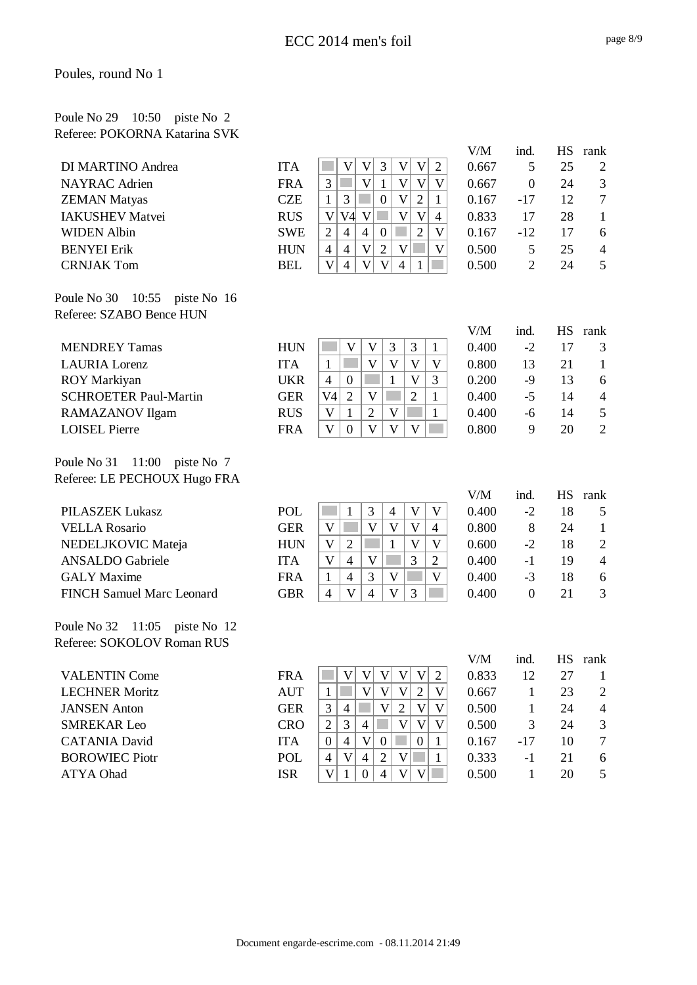### Poule No 29 10:50 piste No 2 Referee: POKORNA Katarina SVK

|                                  |            |                                                                                                         | V/M          | ind.             | <b>HS</b>       | rank             |
|----------------------------------|------------|---------------------------------------------------------------------------------------------------------|--------------|------------------|-----------------|------------------|
| DI MARTINO Andrea                | <b>ITA</b> | 3<br>$\mathbf V$<br>$\mathbf V$<br>$\mathbf V$<br>$\mathbf V$<br>$\overline{2}$                         | 0.667        | 5                | 25              | 2                |
| <b>NAYRAC</b> Adrien             | <b>FRA</b> | $\overline{3}$<br>V<br>$\mathbf{1}$<br>$\mathbf{V}$<br>$\mathbf{V}$<br>V                                | 0.667        | $\mathbf{0}$     | 24              | $\mathfrak{Z}$   |
| <b>ZEMAN Matyas</b>              | <b>CZE</b> | $\overline{\mathsf{V}}$<br>$\overline{2}$<br>3<br>$\mathbf{0}$<br>$\mathbf{1}$<br>$\mathbf{1}$          | 0.167        | $-17$            | 12              | $\boldsymbol{7}$ |
| <b>IAKUSHEV Matvei</b>           | <b>RUS</b> | $\mathbf{V}$<br>V <sub>4</sub> V<br>$\mathbf V$<br>$\mathbf{V}$<br>$\overline{4}$                       | 0.833        | 17               | 28              | $\mathbf{1}$     |
| <b>WIDEN Albin</b>               | <b>SWE</b> | $\overline{2}$<br>$\overline{4}$<br>$\mathfrak{2}$<br>$\overline{4}$<br>$\boldsymbol{0}$<br>$\mathbf V$ | 0.167        | $-12$            | 17              | 6                |
| <b>BENYEI Erik</b>               | <b>HUN</b> | V<br>$\overline{2}$<br>$\mathbf V$<br>$\overline{4}$<br>$\overline{4}$<br>V                             | 0.500        | 5                | 25              | $\overline{4}$   |
| <b>CRNJAK Tom</b>                | <b>BEL</b> | $\mathbf V$<br>V<br>$\overline{4}$<br>V<br>4<br>1                                                       | 0.500        | $\overline{2}$   | 24              | 5                |
| Poule No 30<br>10:55 piste No 16 |            |                                                                                                         |              |                  |                 |                  |
| Referee: SZABO Bence HUN         |            |                                                                                                         |              |                  |                 |                  |
| <b>MENDREY Tamas</b>             | <b>HUN</b> | 3<br>3<br>$\mathbf{V}$<br>$\mathbf V$<br>$\mathbf{1}$                                                   | V/M<br>0.400 | ind.<br>$-2$     | <b>HS</b><br>17 | rank<br>3        |
| <b>LAURIA</b> Lorenz             | <b>ITA</b> | $\mathbf V$<br>$\mathbf{V}$<br>V<br>V<br>$\mathbf{1}$                                                   | 0.800        | 13               | 21              | $\mathbf{1}$     |
| ROY Markiyan                     | <b>UKR</b> | $\boldsymbol{0}$<br>$\mathbf{1}$<br>V<br>3<br>$\overline{4}$                                            | 0.200        | $-9$             | 13              | 6                |
| <b>SCHROETER Paul-Martin</b>     | <b>GER</b> | $\overline{2}$<br>$\mathbf V$<br>$\overline{2}$<br>$\mathbf{1}$<br>V <sub>4</sub>                       | 0.400        | $-5$             | 14              | $\overline{4}$   |
| RAMAZANOV Ilgam                  | <b>RUS</b> | V<br>$\overline{2}$<br>$\mathbf{1}$<br>$\mathbf{V}$<br>$\mathbf{1}$                                     | 0.400        | $-6$             | 14              | $\mathfrak s$    |
| <b>LOISEL Pierre</b>             | <b>FRA</b> | V<br>$\mathbf V$<br>V<br>$\overline{0}$<br>$\mathbf{V}$                                                 | 0.800        | 9                | 20              | $\overline{2}$   |
| Poule No 31 $11:00$ piste No 7   |            |                                                                                                         |              |                  |                 |                  |
| Referee: LE PECHOUX Hugo FRA     |            |                                                                                                         |              |                  |                 |                  |
|                                  |            |                                                                                                         | V/M          | ind.             | <b>HS</b>       | rank             |
| <b>PILASZEK Lukasz</b>           | <b>POL</b> | 3<br>$\mathbf{V}$<br>V<br>$\mathbf{1}$<br>$\overline{4}$                                                | 0.400        | $-2$             | 18              | 5                |
| <b>VELLA Rosario</b>             | <b>GER</b> | V<br>$\mathbf V$<br>V<br>V<br>$\overline{4}$                                                            | 0.800        | 8                | 24              | $\mathbf{1}$     |
| NEDELJKOVIC Mateja               | <b>HUN</b> | V<br>$\mathfrak{2}$<br>1<br>V<br>V                                                                      | 0.600        | $-2$             | 18              | $\mathfrak{2}$   |
| <b>ANSALDO</b> Gabriele          | <b>ITA</b> | V<br>$\ensuremath{\mathsf{V}}$<br>3<br>$\overline{4}$<br>$\overline{2}$                                 | 0.400        | $-1$             | 19              | $\overline{4}$   |
| <b>GALY</b> Maxime               | <b>FRA</b> | 3<br>$\overline{4}$<br>V<br>$\mathbf{V}$<br>$\mathbf{1}$                                                | 0.400        | $-3$             | 18              | 6                |
| <b>FINCH Samuel Marc Leonard</b> | <b>GBR</b> | 3<br>V<br>$\overline{4}$<br>V<br>$\overline{4}$                                                         | 0.400        | $\boldsymbol{0}$ | 21              | 3                |
| Poule No 32 11:05 piste No 12    |            |                                                                                                         |              |                  |                 |                  |
| Referee: SOKOLOV Roman RUS       |            |                                                                                                         |              |                  |                 |                  |
|                                  |            |                                                                                                         | $V\!/\!M$    | ind.             |                 | HS rank          |
| <b>VALENTIN Come</b>             | <b>FRA</b> | $\mathbf{V}$<br>V<br>V<br>V<br>V<br>$\overline{c}$                                                      | 0.833        | 12               | 27              | 1                |
| <b>LECHNER Moritz</b>            | <b>AUT</b> | V<br>$\mathbf{V}$<br>$\overline{2}$<br>$\mathbf{1}$<br>V<br>V                                           | 0.667        | $\mathbf{1}$     | 23              | 2                |
| <b>JANSEN</b> Anton              | <b>GER</b> | $\mathfrak{Z}$<br>$\overline{\mathsf{V}}$<br>$\overline{4}$<br>V<br>$\overline{2}$<br>V                 | 0.500        | $\mathbf{1}$     | 24              | 4                |
| <b>SMREKAR Leo</b>               | <b>CRO</b> | $\overline{2}$<br>3<br>$\mathbf{V}$<br>V<br>V<br>$\overline{4}$                                         | 0.500        | 3                | 24              | 3                |
| <b>CATANIA David</b>             | <b>ITA</b> | $\overline{4}$<br>$\overline{0}$<br>V<br>$\overline{0}$<br>$\boldsymbol{0}$<br>1                        | 0.167        | $-17$            | 10              | $\overline{7}$   |
| <b>BOROWIEC Piotr</b>            | POL        | $\mathbf V$<br>$\overline{2}$<br>$\overline{4}$<br>$\mathbf V$<br>$\overline{4}$<br>1                   | 0.333        | $-1$             | 21              | 6                |
| ATYA Ohad                        | <b>ISR</b> | V<br>$\mathbf V$<br>$\mathbf{1}$<br>$\overline{4}$<br>$\mathbf{V}$<br>$\mathbf{0}$                      | 0.500        | $\mathbf{1}$     | 20              | 5                |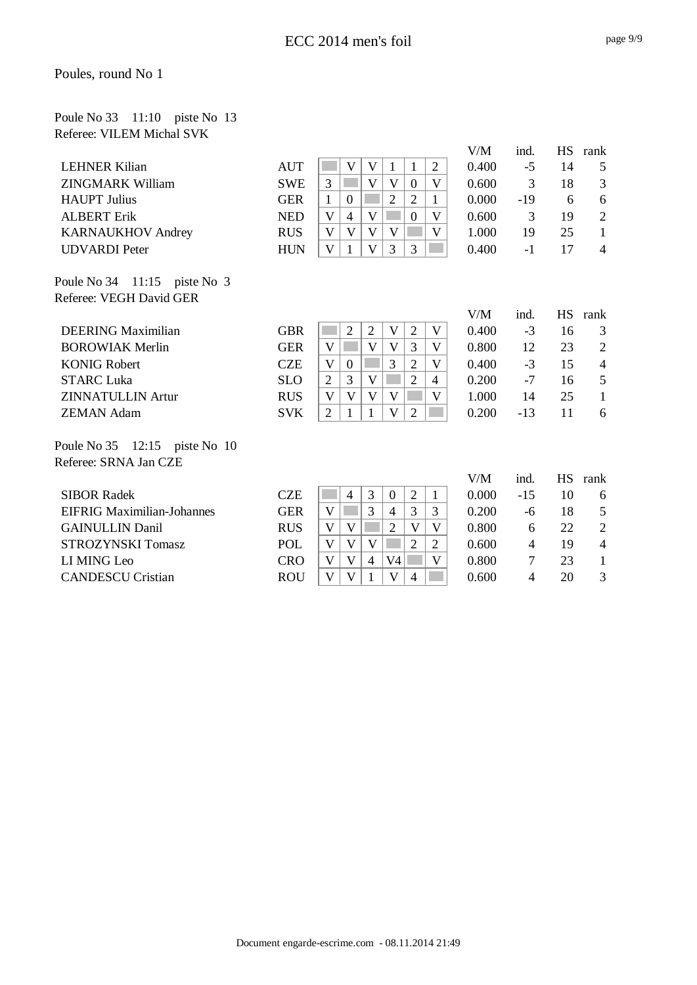#### Poule No 33 11:10 piste No 13 Referee: VILEM Michal SVK

|                                   |            |                                                                                               | V/M   | ind.  |           | HS rank        |
|-----------------------------------|------------|-----------------------------------------------------------------------------------------------|-------|-------|-----------|----------------|
| <b>LEHNER Kilian</b>              | <b>AUT</b> | V<br>$\mathbf{V}$<br>$\overline{2}$<br>$\mathbf{1}$<br>1                                      | 0.400 | $-5$  | 14        | 5              |
| <b>ZINGMARK William</b>           | <b>SWE</b> | $\overline{V}$<br>$\overline{3}$<br>$\overline{\mathsf{V}}$<br>$\overline{0}$<br>$\mathbf{V}$ | 0.600 | 3     | 18        | 3              |
| <b>HAUPT</b> Julius               | <b>GER</b> | $\overline{2}$<br>$\overline{2}$<br>$\mathbf{1}$<br>$\theta$<br>1                             | 0.000 | $-19$ | 6         | 6              |
| <b>ALBERT Erik</b>                | <b>NED</b> | $\overline{4}$<br>$\mathbf V$<br>$\overline{\mathsf{V}}$<br>V<br>$\overline{0}$               | 0.600 | 3     | 19        | $\sqrt{2}$     |
| <b>KARNAUKHOV Andrey</b>          | <b>RUS</b> | $\mathbf V$<br>$\mathbf V$<br>V<br>V<br>V                                                     | 1.000 | 19    | 25        | $\mathbf{1}$   |
| <b>UDVARDI</b> Peter              | <b>HUN</b> | 3<br>3<br>V<br>$\mathbf{V}$                                                                   | 0.400 | $-1$  | 17        | $\overline{4}$ |
| Poule No $34$ 11:15 piste No 3    |            |                                                                                               |       |       |           |                |
| Referee: VEGH David GER           |            |                                                                                               |       |       |           |                |
|                                   |            |                                                                                               | V/M   | ind.  | <b>HS</b> | rank           |
| <b>DEERING Maximilian</b>         | <b>GBR</b> | $\overline{2}$<br>$\overline{2}$<br>$\overline{V}$<br>$\overline{2}$<br>V                     | 0.400 | $-3$  | 16        | 3              |
| <b>BOROWIAK Merlin</b>            | <b>GER</b> | V<br>$\mathbf{V}$<br>V<br>3<br>V                                                              | 0.800 | 12    | 23        | $\overline{2}$ |
| <b>KONIG Robert</b>               | <b>CZE</b> | 3<br>$\overline{2}$<br>V<br>V<br>$\boldsymbol{0}$                                             | 0.400 | $-3$  | 15        | $\overline{4}$ |
| <b>STARC Luka</b>                 | <b>SLO</b> | $\overline{2}$<br>3<br>V<br>$\overline{2}$<br>$\overline{4}$                                  | 0.200 | $-7$  | 16        | 5              |
| <b>ZINNATULLIN Artur</b>          | <b>RUS</b> | V<br>V<br>V<br>V<br>V                                                                         | 1.000 | 14    | 25        | $\mathbf{1}$   |
| <b>ZEMAN Adam</b>                 | <b>SVK</b> | $\overline{2}$<br>2<br>$\mathbf{1}$<br>V<br>1                                                 | 0.200 | $-13$ | 11        | 6              |
| Poule No 35 12:15 piste No 10     |            |                                                                                               |       |       |           |                |
| Referee: SRNA Jan CZE             |            |                                                                                               |       |       |           |                |
|                                   |            |                                                                                               | V/M   | ind.  | <b>HS</b> | rank           |
| <b>SIBOR Radek</b>                | <b>CZE</b> | 3<br>$\overline{2}$<br>$\overline{4}$<br>$\theta$<br>$\mathbf{1}$                             | 0.000 | $-15$ | 10        | 6              |
| <b>EIFRIG Maximilian-Johannes</b> | <b>GER</b> | 3<br>V<br>3<br>3<br>$\overline{4}$                                                            | 0.200 | $-6$  | 18        | 5              |
| <b>GAINULLIN Danil</b>            | <b>RUS</b> | V<br>$\overline{2}$<br>V<br>V<br>$\mathbf{V}$                                                 | 0.800 | 6     | 22        | $\mathbf{2}$   |
| <b>STROZYNSKI Tomasz</b>          | POL        | V<br>V<br>V<br>$\overline{2}$<br>$\overline{2}$                                               | 0.600 | 4     | 19        | $\overline{4}$ |
| LI MING Leo                       | <b>CRO</b> | V<br>V<br>V <sub>4</sub><br>V<br>$\overline{4}$                                               | 0.800 | 7     | 23        | $\mathbf{1}$   |
| <b>CANDESCU Cristian</b>          | <b>ROU</b> | V<br>V<br>$\overline{4}$<br>V<br>1                                                            | 0.600 | 4     | 20        | 3              |
|                                   |            |                                                                                               |       |       |           |                |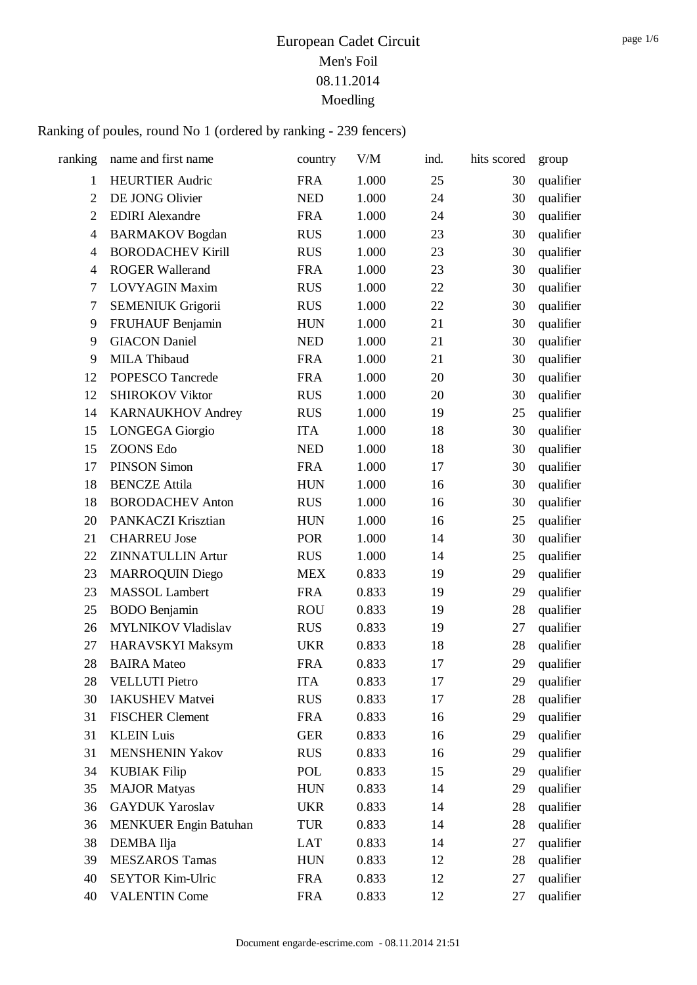| ranking        | name and first name          | country    | V/M   | ind. | hits scored | group     |
|----------------|------------------------------|------------|-------|------|-------------|-----------|
| $\mathbf{1}$   | <b>HEURTIER Audric</b>       | <b>FRA</b> | 1.000 | 25   | 30          | qualifier |
| $\overline{2}$ | DE JONG Olivier              | <b>NED</b> | 1.000 | 24   | 30          | qualifier |
| $\overline{2}$ | <b>EDIRI</b> Alexandre       | <b>FRA</b> | 1.000 | 24   | 30          | qualifier |
| $\overline{4}$ | <b>BARMAKOV</b> Bogdan       | <b>RUS</b> | 1.000 | 23   | 30          | qualifier |
| 4              | <b>BORODACHEV Kirill</b>     | <b>RUS</b> | 1.000 | 23   | 30          | qualifier |
| 4              | <b>ROGER Wallerand</b>       | <b>FRA</b> | 1.000 | 23   | 30          | qualifier |
| $\tau$         | <b>LOVYAGIN Maxim</b>        | <b>RUS</b> | 1.000 | 22   | 30          | qualifier |
| 7              | <b>SEMENIUK Grigorii</b>     | <b>RUS</b> | 1.000 | 22   | 30          | qualifier |
| 9              | FRUHAUF Benjamin             | <b>HUN</b> | 1.000 | 21   | 30          | qualifier |
| 9              | <b>GIACON Daniel</b>         | <b>NED</b> | 1.000 | 21   | 30          | qualifier |
| 9              | <b>MILA Thibaud</b>          | <b>FRA</b> | 1.000 | 21   | 30          | qualifier |
| 12             | POPESCO Tancrede             | <b>FRA</b> | 1.000 | 20   | 30          | qualifier |
| 12             | <b>SHIROKOV Viktor</b>       | <b>RUS</b> | 1.000 | 20   | 30          | qualifier |
| 14             | <b>KARNAUKHOV Andrey</b>     | <b>RUS</b> | 1.000 | 19   | 25          | qualifier |
| 15             | <b>LONGEGA</b> Giorgio       | <b>ITA</b> | 1.000 | 18   | 30          | qualifier |
| 15             | <b>ZOONS Edo</b>             | <b>NED</b> | 1.000 | 18   | 30          | qualifier |
| 17             | <b>PINSON Simon</b>          | <b>FRA</b> | 1.000 | 17   | 30          | qualifier |
| 18             | <b>BENCZE</b> Attila         | <b>HUN</b> | 1.000 | 16   | 30          | qualifier |
| 18             | <b>BORODACHEV Anton</b>      | <b>RUS</b> | 1.000 | 16   | 30          | qualifier |
| 20             | PANKACZI Krisztian           | <b>HUN</b> | 1.000 | 16   | 25          | qualifier |
| 21             | <b>CHARREU Jose</b>          | <b>POR</b> | 1.000 | 14   | 30          | qualifier |
| 22             | <b>ZINNATULLIN Artur</b>     | <b>RUS</b> | 1.000 | 14   | 25          | qualifier |
| 23             | <b>MARROQUIN Diego</b>       | <b>MEX</b> | 0.833 | 19   | 29          | qualifier |
| 23             | <b>MASSOL</b> Lambert        | <b>FRA</b> | 0.833 | 19   | 29          | qualifier |
| 25             | <b>BODO</b> Benjamin         | <b>ROU</b> | 0.833 | 19   | 28          | qualifier |
| 26             | <b>MYLNIKOV Vladislav</b>    | <b>RUS</b> | 0.833 | 19   | 27          | qualifier |
| 27             | HARAVSKYI Maksym             | <b>UKR</b> | 0.833 | 18   | 28          | qualifier |
| 28             | <b>BAIRA</b> Mateo           | <b>FRA</b> | 0.833 | 17   | 29          | qualifier |
| 28             | <b>VELLUTI Pietro</b>        | <b>ITA</b> | 0.833 | 17   | 29          | qualifier |
| 30             | <b>IAKUSHEV Matvei</b>       | <b>RUS</b> | 0.833 | 17   | 28          | qualifier |
| 31             | <b>FISCHER Clement</b>       | <b>FRA</b> | 0.833 | 16   | 29          | qualifier |
| 31             | <b>KLEIN Luis</b>            | <b>GER</b> | 0.833 | 16   | 29          | qualifier |
| 31             | <b>MENSHENIN Yakov</b>       | <b>RUS</b> | 0.833 | 16   | 29          | qualifier |
| 34             | <b>KUBIAK Filip</b>          | POL        | 0.833 | 15   | 29          | qualifier |
| 35             | <b>MAJOR Matyas</b>          | <b>HUN</b> | 0.833 | 14   | 29          | qualifier |
| 36             | <b>GAYDUK Yaroslav</b>       | <b>UKR</b> | 0.833 | 14   | 28          | qualifier |
| 36             | <b>MENKUER Engin Batuhan</b> | <b>TUR</b> | 0.833 | 14   | 28          | qualifier |
| 38             | DEMBA Ilja                   | LAT        | 0.833 | 14   | 27          | qualifier |
| 39             | <b>MESZAROS Tamas</b>        | <b>HUN</b> | 0.833 | 12   | 28          | qualifier |
| 40             | <b>SEYTOR Kim-Ulric</b>      | <b>FRA</b> | 0.833 | 12   | 27          | qualifier |
| 40             | <b>VALENTIN Come</b>         | <b>FRA</b> | 0.833 | 12   | 27          | qualifier |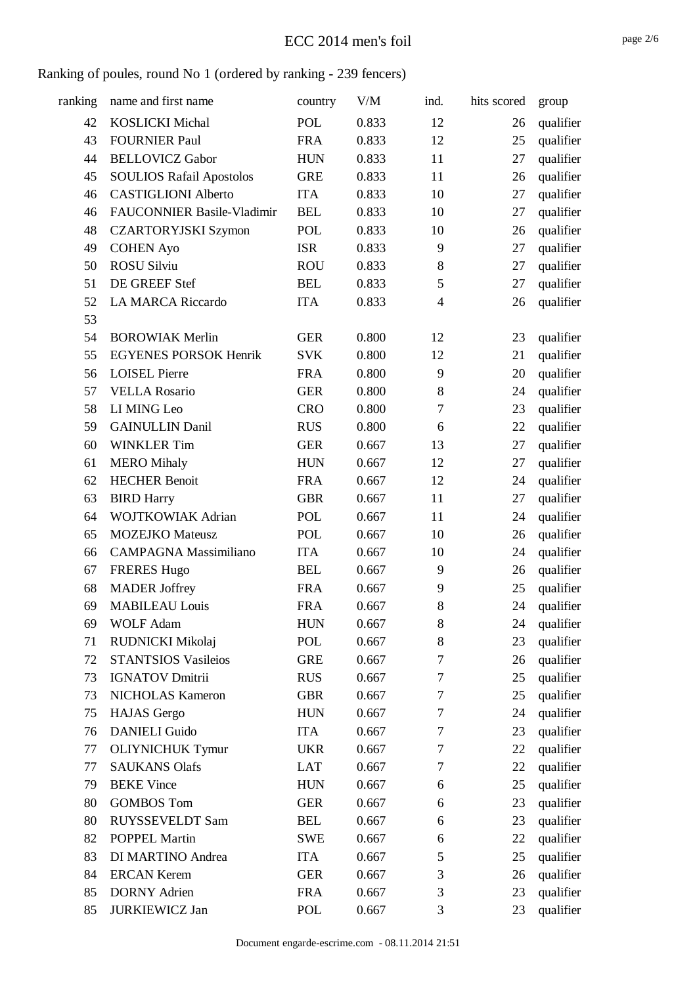| ranking | name and first name               | country    | V/M   | ind.             | hits scored | group     |
|---------|-----------------------------------|------------|-------|------------------|-------------|-----------|
| 42      | <b>KOSLICKI Michal</b>            | <b>POL</b> | 0.833 | 12               | 26          | qualifier |
| 43      | <b>FOURNIER Paul</b>              | <b>FRA</b> | 0.833 | 12               | 25          | qualifier |
| 44      | <b>BELLOVICZ Gabor</b>            | <b>HUN</b> | 0.833 | 11               | 27          | qualifier |
| 45      | <b>SOULIOS Rafail Apostolos</b>   | <b>GRE</b> | 0.833 | 11               | 26          | qualifier |
| 46      | <b>CASTIGLIONI Alberto</b>        | <b>ITA</b> | 0.833 | 10               | 27          | qualifier |
| 46      | <b>FAUCONNIER Basile-Vladimir</b> | <b>BEL</b> | 0.833 | 10               | 27          | qualifier |
| 48      | <b>CZARTORYJSKI Szymon</b>        | <b>POL</b> | 0.833 | 10               | 26          | qualifier |
| 49      | <b>COHEN Ayo</b>                  | <b>ISR</b> | 0.833 | 9                | 27          | qualifier |
| 50      | <b>ROSU Silviu</b>                | <b>ROU</b> | 0.833 | $\,8\,$          | 27          | qualifier |
| 51      | DE GREEF Stef                     | <b>BEL</b> | 0.833 | 5                | 27          | qualifier |
| 52      | <b>LA MARCA Riccardo</b>          | <b>ITA</b> | 0.833 | $\overline{4}$   | 26          | qualifier |
| 53      |                                   |            |       |                  |             |           |
| 54      | <b>BOROWIAK Merlin</b>            | <b>GER</b> | 0.800 | 12               | 23          | qualifier |
| 55      | <b>EGYENES PORSOK Henrik</b>      | <b>SVK</b> | 0.800 | 12               | 21          | qualifier |
| 56      | <b>LOISEL Pierre</b>              | <b>FRA</b> | 0.800 | 9                | 20          | qualifier |
| 57      | <b>VELLA Rosario</b>              | <b>GER</b> | 0.800 | 8                | 24          | qualifier |
| 58      | LI MING Leo                       | <b>CRO</b> | 0.800 | $\tau$           | 23          | qualifier |
| 59      | <b>GAINULLIN Danil</b>            | <b>RUS</b> | 0.800 | 6                | 22          | qualifier |
| 60      | <b>WINKLER Tim</b>                | <b>GER</b> | 0.667 | 13               | 27          | qualifier |
| 61      | <b>MERO</b> Mihaly                | <b>HUN</b> | 0.667 | 12               | 27          | qualifier |
| 62      | <b>HECHER Benoit</b>              | <b>FRA</b> | 0.667 | 12               | 24          | qualifier |
| 63      | <b>BIRD Harry</b>                 | <b>GBR</b> | 0.667 | 11               | 27          | qualifier |
| 64      | <b>WOJTKOWIAK Adrian</b>          | POL        | 0.667 | 11               | 24          | qualifier |
| 65      | <b>MOZEJKO</b> Mateusz            | POL        | 0.667 | 10               | 26          | qualifier |
| 66      | <b>CAMPAGNA Massimiliano</b>      | <b>ITA</b> | 0.667 | 10               | 24          | qualifier |
| 67      | <b>FRERES Hugo</b>                | <b>BEL</b> | 0.667 | 9                | 26          | qualifier |
| 68      | <b>MADER</b> Joffrey              | <b>FRA</b> | 0.667 | 9                | 25          | qualifier |
| 69      | <b>MABILEAU Louis</b>             | <b>FRA</b> | 0.667 | $\,8\,$          | 24          | qualifier |
| 69      | <b>WOLF Adam</b>                  | <b>HUN</b> | 0.667 | 8                | 24          | qualifier |
| 71      | RUDNICKI Mikolaj                  | POL        | 0.667 | $\,8\,$          | 23          | qualifier |
| 72      | <b>STANTSIOS Vasileios</b>        | <b>GRE</b> | 0.667 | $\tau$           | 26          | qualifier |
| 73      | <b>IGNATOV Dmitrii</b>            | <b>RUS</b> | 0.667 | $\tau$           | 25          | qualifier |
| 73      | NICHOLAS Kameron                  | <b>GBR</b> | 0.667 | $\tau$           | 25          | qualifier |
| 75      | <b>HAJAS</b> Gergo                | <b>HUN</b> | 0.667 | $\tau$           | 24          | qualifier |
| 76      | <b>DANIELI</b> Guido              | <b>ITA</b> | 0.667 | $\boldsymbol{7}$ | 23          | qualifier |
| 77      | <b>OLIYNICHUK Tymur</b>           | <b>UKR</b> | 0.667 | $\tau$           | 22          | qualifier |
| 77      | <b>SAUKANS Olafs</b>              | LAT        | 0.667 | 7                | 22          | qualifier |
| 79      | <b>BEKE</b> Vince                 | <b>HUN</b> | 0.667 | 6                | 25          | qualifier |
| 80      | <b>GOMBOS Tom</b>                 | <b>GER</b> | 0.667 | 6                | 23          | qualifier |
| 80      | <b>RUYSSEVELDT Sam</b>            | <b>BEL</b> | 0.667 | 6                | 23          | qualifier |
| 82      | POPPEL Martin                     | <b>SWE</b> | 0.667 | 6                | 22          | qualifier |
| 83      | DI MARTINO Andrea                 | <b>ITA</b> | 0.667 | 5                | 25          | qualifier |
| 84      | <b>ERCAN Kerem</b>                | <b>GER</b> | 0.667 | 3                | 26          | qualifier |
| 85      | <b>DORNY</b> Adrien               | <b>FRA</b> | 0.667 | 3                | 23          | qualifier |
| 85      | <b>JURKIEWICZ Jan</b>             | POL        | 0.667 | 3                | 23          | qualifier |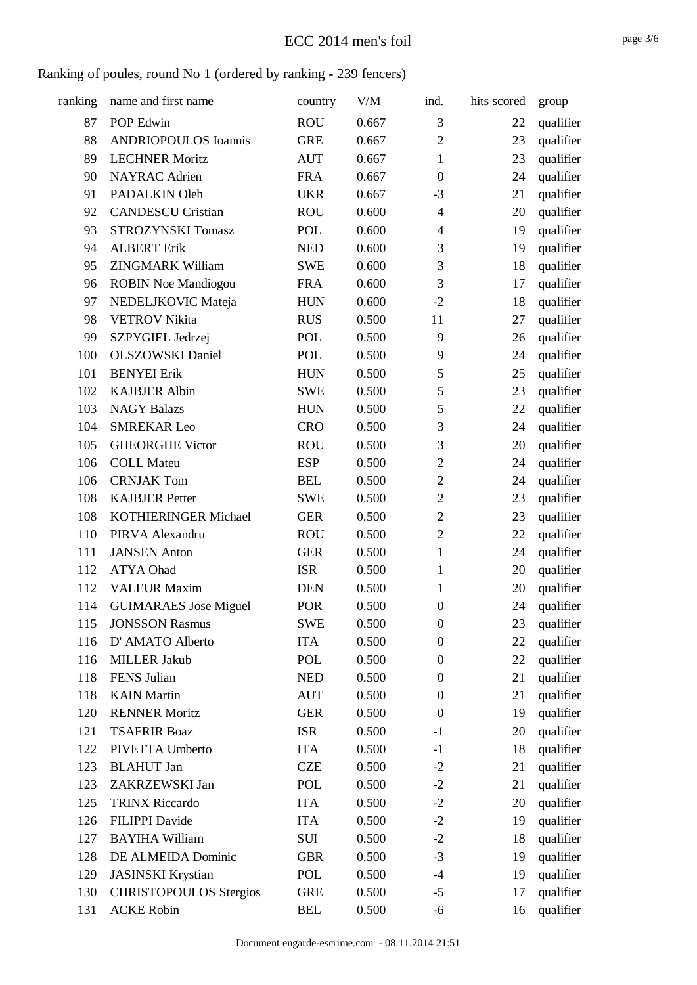### ECC 2014 men's foil

| ranking | name and first name           | country    | V/M   | ind.             | hits scored | group     |
|---------|-------------------------------|------------|-------|------------------|-------------|-----------|
| 87      | POP Edwin                     | <b>ROU</b> | 0.667 | 3                | 22          | qualifier |
| 88      | <b>ANDRIOPOULOS</b> Ioannis   | <b>GRE</b> | 0.667 | $\overline{2}$   | 23          | qualifier |
| 89      | <b>LECHNER Moritz</b>         | <b>AUT</b> | 0.667 | $\mathbf{1}$     | 23          | qualifier |
| 90      | <b>NAYRAC</b> Adrien          | <b>FRA</b> | 0.667 | $\boldsymbol{0}$ | 24          | qualifier |
| 91      | PADALKIN Oleh                 | <b>UKR</b> | 0.667 | $-3$             | 21          | qualifier |
| 92      | <b>CANDESCU Cristian</b>      | <b>ROU</b> | 0.600 | $\overline{4}$   | 20          | qualifier |
| 93      | <b>STROZYNSKI Tomasz</b>      | POL        | 0.600 | $\overline{4}$   | 19          | qualifier |
| 94      | <b>ALBERT Erik</b>            | <b>NED</b> | 0.600 | 3                | 19          | qualifier |
| 95      | <b>ZINGMARK William</b>       | <b>SWE</b> | 0.600 | 3                | 18          | qualifier |
| 96      | <b>ROBIN Noe Mandiogou</b>    | <b>FRA</b> | 0.600 | 3                | 17          | qualifier |
| 97      | NEDELJKOVIC Mateja            | <b>HUN</b> | 0.600 | $-2$             | 18          | qualifier |
| 98      | <b>VETROV Nikita</b>          | <b>RUS</b> | 0.500 | 11               | 27          | qualifier |
| 99      | SZPYGIEL Jedrzej              | POL        | 0.500 | 9                | 26          | qualifier |
| 100     | <b>OLSZOWSKI</b> Daniel       | <b>POL</b> | 0.500 | 9                | 24          | qualifier |
| 101     | <b>BENYEI Erik</b>            | <b>HUN</b> | 0.500 | 5                | 25          | qualifier |
| 102     | <b>KAJBJER Albin</b>          | <b>SWE</b> | 0.500 | 5                | 23          | qualifier |
| 103     | <b>NAGY Balazs</b>            | <b>HUN</b> | 0.500 | 5                | 22          | qualifier |
| 104     | <b>SMREKAR Leo</b>            | <b>CRO</b> | 0.500 | 3                | 24          | qualifier |
| 105     | <b>GHEORGHE Victor</b>        | <b>ROU</b> | 0.500 | 3                | 20          | qualifier |
| 106     | <b>COLL Mateu</b>             | <b>ESP</b> | 0.500 | $\overline{2}$   | 24          | qualifier |
| 106     | <b>CRNJAK Tom</b>             | <b>BEL</b> | 0.500 | $\overline{2}$   | 24          | qualifier |
| 108     | <b>KAJBJER Petter</b>         | <b>SWE</b> | 0.500 | $\overline{2}$   | 23          | qualifier |
| 108     | <b>KOTHIERINGER Michael</b>   | <b>GER</b> | 0.500 | $\overline{2}$   | 23          | qualifier |
| 110     | PIRVA Alexandru               | <b>ROU</b> | 0.500 | $\mathbf{2}$     | 22          | qualifier |
| 111     | <b>JANSEN</b> Anton           | <b>GER</b> | 0.500 | $\mathbf{1}$     | 24          | qualifier |
| 112     | ATYA Ohad                     | <b>ISR</b> | 0.500 | $\mathbf{1}$     | 20          | qualifier |
| 112     | <b>VALEUR Maxim</b>           | <b>DEN</b> | 0.500 | 1                | 20          | qualifier |
| 114     | <b>GUIMARAES</b> Jose Miguel  | POR        | 0.500 | $\boldsymbol{0}$ | 24          | qualifier |
| 115     | <b>JONSSON Rasmus</b>         | <b>SWE</b> | 0.500 | $\boldsymbol{0}$ | 23          | qualifier |
| 116     | D' AMATO Alberto              | <b>ITA</b> | 0.500 | $\boldsymbol{0}$ | 22          | qualifier |
| 116     | <b>MILLER Jakub</b>           | POL        | 0.500 | $\boldsymbol{0}$ | 22          | qualifier |
| 118     | FENS Julian                   | <b>NED</b> | 0.500 | $\boldsymbol{0}$ | 21          | qualifier |
| 118     | <b>KAIN</b> Martin            | <b>AUT</b> | 0.500 | $\boldsymbol{0}$ | 21          | qualifier |
| 120     | <b>RENNER Moritz</b>          | <b>GER</b> | 0.500 | $\boldsymbol{0}$ | 19          | qualifier |
| 121     | <b>TSAFRIR Boaz</b>           | <b>ISR</b> | 0.500 | $-1$             | 20          | qualifier |
| 122     | PIVETTA Umberto               | <b>ITA</b> | 0.500 | $-1$             | 18          | qualifier |
| 123     | <b>BLAHUT</b> Jan             | <b>CZE</b> | 0.500 | $-2$             | 21          | qualifier |
| 123     | ZAKRZEWSKI Jan                | POL        | 0.500 | $-2$             | 21          | qualifier |
| 125     | <b>TRINX Riccardo</b>         | <b>ITA</b> | 0.500 | $-2$             | 20          | qualifier |
| 126     | <b>FILIPPI</b> Davide         | <b>ITA</b> | 0.500 | $-2$             | 19          | qualifier |
| 127     | <b>BAYIHA William</b>         | SUI        | 0.500 | $-2$             | 18          | qualifier |
| 128     | DE ALMEIDA Dominic            | <b>GBR</b> | 0.500 | $-3$             | 19          | qualifier |
| 129     | <b>JASINSKI</b> Krystian      | POL        | 0.500 | $-4$             | 19          | qualifier |
| 130     | <b>CHRISTOPOULOS Stergios</b> | <b>GRE</b> | 0.500 | $-5$             | 17          | qualifier |
| 131     | <b>ACKE Robin</b>             | <b>BEL</b> | 0.500 | $-6$             | 16          | qualifier |
|         |                               |            |       |                  |             |           |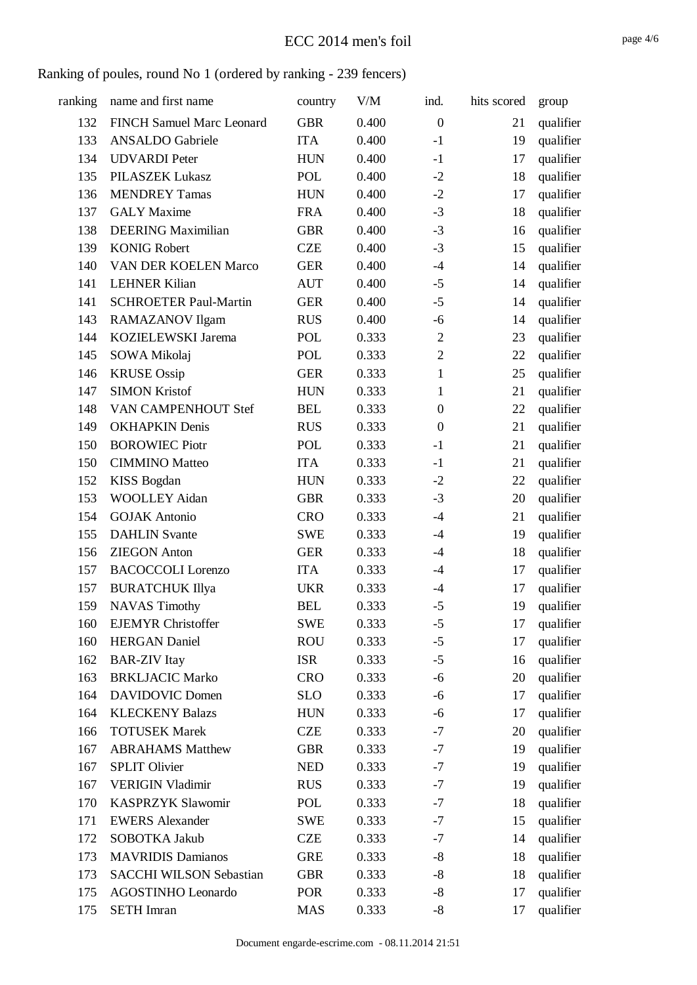| ranking | name and first name              | country    | V/M   | ind.             | hits scored | group     |
|---------|----------------------------------|------------|-------|------------------|-------------|-----------|
| 132     | <b>FINCH Samuel Marc Leonard</b> | <b>GBR</b> | 0.400 | $\boldsymbol{0}$ | 21          | qualifier |
| 133     | <b>ANSALDO</b> Gabriele          | <b>ITA</b> | 0.400 | $-1$             | 19          | qualifier |
| 134     | <b>UDVARDI</b> Peter             | <b>HUN</b> | 0.400 | $-1$             | 17          | qualifier |
| 135     | PILASZEK Lukasz                  | <b>POL</b> | 0.400 | $-2$             | 18          | qualifier |
| 136     | <b>MENDREY Tamas</b>             | <b>HUN</b> | 0.400 | $-2$             | 17          | qualifier |
| 137     | <b>GALY</b> Maxime               | <b>FRA</b> | 0.400 | $-3$             | 18          | qualifier |
| 138     | <b>DEERING Maximilian</b>        | <b>GBR</b> | 0.400 | $-3$             | 16          | qualifier |
| 139     | <b>KONIG Robert</b>              | <b>CZE</b> | 0.400 | $-3$             | 15          | qualifier |
| 140     | <b>VAN DER KOELEN Marco</b>      | <b>GER</b> | 0.400 | $-4$             | 14          | qualifier |
| 141     | <b>LEHNER Kilian</b>             | <b>AUT</b> | 0.400 | $-5$             | 14          | qualifier |
| 141     | <b>SCHROETER Paul-Martin</b>     | <b>GER</b> | 0.400 | $-5$             | 14          | qualifier |
| 143     | RAMAZANOV Ilgam                  | <b>RUS</b> | 0.400 | $-6$             | 14          | qualifier |
| 144     | KOZIELEWSKI Jarema               | <b>POL</b> | 0.333 | $\overline{2}$   | 23          | qualifier |
| 145     | SOWA Mikolaj                     | POL        | 0.333 | $\overline{2}$   | 22          | qualifier |
| 146     | <b>KRUSE</b> Ossip               | <b>GER</b> | 0.333 | $\mathbf{1}$     | 25          | qualifier |
| 147     | <b>SIMON Kristof</b>             | <b>HUN</b> | 0.333 | $\mathbf{1}$     | 21          | qualifier |
| 148     | VAN CAMPENHOUT Stef              | <b>BEL</b> | 0.333 | $\boldsymbol{0}$ | 22          | qualifier |
| 149     | <b>OKHAPKIN Denis</b>            | <b>RUS</b> | 0.333 | $\boldsymbol{0}$ | 21          | qualifier |
| 150     | <b>BOROWIEC Piotr</b>            | POL        | 0.333 | $-1$             | 21          | qualifier |
| 150     | <b>CIMMINO</b> Matteo            | <b>ITA</b> | 0.333 | $-1$             | 21          | qualifier |
| 152     | <b>KISS Bogdan</b>               | <b>HUN</b> | 0.333 | $-2$             | 22          | qualifier |
| 153     | <b>WOOLLEY Aidan</b>             | <b>GBR</b> | 0.333 | $-3$             | 20          | qualifier |
| 154     | <b>GOJAK Antonio</b>             | <b>CRO</b> | 0.333 | $-4$             | 21          | qualifier |
| 155     | <b>DAHLIN</b> Svante             | <b>SWE</b> | 0.333 | $-4$             | 19          | qualifier |
| 156     | <b>ZIEGON Anton</b>              | <b>GER</b> | 0.333 | $-4$             | 18          | qualifier |
| 157     | <b>BACOCCOLI</b> Lorenzo         | <b>ITA</b> | 0.333 | $-4$             | 17          | qualifier |
| 157     | <b>BURATCHUK Illya</b>           | <b>UKR</b> | 0.333 | $-4$             | 17          | qualifier |
| 159     | <b>NAVAS Timothy</b>             | <b>BEL</b> | 0.333 | $-5$             | 19          | qualifier |
| 160     | <b>EJEMYR</b> Christoffer        | <b>SWE</b> | 0.333 | $-5$             | 17          | qualifier |
| 160     | <b>HERGAN</b> Daniel             | <b>ROU</b> | 0.333 | $-5$             | 17          | qualifier |
| 162     | <b>BAR-ZIV</b> Itay              | <b>ISR</b> | 0.333 | $-5$             | 16          | qualifier |
| 163     | <b>BRKLJACIC Marko</b>           | <b>CRO</b> | 0.333 | $-6$             | 20          | qualifier |
| 164     | <b>DAVIDOVIC Domen</b>           | <b>SLO</b> | 0.333 | $-6$             | 17          | qualifier |
| 164     | <b>KLECKENY Balazs</b>           | <b>HUN</b> | 0.333 | $-6$             | 17          | qualifier |
| 166     | <b>TOTUSEK Marek</b>             | <b>CZE</b> | 0.333 | $-7$             | 20          | qualifier |
| 167     | <b>ABRAHAMS Matthew</b>          | <b>GBR</b> | 0.333 | $-7$             | 19          | qualifier |
| 167     | <b>SPLIT Olivier</b>             | <b>NED</b> | 0.333 | $-7$             | 19          | qualifier |
| 167     | <b>VERIGIN Vladimir</b>          | <b>RUS</b> | 0.333 | $-7$             | 19          | qualifier |
| 170     | <b>KASPRZYK Slawomir</b>         | POL        | 0.333 | $-7$             | 18          | qualifier |
| 171     | <b>EWERS Alexander</b>           | <b>SWE</b> | 0.333 | $-7$             | 15          | qualifier |
| 172     | SOBOTKA Jakub                    | <b>CZE</b> | 0.333 | $-7$             | 14          | qualifier |
| 173     | <b>MAVRIDIS Damianos</b>         | <b>GRE</b> | 0.333 | $-8$             | 18          | qualifier |
| 173     | <b>SACCHI WILSON Sebastian</b>   | <b>GBR</b> | 0.333 | $-8$             | 18          | qualifier |
| 175     | AGOSTINHO Leonardo               | <b>POR</b> | 0.333 | $-8$             | 17          | qualifier |
| 175     | <b>SETH</b> Imran                | <b>MAS</b> | 0.333 | $-8$             | 17          | qualifier |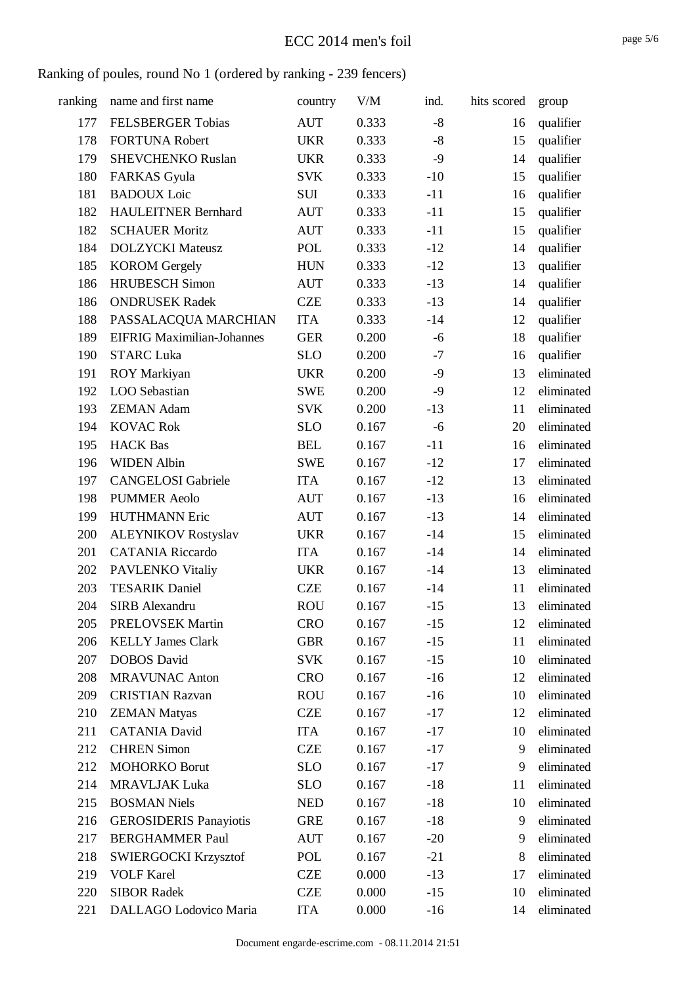| ranking | name and first name               | country    | V/M   | ind.  | hits scored | group      |
|---------|-----------------------------------|------------|-------|-------|-------------|------------|
| 177     | <b>FELSBERGER Tobias</b>          | <b>AUT</b> | 0.333 | $-8$  | 16          | qualifier  |
| 178     | <b>FORTUNA Robert</b>             | <b>UKR</b> | 0.333 | $-8$  | 15          | qualifier  |
| 179     | <b>SHEVCHENKO Ruslan</b>          | <b>UKR</b> | 0.333 | $-9$  | 14          | qualifier  |
| 180     | <b>FARKAS</b> Gyula               | <b>SVK</b> | 0.333 | $-10$ | 15          | qualifier  |
| 181     | <b>BADOUX</b> Loic                | <b>SUI</b> | 0.333 | $-11$ | 16          | qualifier  |
| 182     | <b>HAULEITNER Bernhard</b>        | <b>AUT</b> | 0.333 | $-11$ | 15          | qualifier  |
| 182     | <b>SCHAUER Moritz</b>             | <b>AUT</b> | 0.333 | $-11$ | 15          | qualifier  |
| 184     | <b>DOLZYCKI</b> Mateusz           | POL        | 0.333 | $-12$ | 14          | qualifier  |
| 185     | <b>KOROM</b> Gergely              | <b>HUN</b> | 0.333 | $-12$ | 13          | qualifier  |
| 186     | <b>HRUBESCH Simon</b>             | <b>AUT</b> | 0.333 | $-13$ | 14          | qualifier  |
| 186     | <b>ONDRUSEK Radek</b>             | <b>CZE</b> | 0.333 | $-13$ | 14          | qualifier  |
| 188     | PASSALACQUA MARCHIAN              | <b>ITA</b> | 0.333 | $-14$ | 12          | qualifier  |
| 189     | <b>EIFRIG Maximilian-Johannes</b> | <b>GER</b> | 0.200 | $-6$  | 18          | qualifier  |
| 190     | <b>STARC Luka</b>                 | <b>SLO</b> | 0.200 | $-7$  | 16          | qualifier  |
| 191     | ROY Markiyan                      | <b>UKR</b> | 0.200 | $-9$  | 13          | eliminated |
| 192     | LOO Sebastian                     | <b>SWE</b> | 0.200 | $-9$  | 12          | eliminated |
| 193     | <b>ZEMAN Adam</b>                 | <b>SVK</b> | 0.200 | $-13$ | 11          | eliminated |
| 194     | <b>KOVAC Rok</b>                  | <b>SLO</b> | 0.167 | $-6$  | 20          | eliminated |
| 195     | <b>HACK Bas</b>                   | <b>BEL</b> | 0.167 | $-11$ | 16          | eliminated |
| 196     | <b>WIDEN Albin</b>                | <b>SWE</b> | 0.167 | $-12$ | 17          | eliminated |
| 197     | <b>CANGELOSI</b> Gabriele         | <b>ITA</b> | 0.167 | $-12$ | 13          | eliminated |
| 198     | <b>PUMMER Aeolo</b>               | <b>AUT</b> | 0.167 | $-13$ | 16          | eliminated |
| 199     | <b>HUTHMANN Eric</b>              | <b>AUT</b> | 0.167 | $-13$ | 14          | eliminated |
| 200     | <b>ALEYNIKOV Rostyslav</b>        | <b>UKR</b> | 0.167 | $-14$ | 15          | eliminated |
| 201     | <b>CATANIA Riccardo</b>           | <b>ITA</b> | 0.167 | $-14$ | 14          | eliminated |
| 202     | PAVLENKO Vitaliy                  | <b>UKR</b> | 0.167 | $-14$ | 13          | eliminated |
| 203     | <b>TESARIK Daniel</b>             | <b>CZE</b> | 0.167 | $-14$ | 11          | eliminated |
| 204     | <b>SIRB</b> Alexandru             | <b>ROU</b> | 0.167 | $-15$ | 13          | eliminated |
| 205     | <b>PRELOVSEK Martin</b>           | <b>CRO</b> | 0.167 | $-15$ | 12          | eliminated |
| 206     | <b>KELLY James Clark</b>          | <b>GBR</b> | 0.167 | $-15$ | 11          | eliminated |
| 207     | <b>DOBOS</b> David                | <b>SVK</b> | 0.167 | $-15$ | 10          | eliminated |
| 208     | <b>MRAVUNAC Anton</b>             | <b>CRO</b> | 0.167 | $-16$ | 12          | eliminated |
| 209     | <b>CRISTIAN Razvan</b>            | <b>ROU</b> | 0.167 | $-16$ | 10          | eliminated |
| 210     | <b>ZEMAN Matyas</b>               | <b>CZE</b> | 0.167 | $-17$ | 12          | eliminated |
| 211     | <b>CATANIA David</b>              | <b>ITA</b> | 0.167 | $-17$ | 10          | eliminated |
| 212     | <b>CHREN Simon</b>                | <b>CZE</b> | 0.167 | $-17$ | 9           | eliminated |
| 212     | <b>MOHORKO Borut</b>              | <b>SLO</b> | 0.167 | $-17$ | 9           | eliminated |
| 214     | <b>MRAVLJAK Luka</b>              | <b>SLO</b> | 0.167 | $-18$ | 11          | eliminated |
| 215     | <b>BOSMAN Niels</b>               | <b>NED</b> | 0.167 | $-18$ | 10          | eliminated |
| 216     | <b>GEROSIDERIS Panayiotis</b>     | <b>GRE</b> | 0.167 | $-18$ | 9           | eliminated |
| 217     | <b>BERGHAMMER Paul</b>            | <b>AUT</b> | 0.167 | $-20$ | 9           | eliminated |
| 218     | <b>SWIERGOCKI Krzysztof</b>       | POL        | 0.167 | $-21$ | 8           | eliminated |
| 219     | <b>VOLF Karel</b>                 | <b>CZE</b> | 0.000 | $-13$ | 17          | eliminated |
| 220     | <b>SIBOR Radek</b>                | <b>CZE</b> | 0.000 | $-15$ | 10          | eliminated |
| 221     | DALLAGO Lodovico Maria            | <b>ITA</b> | 0.000 | $-16$ | 14          | eliminated |
|         |                                   |            |       |       |             |            |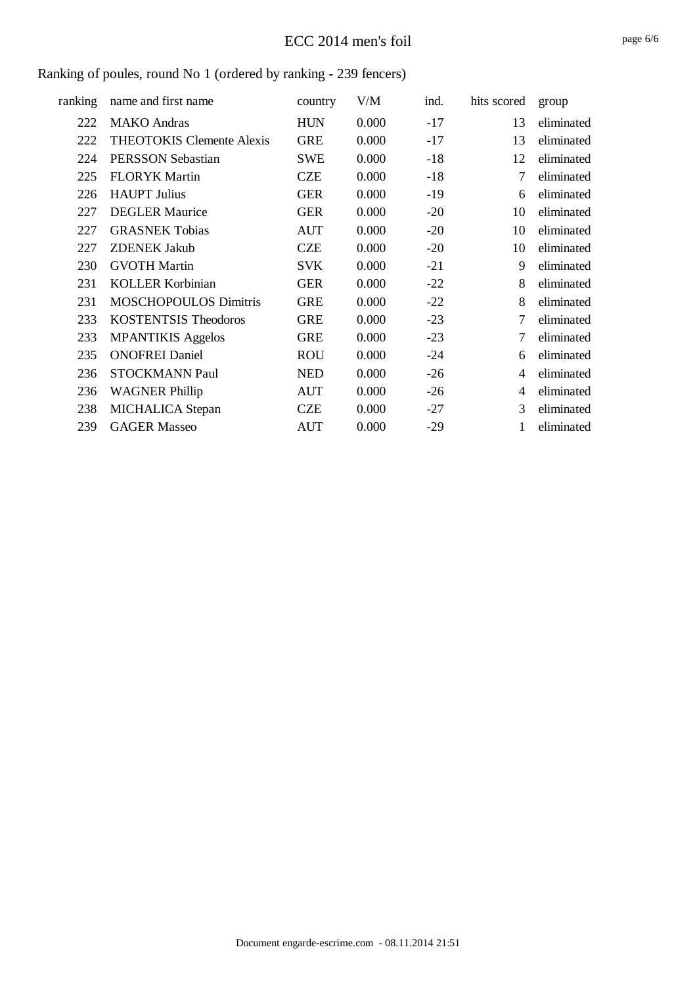### ECC 2014 men's foil

| ranking | name and first name              | country    | V/M   | ind.  | hits scored    | group      |
|---------|----------------------------------|------------|-------|-------|----------------|------------|
| 222     | <b>MAKO</b> Andras               | <b>HUN</b> | 0.000 | $-17$ | 13             | eliminated |
| 222     | <b>THEOTOKIS Clemente Alexis</b> | <b>GRE</b> | 0.000 | $-17$ | 13             | eliminated |
| 224     | PERSSON Sebastian                | <b>SWE</b> | 0.000 | $-18$ | 12             | eliminated |
| 225     | <b>FLORYK Martin</b>             | <b>CZE</b> | 0.000 | $-18$ | 7              | eliminated |
| 226     | <b>HAUPT</b> Julius              | <b>GER</b> | 0.000 | $-19$ | 6              | eliminated |
| 227     | <b>DEGLER Maurice</b>            | <b>GER</b> | 0.000 | $-20$ | 10             | eliminated |
| 227     | <b>GRASNEK Tobias</b>            | <b>AUT</b> | 0.000 | $-20$ | 10             | eliminated |
| 227     | <b>ZDENEK Jakub</b>              | <b>CZE</b> | 0.000 | $-20$ | 10             | eliminated |
| 230     | <b>GVOTH Martin</b>              | <b>SVK</b> | 0.000 | $-21$ | 9              | eliminated |
| 231     | <b>KOLLER Korbinian</b>          | <b>GER</b> | 0.000 | $-22$ | 8              | eliminated |
| 231     | <b>MOSCHOPOULOS Dimitris</b>     | <b>GRE</b> | 0.000 | $-22$ | 8              | eliminated |
| 233     | <b>KOSTENTSIS Theodoros</b>      | <b>GRE</b> | 0.000 | $-23$ | 7              | eliminated |
| 233     | <b>MPANTIKIS Aggelos</b>         | <b>GRE</b> | 0.000 | $-23$ | 7              | eliminated |
| 235     | <b>ONOFREI Daniel</b>            | <b>ROU</b> | 0.000 | $-24$ | 6              | eliminated |
| 236     | <b>STOCKMANN Paul</b>            | <b>NED</b> | 0.000 | $-26$ | $\overline{4}$ | eliminated |
| 236     | <b>WAGNER Phillip</b>            | <b>AUT</b> | 0.000 | $-26$ | $\overline{4}$ | eliminated |
| 238     | <b>MICHALICA</b> Stepan          | <b>CZE</b> | 0.000 | $-27$ | 3              | eliminated |
| 239     | <b>GAGER Masseo</b>              | <b>AUT</b> | 0.000 | $-29$ | 1              | eliminated |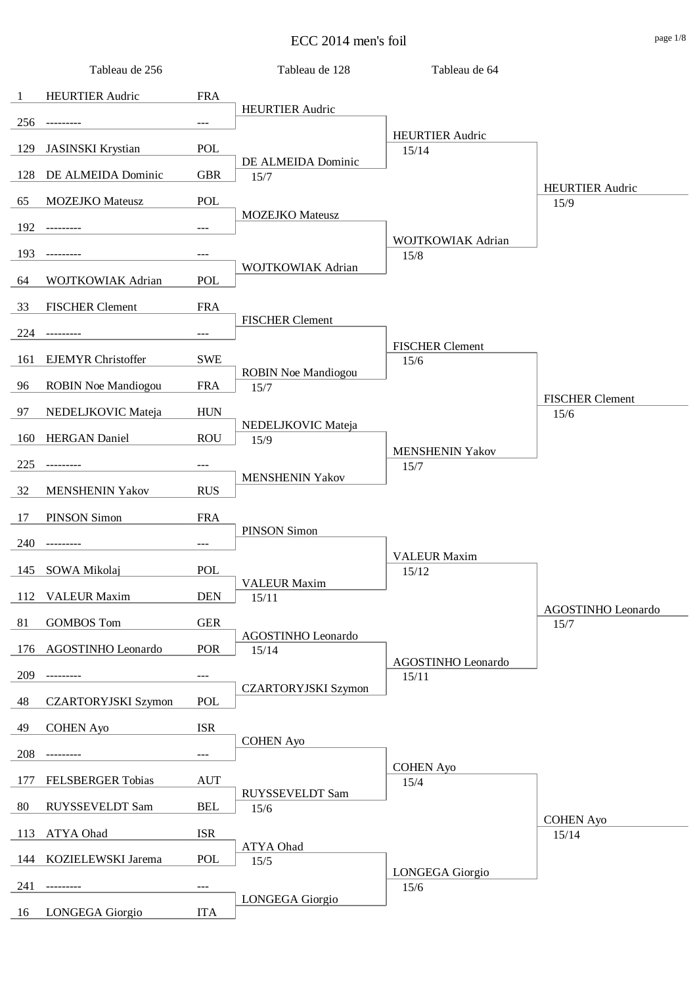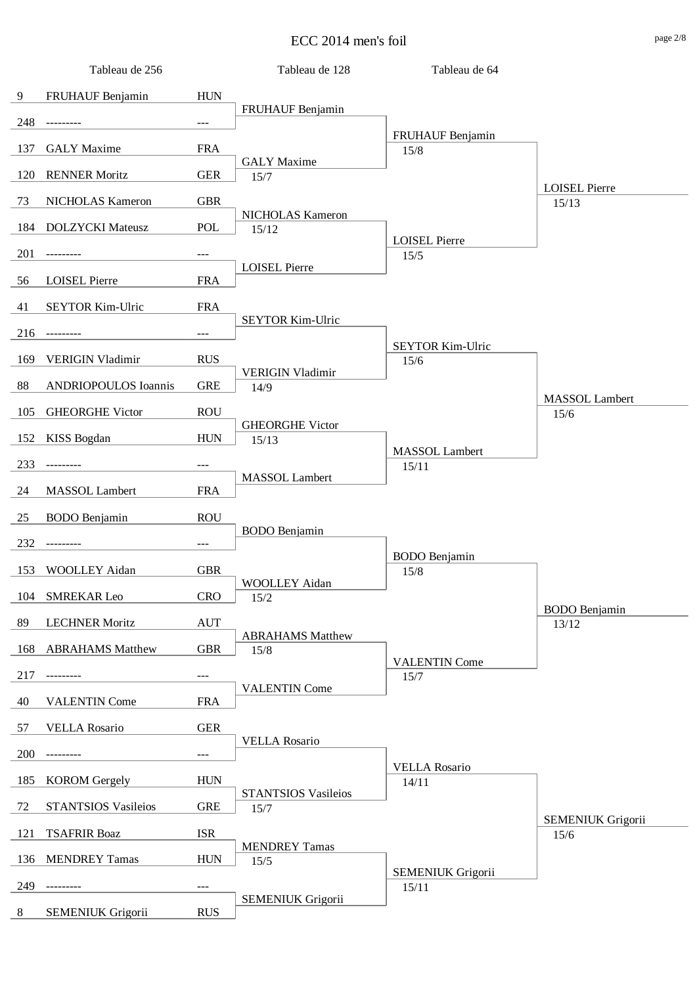![](_page_22_Figure_1.jpeg)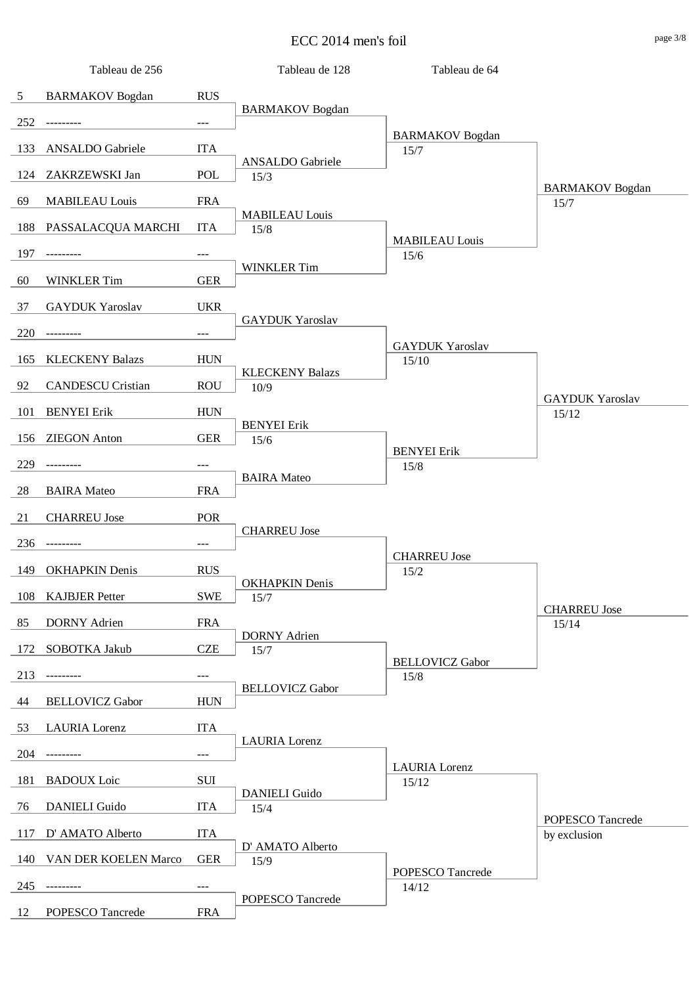![](_page_23_Figure_1.jpeg)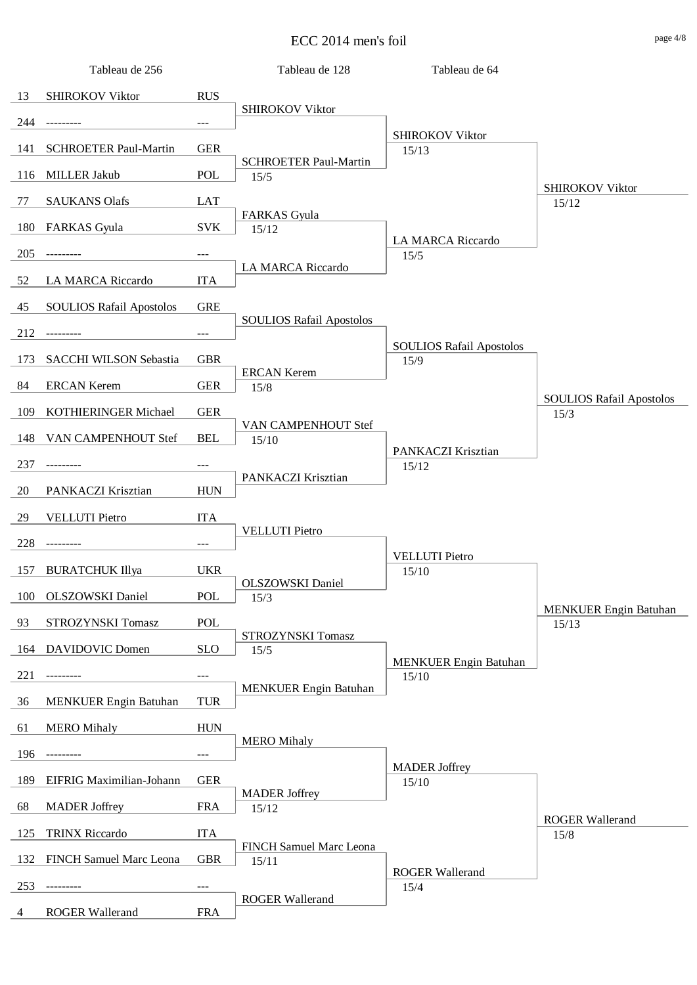![](_page_24_Figure_1.jpeg)

4 ROGER Wallerand FRA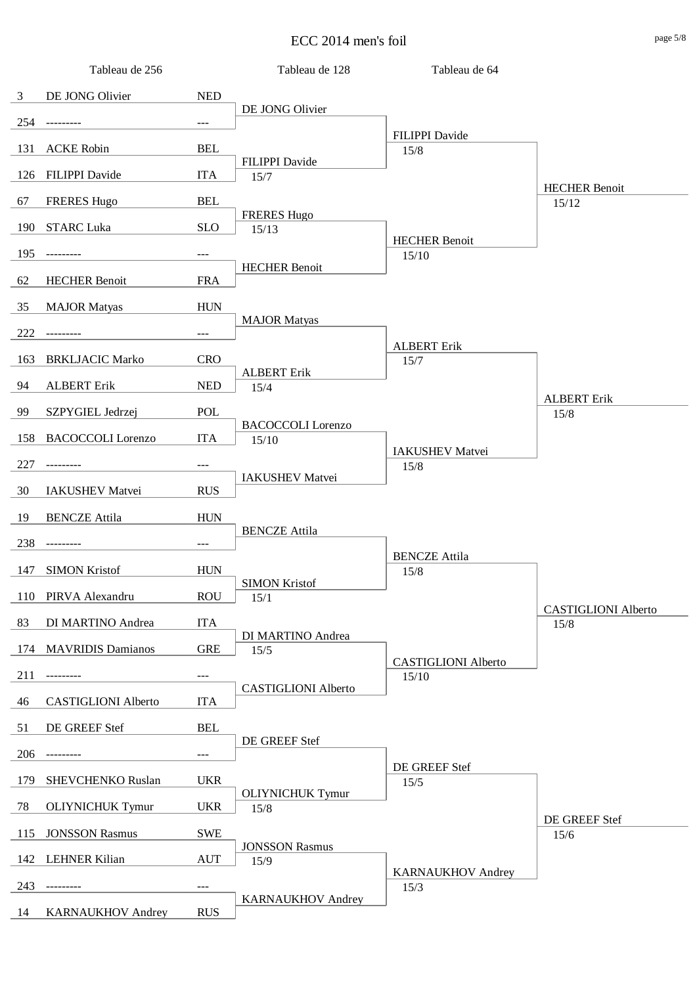![](_page_25_Figure_1.jpeg)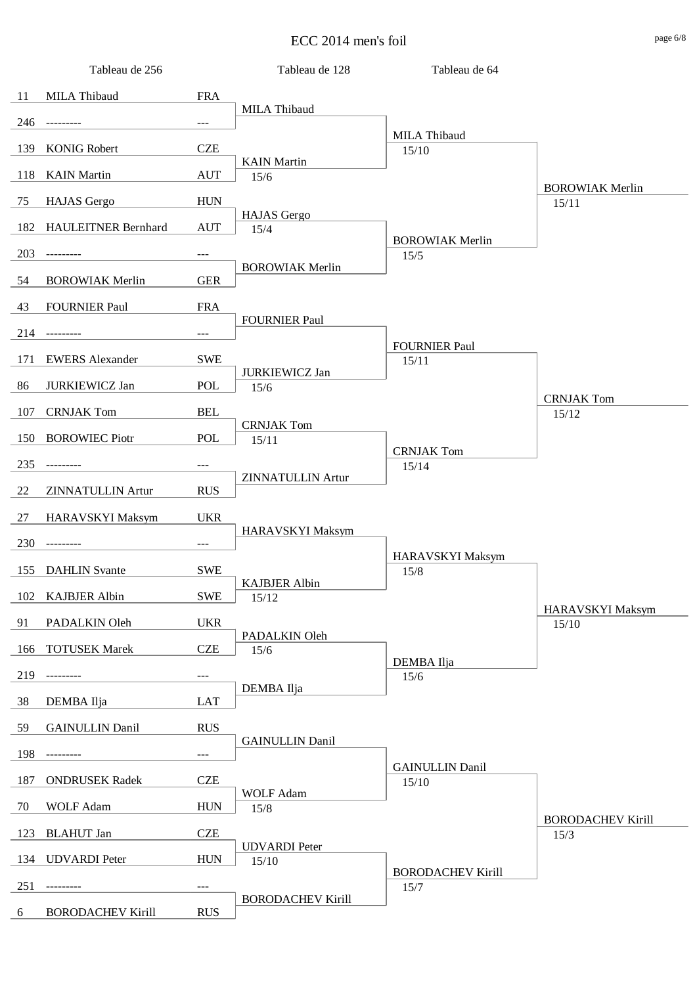![](_page_26_Figure_1.jpeg)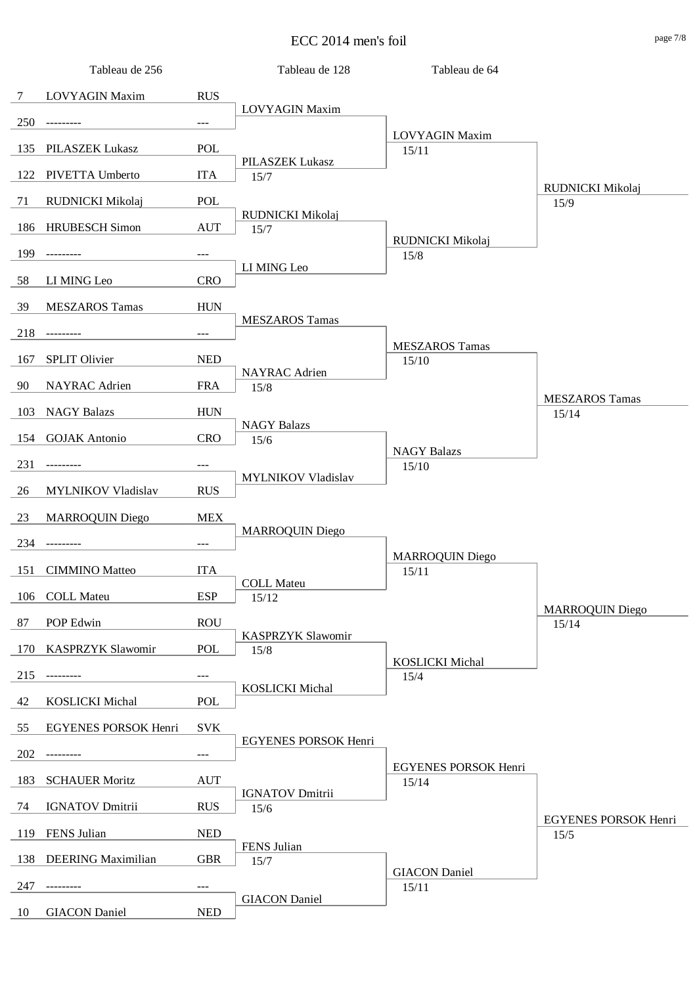![](_page_27_Figure_1.jpeg)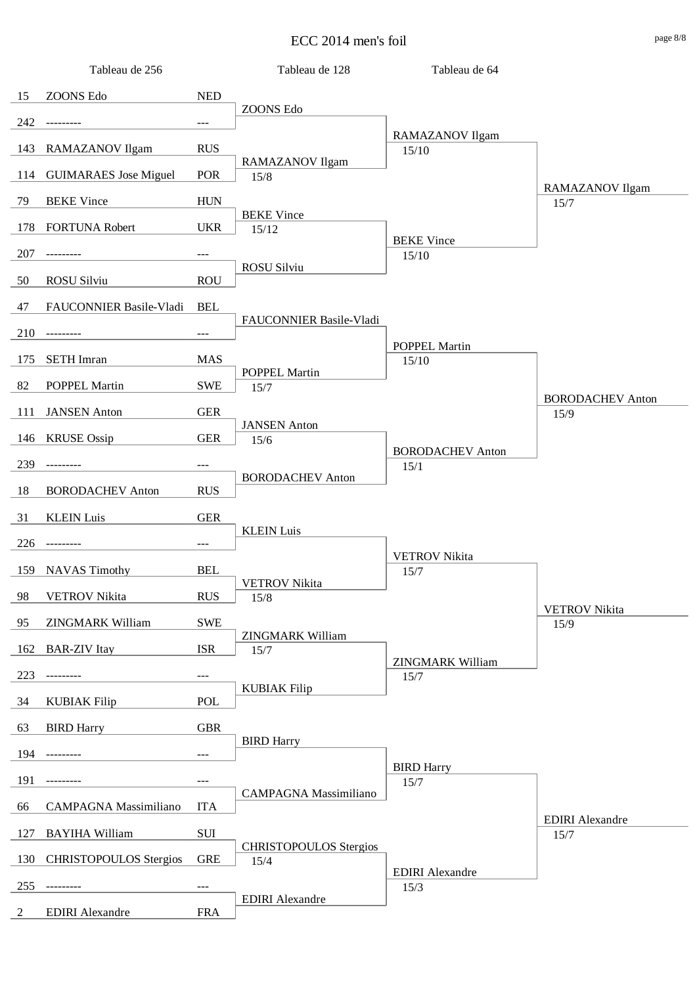![](_page_28_Figure_1.jpeg)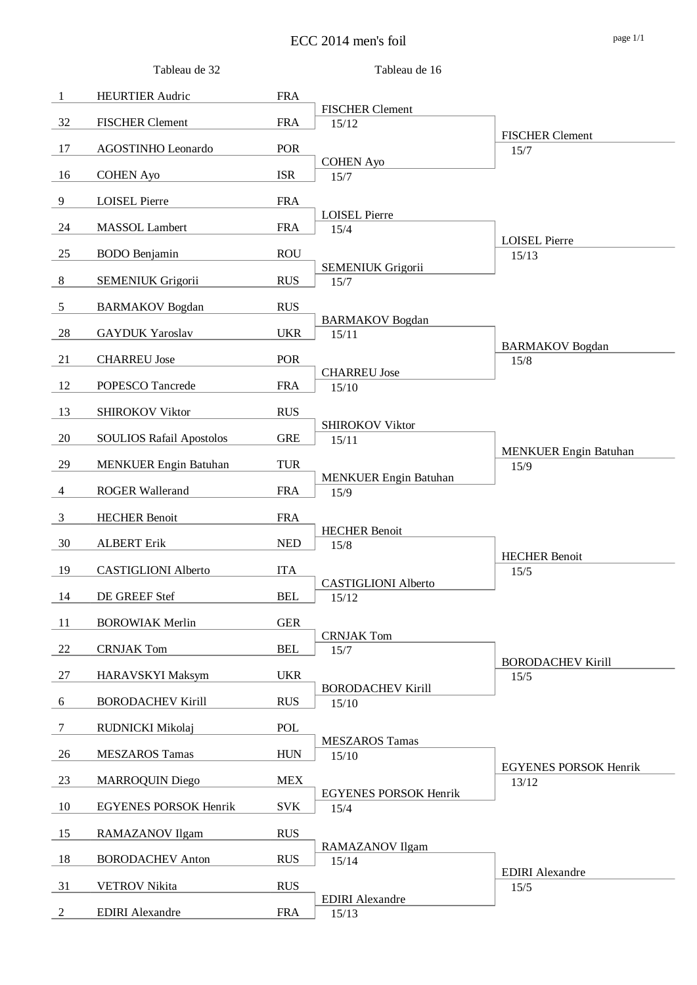![](_page_29_Figure_1.jpeg)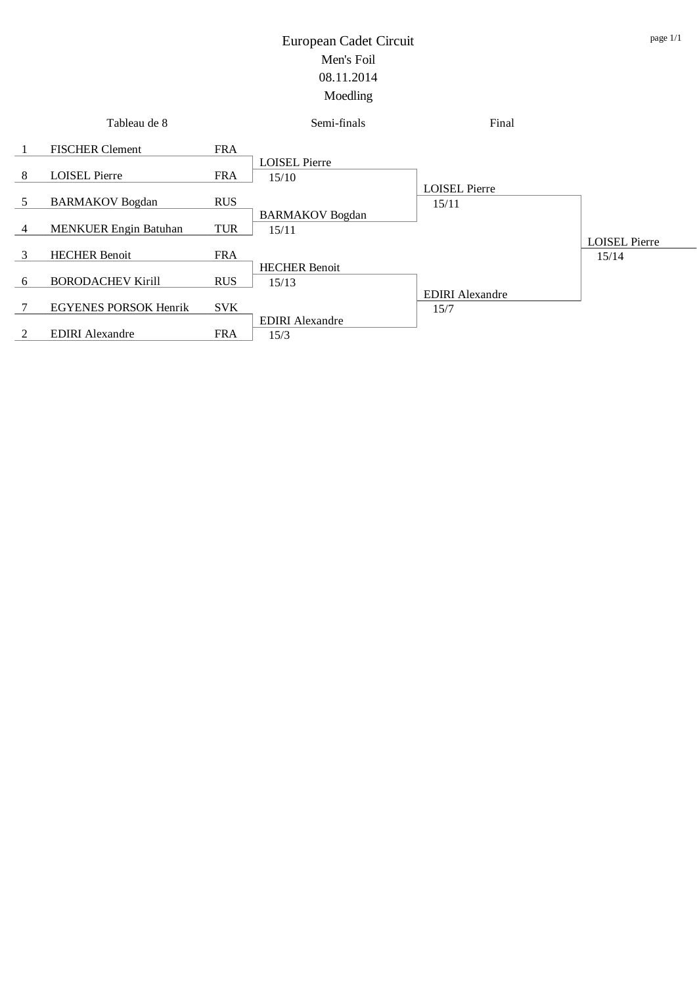![](_page_30_Figure_1.jpeg)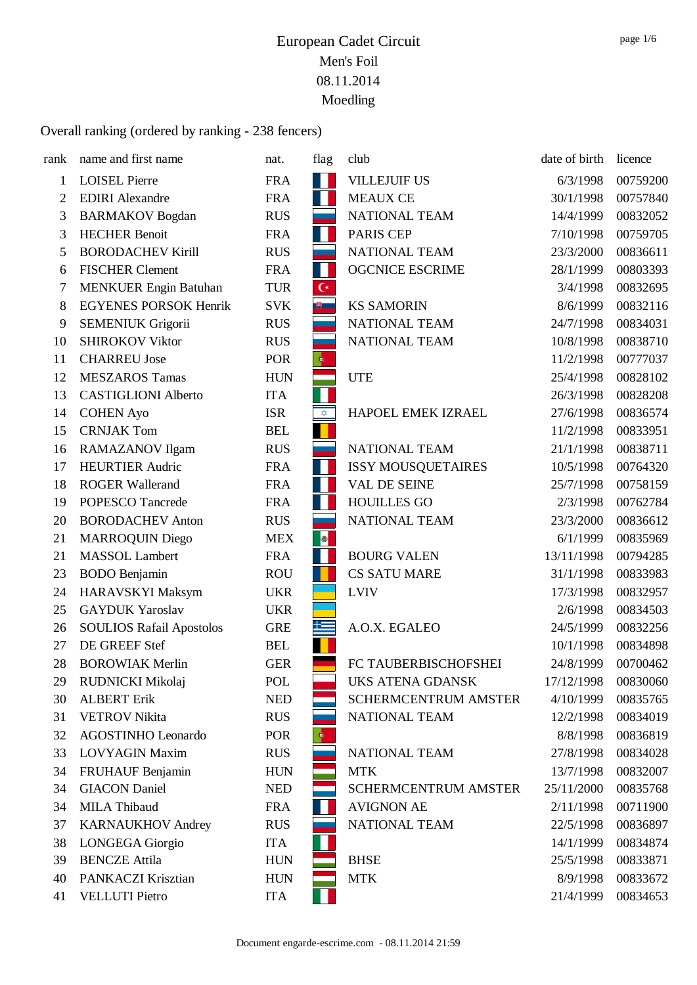| rank | name and first name             | nat.       | flag               | club                        | date of birth | licence  |
|------|---------------------------------|------------|--------------------|-----------------------------|---------------|----------|
| 1    | <b>LOISEL Pierre</b>            | <b>FRA</b> |                    | <b>VILLEJUIF US</b>         | 6/3/1998      | 00759200 |
| 2    | <b>EDIRI</b> Alexandre          | <b>FRA</b> | 11                 | <b>MEAUX CE</b>             | 30/1/1998     | 00757840 |
| 3    | <b>BARMAKOV</b> Bogdan          | <b>RUS</b> |                    | <b>NATIONAL TEAM</b>        | 14/4/1999     | 00832052 |
| 3    | <b>HECHER Benoit</b>            | <b>FRA</b> | H                  | <b>PARIS CEP</b>            | 7/10/1998     | 00759705 |
| 5    | <b>BORODACHEV Kirill</b>        | <b>RUS</b> |                    | NATIONAL TEAM               | 23/3/2000     | 00836611 |
| 6    | <b>FISCHER Clement</b>          | <b>FRA</b> | H                  | <b>OGCNICE ESCRIME</b>      | 28/1/1999     | 00803393 |
| 7    | <b>MENKUER Engin Batuhan</b>    | <b>TUR</b> | $\mathsf{C}^\star$ |                             | 3/4/1998      | 00832695 |
| 8    | <b>EGYENES PORSOK Henrik</b>    | <b>SVK</b> | $\mathbb{B}$       | <b>KS SAMORIN</b>           | 8/6/1999      | 00832116 |
| 9    | <b>SEMENIUK Grigorii</b>        | <b>RUS</b> |                    | NATIONAL TEAM               | 24/7/1998     | 00834031 |
| 10   | <b>SHIROKOV Viktor</b>          | <b>RUS</b> |                    | NATIONAL TEAM               | 10/8/1998     | 00838710 |
| 11   | <b>CHARREU Jose</b>             | POR        | $\ddot{\phi}$      |                             | 11/2/1998     | 00777037 |
| 12   | <b>MESZAROS Tamas</b>           | <b>HUN</b> |                    | <b>UTE</b>                  | 25/4/1998     | 00828102 |
| 13   | <b>CASTIGLIONI Alberto</b>      | <b>ITA</b> |                    |                             | 26/3/1998     | 00828208 |
| 14   | <b>COHEN Ayo</b>                | <b>ISR</b> | $\hat{\mathbf{X}}$ | HAPOEL EMEK IZRAEL          | 27/6/1998     | 00836574 |
| 15   | <b>CRNJAK Tom</b>               | <b>BEL</b> |                    |                             | 11/2/1998     | 00833951 |
| 16   | RAMAZANOV Ilgam                 | <b>RUS</b> |                    | NATIONAL TEAM               | 21/1/1998     | 00838711 |
| 17   | <b>HEURTIER Audric</b>          | <b>FRA</b> | 11                 | <b>ISSY MOUSQUETAIRES</b>   | 10/5/1998     | 00764320 |
| 18   | <b>ROGER Wallerand</b>          | <b>FRA</b> | 11                 | <b>VAL DE SEINE</b>         | 25/7/1998     | 00758159 |
| 19   | POPESCO Tancrede                | <b>FRA</b> |                    | <b>HOUILLES GO</b>          | 2/3/1998      | 00762784 |
| 20   | <b>BORODACHEV Anton</b>         | <b>RUS</b> |                    | NATIONAL TEAM               | 23/3/2000     | 00836612 |
| 21   | <b>MARROQUIN Diego</b>          | <b>MEX</b> |                    |                             | 6/1/1999      | 00835969 |
| 21   | <b>MASSOL</b> Lambert           | <b>FRA</b> | H                  | <b>BOURG VALEN</b>          | 13/11/1998    | 00794285 |
| 23   | <b>BODO</b> Benjamin            | <b>ROU</b> |                    | <b>CS SATU MARE</b>         | 31/1/1998     | 00833983 |
| 24   | <b>HARAVSKYI Maksym</b>         | <b>UKR</b> |                    | <b>LVIV</b>                 | 17/3/1998     | 00832957 |
| 25   | <b>GAYDUK Yaroslav</b>          | <b>UKR</b> |                    |                             | 2/6/1998      | 00834503 |
| 26   | <b>SOULIOS Rafail Apostolos</b> | <b>GRE</b> | 些                  | A.O.X. EGALEO               | 24/5/1999     | 00832256 |
| 27   | DE GREEF Stef                   | <b>BEL</b> |                    |                             | 10/1/1998     | 00834898 |
| 28   | <b>BOROWIAK Merlin</b>          | <b>GER</b> |                    | FC TAUBERBISCHOFSHEI        | 24/8/1999     | 00700462 |
| 29   | RUDNICKI Mikolaj                | POL        |                    | <b>UKS ATENA GDANSK</b>     | 17/12/1998    | 00830060 |
| 30   | <b>ALBERT Erik</b>              | <b>NED</b> |                    | <b>SCHERMCENTRUM AMSTER</b> | 4/10/1999     | 00835765 |
| 31   | <b>VETROV</b> Nikita            | <b>RUS</b> |                    | NATIONAL TEAM               | 12/2/1998     | 00834019 |
| 32   | <b>AGOSTINHO Leonardo</b>       | <b>POR</b> | $\ddot{\phi}$      |                             | 8/8/1998      | 00836819 |
| 33   | <b>LOVYAGIN Maxim</b>           | <b>RUS</b> |                    | NATIONAL TEAM               | 27/8/1998     | 00834028 |
| 34   | <b>FRUHAUF Benjamin</b>         | <b>HUN</b> |                    | <b>MTK</b>                  | 13/7/1998     | 00832007 |
| 34   | <b>GIACON</b> Daniel            | <b>NED</b> |                    | <b>SCHERMCENTRUM AMSTER</b> | 25/11/2000    | 00835768 |
| 34   | <b>MILA Thibaud</b>             | <b>FRA</b> |                    | <b>AVIGNON AE</b>           | 2/11/1998     | 00711900 |
| 37   | <b>KARNAUKHOV Andrey</b>        | <b>RUS</b> |                    | NATIONAL TEAM               | 22/5/1998     | 00836897 |
| 38   | LONGEGA Giorgio                 | <b>ITA</b> |                    |                             | 14/1/1999     | 00834874 |
| 39   | <b>BENCZE Attila</b>            | <b>HUN</b> |                    | <b>BHSE</b>                 | 25/5/1998     | 00833871 |
| 40   | PANKACZI Krisztian              | <b>HUN</b> |                    | <b>MTK</b>                  | 8/9/1998      | 00833672 |
| 41   | <b>VELLUTI Pietro</b>           | <b>ITA</b> |                    |                             | 21/4/1999     | 00834653 |
|      |                                 |            |                    |                             |               |          |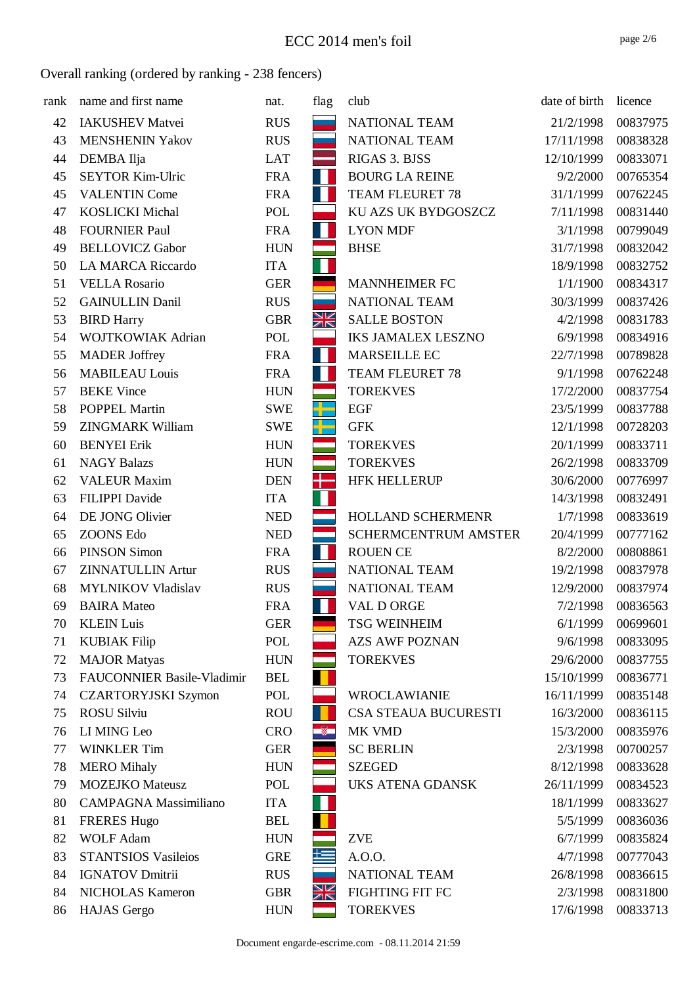| rank | name and first name               | nat.       | flag      | club                        | date of birth | licence  |
|------|-----------------------------------|------------|-----------|-----------------------------|---------------|----------|
| 42   | <b>IAKUSHEV Matvei</b>            | <b>RUS</b> |           | NATIONAL TEAM               | 21/2/1998     | 00837975 |
| 43   | <b>MENSHENIN Yakov</b>            | <b>RUS</b> |           | NATIONAL TEAM               | 17/11/1998    | 00838328 |
| 44   | DEMBA Ilja                        | <b>LAT</b> |           | RIGAS 3. BJSS               | 12/10/1999    | 00833071 |
| 45   | <b>SEYTOR Kim-Ulric</b>           | <b>FRA</b> | H         | <b>BOURG LA REINE</b>       | 9/2/2000      | 00765354 |
| 45   | <b>VALENTIN Come</b>              | <b>FRA</b> |           | <b>TEAM FLEURET 78</b>      | 31/1/1999     | 00762245 |
| 47   | <b>KOSLICKI Michal</b>            | <b>POL</b> |           | KU AZS UK BYDGOSZCZ         | 7/11/1998     | 00831440 |
| 48   | <b>FOURNIER Paul</b>              | <b>FRA</b> | Ш         | <b>LYON MDF</b>             | 3/1/1998      | 00799049 |
| 49   | <b>BELLOVICZ Gabor</b>            | <b>HUN</b> |           | <b>BHSE</b>                 | 31/7/1998     | 00832042 |
| 50   | <b>LA MARCA Riccardo</b>          | <b>ITA</b> |           |                             | 18/9/1998     | 00832752 |
| 51   | <b>VELLA Rosario</b>              | <b>GER</b> |           | <b>MANNHEIMER FC</b>        | 1/1/1900      | 00834317 |
| 52   | <b>GAINULLIN Danil</b>            | <b>RUS</b> |           | NATIONAL TEAM               | 30/3/1999     | 00837426 |
| 53   | <b>BIRD Harry</b>                 | <b>GBR</b> | Ж         | <b>SALLE BOSTON</b>         | 4/2/1998      | 00831783 |
| 54   | <b>WOJTKOWIAK Adrian</b>          | POL        |           | <b>IKS JAMALEX LESZNO</b>   | 6/9/1998      | 00834916 |
| 55   | <b>MADER</b> Joffrey              | <b>FRA</b> | Ш         | MARSEILLE EC                | 22/7/1998     | 00789828 |
| 56   | <b>MABILEAU Louis</b>             | <b>FRA</b> | H         | TEAM FLEURET 78             | 9/1/1998      | 00762248 |
| 57   | <b>BEKE Vince</b>                 | <b>HUN</b> |           | <b>TOREKVES</b>             | 17/2/2000     | 00837754 |
| 58   | <b>POPPEL Martin</b>              | <b>SWE</b> | H         | EGF                         | 23/5/1999     | 00837788 |
| 59   | <b>ZINGMARK William</b>           | <b>SWE</b> | a La      | <b>GFK</b>                  | 12/1/1998     | 00728203 |
| 60   | <b>BENYEI Erik</b>                | <b>HUN</b> |           | <b>TOREKVES</b>             | 20/1/1999     | 00833711 |
| 61   | <b>NAGY Balazs</b>                | <b>HUN</b> |           | <b>TOREKVES</b>             | 26/2/1998     | 00833709 |
| 62   | <b>VALEUR Maxim</b>               | <b>DEN</b> |           | <b>HFK HELLERUP</b>         | 30/6/2000     | 00776997 |
| 63   | <b>FILIPPI</b> Davide             | <b>ITA</b> |           |                             | 14/3/1998     | 00832491 |
| 64   | DE JONG Olivier                   | <b>NED</b> |           | HOLLAND SCHERMENR           | 1/7/1998      | 00833619 |
| 65   | <b>ZOONS Edo</b>                  | <b>NED</b> |           | <b>SCHERMCENTRUM AMSTER</b> | 20/4/1999     | 00777162 |
| 66   | <b>PINSON Simon</b>               | <b>FRA</b> | H         | <b>ROUEN CE</b>             | 8/2/2000      | 00808861 |
| 67   | <b>ZINNATULLIN Artur</b>          | <b>RUS</b> |           | NATIONAL TEAM               | 19/2/1998     | 00837978 |
| 68   | <b>MYLNIKOV Vladislav</b>         | <b>RUS</b> |           | NATIONAL TEAM               | 12/9/2000     | 00837974 |
| 69   | <b>BAIRA</b> Mateo                | <b>FRA</b> | Ш         | VAL D ORGE                  | 7/2/1998      | 00836563 |
| 70   | <b>KLEIN Luis</b>                 | <b>GER</b> |           | <b>TSG WEINHEIM</b>         | 6/1/1999      | 00699601 |
| 71   | <b>KUBIAK Filip</b>               | POL        |           | <b>AZS AWF POZNAN</b>       | 9/6/1998      | 00833095 |
| 72   | <b>MAJOR Matyas</b>               | <b>HUN</b> |           | <b>TOREKVES</b>             | 29/6/2000     | 00837755 |
| 73   | <b>FAUCONNIER Basile-Vladimir</b> | <b>BEL</b> |           |                             | 15/10/1999    | 00836771 |
| 74   | <b>CZARTORYJSKI Szymon</b>        | POL        |           | <b>WROCLAWIANIE</b>         | 16/11/1999    | 00835148 |
| 75   | <b>ROSU Silviu</b>                | <b>ROU</b> |           | CSA STEAUA BUCURESTI        | 16/3/2000     | 00836115 |
| 76   | LI MING Leo                       | <b>CRO</b> | ÷.        | MK VMD                      | 15/3/2000     | 00835976 |
| 77   | <b>WINKLER Tim</b>                | <b>GER</b> |           | <b>SC BERLIN</b>            | 2/3/1998      | 00700257 |
| 78   | <b>MERO</b> Mihaly                | <b>HUN</b> |           | <b>SZEGED</b>               | 8/12/1998     | 00833628 |
| 79   | <b>MOZEJKO</b> Mateusz            | POL        |           | <b>UKS ATENA GDANSK</b>     | 26/11/1999    | 00834523 |
| 80   | <b>CAMPAGNA Massimiliano</b>      | <b>ITA</b> |           |                             | 18/1/1999     | 00833627 |
| 81   | <b>FRERES Hugo</b>                | <b>BEL</b> |           |                             | 5/5/1999      | 00836036 |
| 82   | <b>WOLF Adam</b>                  | <b>HUN</b> |           | <b>ZVE</b>                  | 6/7/1999      | 00835824 |
| 83   | <b>STANTSIOS Vasileios</b>        | <b>GRE</b> | 上         | A.O.O.                      | 4/7/1998      | 00777043 |
| 84   | <b>IGNATOV Dmitrii</b>            | <b>RUS</b> |           | NATIONAL TEAM               | 26/8/1998     | 00836615 |
| 84   | <b>NICHOLAS Kameron</b>           | <b>GBR</b> | <u>NK</u> | FIGHTING FIT FC             | 2/3/1998      | 00831800 |
| 86   | <b>HAJAS</b> Gergo                | <b>HUN</b> |           | <b>TOREKVES</b>             | 17/6/1998     | 00833713 |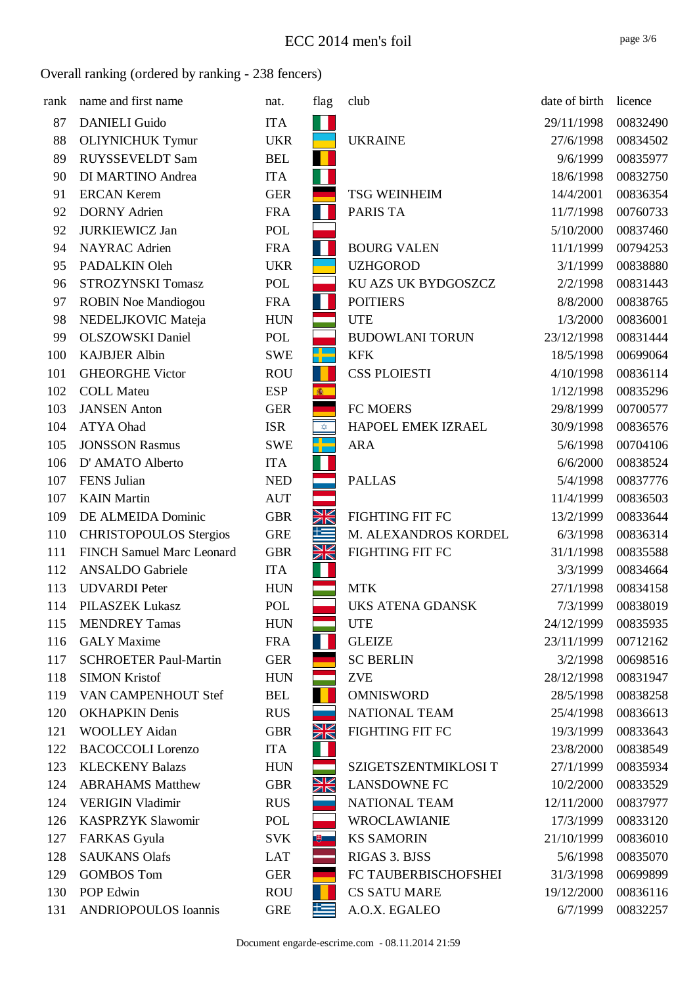| rank | name and first name              | nat.       | flag                                            | club                    | date of birth | licence  |
|------|----------------------------------|------------|-------------------------------------------------|-------------------------|---------------|----------|
| 87   | <b>DANIELI Guido</b>             | <b>ITA</b> |                                                 |                         | 29/11/1998    | 00832490 |
| 88   | <b>OLIYNICHUK Tymur</b>          | <b>UKR</b> |                                                 | <b>UKRAINE</b>          | 27/6/1998     | 00834502 |
| 89   | RUYSSEVELDT Sam                  | <b>BEL</b> |                                                 |                         | 9/6/1999      | 00835977 |
| 90   | DI MARTINO Andrea                | <b>ITA</b> |                                                 |                         | 18/6/1998     | 00832750 |
| 91   | <b>ERCAN Kerem</b>               | <b>GER</b> |                                                 | <b>TSG WEINHEIM</b>     | 14/4/2001     | 00836354 |
| 92   | <b>DORNY Adrien</b>              | <b>FRA</b> |                                                 | <b>PARIS TA</b>         | 11/7/1998     | 00760733 |
| 92   | <b>JURKIEWICZ Jan</b>            | POL        |                                                 |                         | 5/10/2000     | 00837460 |
| 94   | <b>NAYRAC</b> Adrien             | <b>FRA</b> | W                                               | <b>BOURG VALEN</b>      | 11/1/1999     | 00794253 |
| 95   | PADALKIN Oleh                    | <b>UKR</b> |                                                 | <b>UZHGOROD</b>         | 3/1/1999      | 00838880 |
| 96   | STROZYNSKI Tomasz                | POL        |                                                 | KU AZS UK BYDGOSZCZ     | 2/2/1998      | 00831443 |
| 97   | <b>ROBIN Noe Mandiogou</b>       | <b>FRA</b> | H                                               | <b>POITIERS</b>         | 8/8/2000      | 00838765 |
| 98   | NEDELJKOVIC Mateja               | <b>HUN</b> |                                                 | <b>UTE</b>              | 1/3/2000      | 00836001 |
| 99   | <b>OLSZOWSKI</b> Daniel          | POL        |                                                 | <b>BUDOWLANI TORUN</b>  | 23/12/1998    | 00831444 |
| 100  | <b>KAJBJER Albin</b>             | <b>SWE</b> | ap.<br>1                                        | <b>KFK</b>              | 18/5/1998     | 00699064 |
| 101  | <b>GHEORGHE Victor</b>           | <b>ROU</b> |                                                 | <b>CSS PLOIESTI</b>     | 4/10/1998     | 00836114 |
| 102  | <b>COLL Mateu</b>                | <b>ESP</b> | 鑫                                               |                         | 1/12/1998     | 00835296 |
| 103  | <b>JANSEN</b> Anton              | <b>GER</b> |                                                 | FC MOERS                | 29/8/1999     | 00700577 |
| 104  | <b>ATYA Ohad</b>                 | <b>ISR</b> | $\stackrel{\scriptstyle\longrightarrow}{\star}$ | HAPOEL EMEK IZRAEL      | 30/9/1998     | 00836576 |
| 105  | <b>JONSSON Rasmus</b>            | <b>SWE</b> |                                                 | <b>ARA</b>              | 5/6/1998      | 00704106 |
| 106  | D' AMATO Alberto                 | <b>ITA</b> |                                                 |                         | 6/6/2000      | 00838524 |
| 107  | FENS Julian                      | <b>NED</b> |                                                 | <b>PALLAS</b>           | 5/4/1998      | 00837776 |
| 107  | <b>KAIN</b> Martin               | <b>AUT</b> |                                                 |                         | 11/4/1999     | 00836503 |
| 109  | DE ALMEIDA Dominic               | <b>GBR</b> | XK                                              | <b>FIGHTING FIT FC</b>  | 13/2/1999     | 00833644 |
| 110  | <b>CHRISTOPOULOS Stergios</b>    | <b>GRE</b> | 上                                               | M. ALEXANDROS KORDEL    | 6/3/1998      | 00836314 |
| 111  | <b>FINCH Samuel Marc Leonard</b> | <b>GBR</b> | XK                                              | FIGHTING FIT FC         | 31/1/1998     | 00835588 |
| 112  | <b>ANSALDO</b> Gabriele          | <b>ITA</b> |                                                 |                         | 3/3/1999      | 00834664 |
| 113  | <b>UDVARDI</b> Peter             | <b>HUN</b> |                                                 | <b>MTK</b>              | 27/1/1998     | 00834158 |
| 114  | PILASZEK Lukasz                  | <b>POL</b> |                                                 | <b>UKS ATENA GDANSK</b> | 7/3/1999      | 00838019 |
| 115  | <b>MENDREY Tamas</b>             | <b>HUN</b> |                                                 | <b>UTE</b>              | 24/12/1999    | 00835935 |
| 116  | <b>GALY</b> Maxime               | <b>FRA</b> |                                                 | <b>GLEIZE</b>           | 23/11/1999    | 00712162 |
| 117  | <b>SCHROETER Paul-Martin</b>     | <b>GER</b> |                                                 | <b>SC BERLIN</b>        | 3/2/1998      | 00698516 |
| 118  | <b>SIMON Kristof</b>             | <b>HUN</b> |                                                 | <b>ZVE</b>              | 28/12/1998    | 00831947 |
| 119  | VAN CAMPENHOUT Stef              | <b>BEL</b> |                                                 | <b>OMNISWORD</b>        | 28/5/1998     | 00838258 |
| 120  | <b>OKHAPKIN Denis</b>            | <b>RUS</b> |                                                 | NATIONAL TEAM           | 25/4/1998     | 00836613 |
| 121  | <b>WOOLLEY Aidan</b>             | <b>GBR</b> | Ж                                               | FIGHTING FIT FC         | 19/3/1999     | 00833643 |
| 122  | <b>BACOCCOLI</b> Lorenzo         | <b>ITA</b> |                                                 |                         | 23/8/2000     | 00838549 |
| 123  | <b>KLECKENY Balazs</b>           | <b>HUN</b> |                                                 | SZIGETSZENTMIKLOSI T    | 27/1/1999     | 00835934 |
| 124  | <b>ABRAHAMS Matthew</b>          | <b>GBR</b> | Ж                                               | <b>LANSDOWNE FC</b>     | 10/2/2000     | 00833529 |
| 124  | <b>VERIGIN Vladimir</b>          | <b>RUS</b> |                                                 | NATIONAL TEAM           | 12/11/2000    | 00837977 |
| 126  | <b>KASPRZYK Slawomir</b>         | POL        |                                                 | <b>WROCLAWIANIE</b>     | 17/3/1999     | 00833120 |
| 127  | <b>FARKAS</b> Gyula              | <b>SVK</b> | $\mathbb{R}$                                    | <b>KS SAMORIN</b>       | 21/10/1999    | 00836010 |
| 128  | <b>SAUKANS Olafs</b>             | <b>LAT</b> |                                                 | RIGAS 3. BJSS           | 5/6/1998      | 00835070 |
| 129  | <b>GOMBOS Tom</b>                | <b>GER</b> |                                                 | FC TAUBERBISCHOFSHEI    | 31/3/1998     | 00699899 |
| 130  | POP Edwin                        | <b>ROU</b> |                                                 | <b>CS SATU MARE</b>     | 19/12/2000    | 00836116 |
| 131  | <b>ANDRIOPOULOS Ioannis</b>      | <b>GRE</b> | 些                                               | A.O.X. EGALEO           | 6/7/1999      | 00832257 |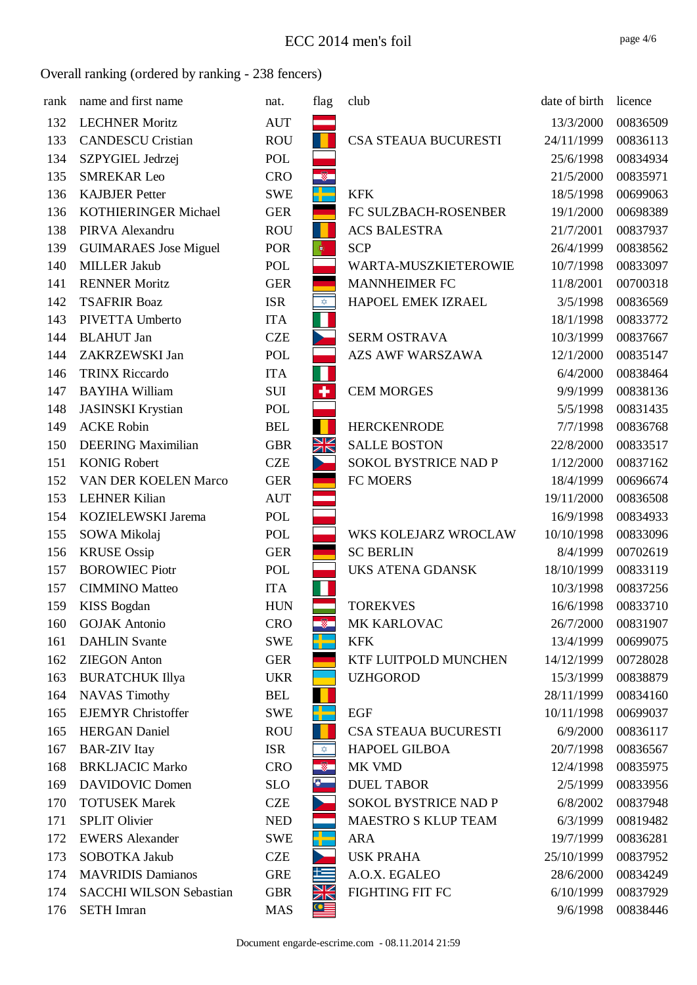| rank | name and first name            | nat.       | flag                    | club                        | date of birth | licence  |
|------|--------------------------------|------------|-------------------------|-----------------------------|---------------|----------|
| 132  | <b>LECHNER Moritz</b>          | <b>AUT</b> |                         |                             | 13/3/2000     | 00836509 |
| 133  | <b>CANDESCU Cristian</b>       | <b>ROU</b> |                         | CSA STEAUA BUCURESTI        | 24/11/1999    | 00836113 |
| 134  | SZPYGIEL Jedrzej               | POL        |                         |                             | 25/6/1998     | 00834934 |
| 135  | <b>SMREKAR Leo</b>             | <b>CRO</b> | $\sqrt{2}$              |                             | 21/5/2000     | 00835971 |
| 136  | <b>KAJBJER Petter</b>          | <b>SWE</b> |                         | <b>KFK</b>                  | 18/5/1998     | 00699063 |
| 136  | <b>KOTHIERINGER Michael</b>    | <b>GER</b> |                         | FC SULZBACH-ROSENBER        | 19/1/2000     | 00698389 |
| 138  | PIRVA Alexandru                | <b>ROU</b> |                         | <b>ACS BALESTRA</b>         | 21/7/2001     | 00837937 |
| 139  | <b>GUIMARAES</b> Jose Miguel   | POR        | $\ddot{\phi}$           | <b>SCP</b>                  | 26/4/1999     | 00838562 |
| 140  | <b>MILLER Jakub</b>            | <b>POL</b> |                         | WARTA-MUSZKIETEROWIE        | 10/7/1998     | 00833097 |
| 141  | <b>RENNER Moritz</b>           | <b>GER</b> |                         | <b>MANNHEIMER FC</b>        | 11/8/2001     | 00700318 |
| 142  | <b>TSAFRIR Boaz</b>            | <b>ISR</b> | $\bigoplus_{i=1}^n$     | HAPOEL EMEK IZRAEL          | 3/5/1998      | 00836569 |
| 143  | PIVETTA Umberto                | <b>ITA</b> |                         |                             | 18/1/1998     | 00833772 |
| 144  | <b>BLAHUT</b> Jan              | <b>CZE</b> |                         | <b>SERM OSTRAVA</b>         | 10/3/1999     | 00837667 |
| 144  | ZAKRZEWSKI Jan                 | POL        |                         | <b>AZS AWF WARSZAWA</b>     | 12/1/2000     | 00835147 |
| 146  | <b>TRINX Riccardo</b>          | <b>ITA</b> | W                       |                             | 6/4/2000      | 00838464 |
| 147  | <b>BAYIHA William</b>          | <b>SUI</b> | $\ddot{\phantom{1}}$    | <b>CEM MORGES</b>           | 9/9/1999      | 00838136 |
| 148  | <b>JASINSKI</b> Krystian       | <b>POL</b> |                         |                             | 5/5/1998      | 00831435 |
| 149  | <b>ACKE Robin</b>              | <b>BEL</b> |                         | <b>HERCKENRODE</b>          | 7/7/1998      | 00836768 |
| 150  | <b>DEERING Maximilian</b>      | <b>GBR</b> | NK<br>MK                | <b>SALLE BOSTON</b>         | 22/8/2000     | 00833517 |
| 151  | <b>KONIG Robert</b>            | <b>CZE</b> | D                       | SOKOL BYSTRICE NAD P        | 1/12/2000     | 00837162 |
| 152  | VAN DER KOELEN Marco           | <b>GER</b> |                         | FC MOERS                    | 18/4/1999     | 00696674 |
| 153  | <b>LEHNER Kilian</b>           | <b>AUT</b> |                         |                             | 19/11/2000    | 00836508 |
| 154  | KOZIELEWSKI Jarema             | POL        |                         |                             | 16/9/1998     | 00834933 |
| 155  | SOWA Mikolaj                   | <b>POL</b> |                         | WKS KOLEJARZ WROCLAW        | 10/10/1998    | 00833096 |
| 156  | <b>KRUSE</b> Ossip             | <b>GER</b> |                         | <b>SC BERLIN</b>            | 8/4/1999      | 00702619 |
| 157  | <b>BOROWIEC Piotr</b>          | <b>POL</b> |                         | UKS ATENA GDANSK            | 18/10/1999    | 00833119 |
| 157  | <b>CIMMINO</b> Matteo          | <b>ITA</b> |                         |                             | 10/3/1998     | 00837256 |
| 159  | <b>KISS Bogdan</b>             | <b>HUN</b> |                         | <b>TOREKVES</b>             | 16/6/1998     | 00833710 |
| 160  | <b>GOJAK Antonio</b>           | <b>CRO</b> | - 61                    | MK KARLOVAC                 | 26/7/2000     | 00831907 |
| 161  | <b>DAHLIN</b> Svante           | <b>SWE</b> |                         | <b>KFK</b>                  | 13/4/1999     | 00699075 |
| 162  | <b>ZIEGON</b> Anton            | <b>GER</b> |                         | KTF LUITPOLD MUNCHEN        | 14/12/1999    | 00728028 |
| 163  | <b>BURATCHUK Illya</b>         | <b>UKR</b> |                         | <b>UZHGOROD</b>             | 15/3/1999     | 00838879 |
| 164  | <b>NAVAS Timothy</b>           | <b>BEL</b> |                         |                             | 28/11/1999    | 00834160 |
| 165  | <b>EJEMYR Christoffer</b>      | <b>SWE</b> |                         | <b>EGF</b>                  | 10/11/1998    | 00699037 |
| 165  | <b>HERGAN</b> Daniel           | <b>ROU</b> |                         | CSA STEAUA BUCURESTI        | 6/9/2000      | 00836117 |
| 167  | <b>BAR-ZIV</b> Itay            | <b>ISR</b> | $\overline{\mathbf{x}}$ | <b>HAPOEL GILBOA</b>        | 20/7/1998     | 00836567 |
| 168  | <b>BRKLJACIC Marko</b>         | <b>CRO</b> | $\overline{\mathbf{v}}$ | MK VMD                      | 12/4/1998     | 00835975 |
| 169  | <b>DAVIDOVIC Domen</b>         | <b>SLO</b> | $\bullet$               | <b>DUEL TABOR</b>           | 2/5/1999      | 00833956 |
| 170  | <b>TOTUSEK Marek</b>           | <b>CZE</b> |                         | <b>SOKOL BYSTRICE NAD P</b> | 6/8/2002      | 00837948 |
| 171  | <b>SPLIT Olivier</b>           | <b>NED</b> |                         | <b>MAESTRO S KLUP TEAM</b>  | 6/3/1999      | 00819482 |
| 172  | <b>EWERS Alexander</b>         | <b>SWE</b> | ╬═                      | <b>ARA</b>                  | 19/7/1999     | 00836281 |
| 173  | SOBOTKA Jakub                  | <b>CZE</b> |                         | <b>USK PRAHA</b>            | 25/10/1999    | 00837952 |
| 174  | <b>MAVRIDIS Damianos</b>       | <b>GRE</b> | 些                       | A.O.X. EGALEO               | 28/6/2000     | 00834249 |
| 174  | <b>SACCHI WILSON Sebastian</b> | <b>GBR</b> | <u>NK</u>               | FIGHTING FIT FC             | 6/10/1999     | 00837929 |
| 176  | <b>SETH</b> Imran              | <b>MAS</b> | $\alpha$                |                             | 9/6/1998      | 00838446 |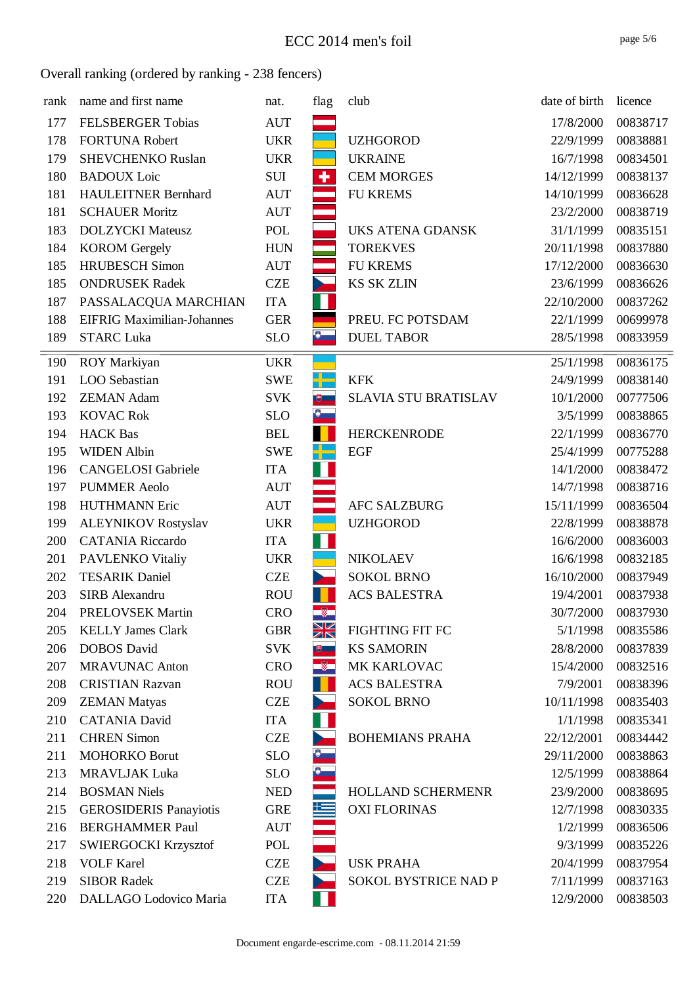| rank | name and first name               | nat.       | flag                     | club                        | date of birth | licence  |
|------|-----------------------------------|------------|--------------------------|-----------------------------|---------------|----------|
| 177  | <b>FELSBERGER Tobias</b>          | <b>AUT</b> |                          |                             | 17/8/2000     | 00838717 |
| 178  | <b>FORTUNA Robert</b>             | <b>UKR</b> |                          | <b>UZHGOROD</b>             | 22/9/1999     | 00838881 |
| 179  | <b>SHEVCHENKO Ruslan</b>          | <b>UKR</b> |                          | <b>UKRAINE</b>              | 16/7/1998     | 00834501 |
| 180  | <b>BADOUX</b> Loic                | SUI        | ٠                        | <b>CEM MORGES</b>           | 14/12/1999    | 00838137 |
| 181  | <b>HAULEITNER Bernhard</b>        | <b>AUT</b> |                          | <b>FU KREMS</b>             | 14/10/1999    | 00836628 |
| 181  | <b>SCHAUER Moritz</b>             | <b>AUT</b> |                          |                             | 23/2/2000     | 00838719 |
| 183  | <b>DOLZYCKI</b> Mateusz           | POL        |                          | UKS ATENA GDANSK            | 31/1/1999     | 00835151 |
| 184  | <b>KOROM</b> Gergely              | <b>HUN</b> |                          | <b>TOREKVES</b>             | 20/11/1998    | 00837880 |
| 185  | <b>HRUBESCH Simon</b>             | <b>AUT</b> | $\sim$                   | <b>FU KREMS</b>             | 17/12/2000    | 00836630 |
| 185  | <b>ONDRUSEK Radek</b>             | <b>CZE</b> | $\overline{\phantom{a}}$ | <b>KS SK ZLIN</b>           | 23/6/1999     | 00836626 |
| 187  | PASSALACQUA MARCHIAN              | <b>ITA</b> | Н                        |                             | 22/10/2000    | 00837262 |
| 188  | <b>EIFRIG Maximilian-Johannes</b> | <b>GER</b> |                          | PREU. FC POTSDAM            | 22/1/1999     | 00699978 |
| 189  | <b>STARC Luka</b>                 | <b>SLO</b> | $\bullet$                | <b>DUEL TABOR</b>           | 28/5/1998     | 00833959 |
| 190  | <b>ROY Markiyan</b>               | <b>UKR</b> |                          |                             | 25/1/1998     | 00836175 |
| 191  | LOO Sebastian                     | <b>SWE</b> |                          | <b>KFK</b>                  | 24/9/1999     | 00838140 |
| 192  | <b>ZEMAN Adam</b>                 | <b>SVK</b> |                          | <b>SLAVIA STU BRATISLAV</b> | 10/1/2000     | 00777506 |
| 193  | <b>KOVAC Rok</b>                  | <b>SLO</b> | $\bullet$                |                             | 3/5/1999      | 00838865 |
| 194  | <b>HACK</b> Bas                   | <b>BEL</b> |                          | <b>HERCKENRODE</b>          | 22/1/1999     | 00836770 |
| 195  | <b>WIDEN Albin</b>                | <b>SWE</b> |                          | <b>EGF</b>                  | 25/4/1999     | 00775288 |
| 196  | <b>CANGELOSI</b> Gabriele         | <b>ITA</b> |                          |                             | 14/1/2000     | 00838472 |
| 197  | <b>PUMMER Aeolo</b>               | <b>AUT</b> |                          |                             | 14/7/1998     | 00838716 |
| 198  | <b>HUTHMANN Eric</b>              | <b>AUT</b> |                          | <b>AFC SALZBURG</b>         | 15/11/1999    | 00836504 |
| 199  | <b>ALEYNIKOV Rostyslav</b>        | <b>UKR</b> |                          | <b>UZHGOROD</b>             | 22/8/1999     | 00838878 |
| 200  | <b>CATANIA Riccardo</b>           | <b>ITA</b> |                          |                             | 16/6/2000     | 00836003 |
| 201  | PAVLENKO Vitaliy                  | <b>UKR</b> |                          | <b>NIKOLAEV</b>             | 16/6/1998     | 00832185 |
| 202  | <b>TESARIK Daniel</b>             | <b>CZE</b> |                          | <b>SOKOL BRNO</b>           | 16/10/2000    | 00837949 |
| 203  | SIRB Alexandru                    | <b>ROU</b> |                          | <b>ACS BALESTRA</b>         | 19/4/2001     | 00837938 |
| 204  | PRELOVSEK Martin                  | <b>CRO</b> | $\sqrt{2}$               |                             | 30/7/2000     | 00837930 |
| 205  | <b>KELLY James Clark</b>          | <b>GBR</b> | Ж                        | <b>FIGHTING FIT FC</b>      | 5/1/1998      | 00835586 |
| 206  | <b>DOBOS</b> David                | <b>SVK</b> | $+$                      | <b>KS SAMORIN</b>           | 28/8/2000     | 00837839 |
| 207  | <b>MRAVUNAC Anton</b>             | <b>CRO</b> | $\overline{\mathscr{B}}$ | MK KARLOVAC                 | 15/4/2000     | 00832516 |
| 208  | <b>CRISTIAN Razvan</b>            | <b>ROU</b> |                          | <b>ACS BALESTRA</b>         | 7/9/2001      | 00838396 |
| 209  | <b>ZEMAN Matyas</b>               | <b>CZE</b> |                          | <b>SOKOL BRNO</b>           | 10/11/1998    | 00835403 |
| 210  | <b>CATANIA David</b>              | <b>ITA</b> |                          |                             | 1/1/1998      | 00835341 |
| 211  | <b>CHREN Simon</b>                | <b>CZE</b> |                          | <b>BOHEMIANS PRAHA</b>      | 22/12/2001    | 00834442 |
| 211  | <b>MOHORKO Borut</b>              | <b>SLO</b> | Ø                        |                             | 29/11/2000    | 00838863 |
| 213  | <b>MRAVLJAK Luka</b>              | <b>SLO</b> | Ю.                       |                             | 12/5/1999     | 00838864 |
| 214  | <b>BOSMAN Niels</b>               | <b>NED</b> |                          | HOLLAND SCHERMENR           | 23/9/2000     | 00838695 |
| 215  | <b>GEROSIDERIS Panayiotis</b>     | <b>GRE</b> | 些                        | <b>OXI FLORINAS</b>         | 12/7/1998     | 00830335 |
| 216  | <b>BERGHAMMER Paul</b>            | <b>AUT</b> |                          |                             | 1/2/1999      | 00836506 |
| 217  | <b>SWIERGOCKI Krzysztof</b>       | POL        |                          |                             | 9/3/1999      | 00835226 |
| 218  | <b>VOLF Karel</b>                 | <b>CZE</b> |                          | <b>USK PRAHA</b>            | 20/4/1999     | 00837954 |
| 219  | <b>SIBOR Radek</b>                | <b>CZE</b> |                          | SOKOL BYSTRICE NAD P        | 7/11/1999     | 00837163 |
| 220  | DALLAGO Lodovico Maria            | <b>ITA</b> |                          |                             | 12/9/2000     | 00838503 |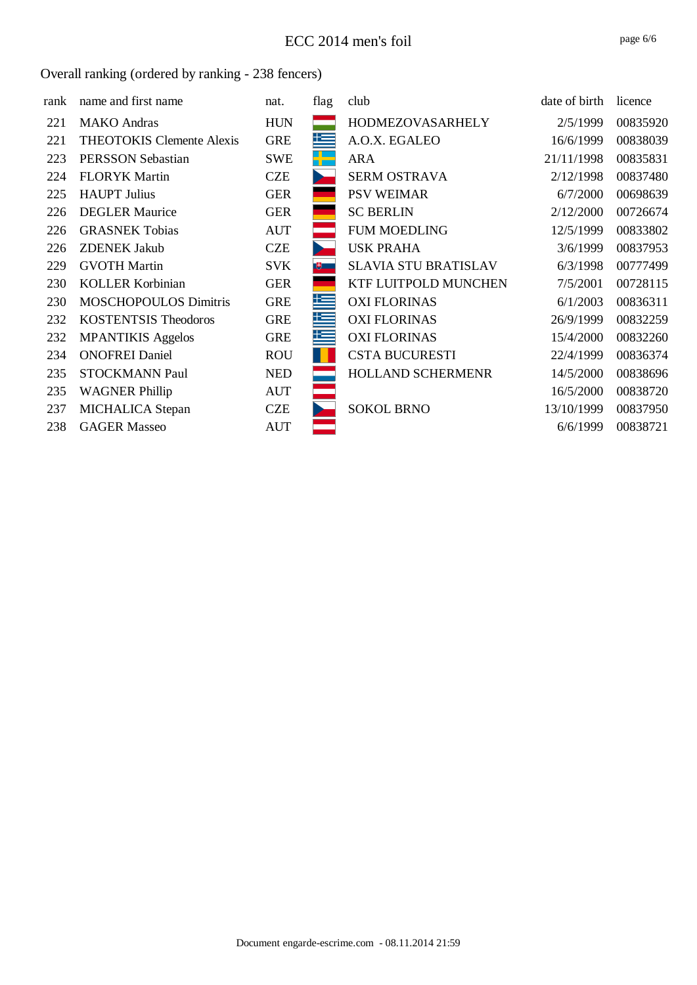| rank | name and first name              | nat.       | flag | club                        | date of birth | licence  |
|------|----------------------------------|------------|------|-----------------------------|---------------|----------|
| 221  | <b>MAKO</b> Andras               | <b>HUN</b> |      | <b>HODMEZOVASARHELY</b>     | 2/5/1999      | 00835920 |
| 221  | <b>THEOTOKIS Clemente Alexis</b> | <b>GRE</b> | 上手   | A.O.X. EGALEO               | 16/6/1999     | 00838039 |
| 223  | <b>PERSSON Sebastian</b>         | <b>SWE</b> |      | <b>ARA</b>                  | 21/11/1998    | 00835831 |
| 224  | <b>FLORYK Martin</b>             | <b>CZE</b> |      | <b>SERM OSTRAVA</b>         | 2/12/1998     | 00837480 |
| 225  | <b>HAUPT</b> Julius              | <b>GER</b> |      | <b>PSV WEIMAR</b>           | 6/7/2000      | 00698639 |
| 226  | <b>DEGLER Maurice</b>            | <b>GER</b> |      | <b>SC BERLIN</b>            | 2/12/2000     | 00726674 |
| 226  | <b>GRASNEK Tobias</b>            | <b>AUT</b> |      | <b>FUM MOEDLING</b>         | 12/5/1999     | 00833802 |
| 226  | <b>ZDENEK Jakub</b>              | <b>CZE</b> |      | <b>USK PRAHA</b>            | 3/6/1999      | 00837953 |
| 229  | <b>GVOTH Martin</b>              | <b>SVK</b> | 电二   | <b>SLAVIA STU BRATISLAV</b> | 6/3/1998      | 00777499 |
| 230  | <b>KOLLER Korbinian</b>          | <b>GER</b> |      | KTF LUITPOLD MUNCHEN        | 7/5/2001      | 00728115 |
| 230  | <b>MOSCHOPOULOS Dimitris</b>     | <b>GRE</b> | 运    | <b>OXI FLORINAS</b>         | 6/1/2003      | 00836311 |
| 232  | <b>KOSTENTSIS Theodoros</b>      | <b>GRE</b> | 塚    | <b>OXI FLORINAS</b>         | 26/9/1999     | 00832259 |
| 232  | <b>MPANTIKIS Aggelos</b>         | <b>GRE</b> | 些    | <b>OXI FLORINAS</b>         | 15/4/2000     | 00832260 |
| 234  | <b>ONOFREI Daniel</b>            | <b>ROU</b> |      | <b>CSTA BUCURESTI</b>       | 22/4/1999     | 00836374 |
| 235  | <b>STOCKMANN Paul</b>            | <b>NED</b> |      | HOLLAND SCHERMENR           | 14/5/2000     | 00838696 |
| 235  | <b>WAGNER Phillip</b>            | <b>AUT</b> |      |                             | 16/5/2000     | 00838720 |
| 237  | MICHALICA Stepan                 | <b>CZE</b> |      | <b>SOKOL BRNO</b>           | 13/10/1999    | 00837950 |
| 238  | <b>GAGER Masseo</b>              | <b>AUT</b> |      |                             | 6/6/1999      | 00838721 |
|      |                                  |            |      |                             |               |          |